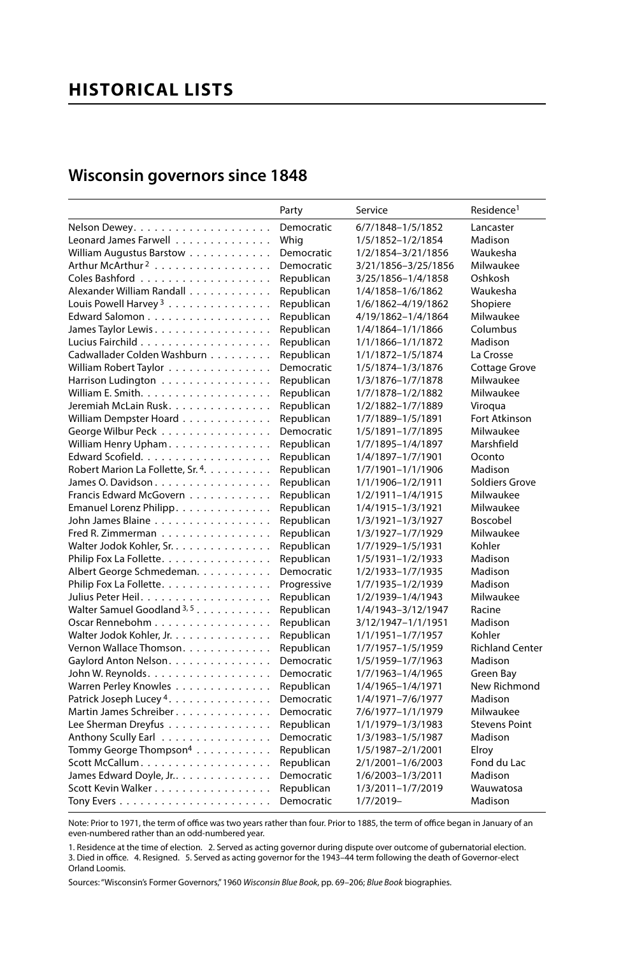# **HISTORICAL LISTS**

## **Wisconsin governors since 1848**

|                                       | Party       | Service             | Residence <sup>1</sup> |
|---------------------------------------|-------------|---------------------|------------------------|
|                                       | Democratic  | 6/7/1848-1/5/1852   | Lancaster              |
| Leonard James Farwell                 | Whia        | 1/5/1852-1/2/1854   | Madison                |
| William Augustus Barstow              | Democratic  | 1/2/1854-3/21/1856  | Waukesha               |
| Arthur McArthur <sup>2</sup>          | Democratic  | 3/21/1856-3/25/1856 | Milwaukee              |
|                                       | Republican  | 3/25/1856-1/4/1858  | Oshkosh                |
| Alexander William Randall             | Republican  | 1/4/1858-1/6/1862   | Waukesha               |
| Louis Powell Harvey <sup>3</sup>      | Republican  | 1/6/1862-4/19/1862  | Shopiere               |
| Edward Salomon                        | Republican  | 4/19/1862-1/4/1864  | Milwaukee              |
| James Taylor Lewis                    | Republican  | 1/4/1864-1/1/1866   | Columbus               |
|                                       | Republican  | 1/1/1866-1/1/1872   | Madison                |
| Cadwallader Colden Washburn           | Republican  | 1/1/1872-1/5/1874   | La Crosse              |
| William Robert Taylor                 | Democratic  | 1/5/1874-1/3/1876   | Cottage Grove          |
| Harrison Ludington                    | Republican  | 1/3/1876-1/7/1878   | Milwaukee              |
|                                       | Republican  | 1/7/1878-1/2/1882   | Milwaukee              |
| Jeremiah McLain Rusk.                 | Republican  | 1/2/1882-1/7/1889   | Viroqua                |
| William Dempster Hoard                | Republican  | 1/7/1889-1/5/1891   | Fort Atkinson          |
| George Wilbur Peck                    | Democratic  | 1/5/1891-1/7/1895   | Milwaukee              |
| William Henry Upham.                  | Republican  | 1/7/1895-1/4/1897   | Marshfield             |
| Edward Scofield.                      | Republican  | 1/4/1897-1/7/1901   | Oconto                 |
| Robert Marion La Follette, Sr. 4.     | Republican  | 1/7/1901-1/1/1906   | Madison                |
| James O. Davidson                     | Republican  | 1/1/1906-1/2/1911   | Soldiers Grove         |
| Francis Edward McGovern               | Republican  | 1/2/1911-1/4/1915   | Milwaukee              |
| Emanuel Lorenz Philipp.               | Republican  | 1/4/1915-1/3/1921   | Milwaukee              |
| John James Blaine                     | Republican  | 1/3/1921-1/3/1927   | Boscobel               |
| Fred R. Zimmerman                     | Republican  | 1/3/1927-1/7/1929   | Milwaukee              |
| Walter Jodok Kohler, Sr.              | Republican  | 1/7/1929-1/5/1931   | Kohler                 |
| Philip Fox La Follette.               | Republican  | 1/5/1931-1/2/1933   | Madison                |
| Albert George Schmedeman.             | Democratic  | 1/2/1933-1/7/1935   | Madison                |
| Philip Fox La Follette.               | Progressive | 1/7/1935-1/2/1939   | Madison                |
|                                       | Republican  | 1/2/1939-1/4/1943   | Milwaukee              |
| Walter Samuel Goodland $3,5, \ldots,$ | Republican  | 1/4/1943-3/12/1947  | Racine                 |
| Oscar Rennebohm                       | Republican  | 3/12/1947-1/1/1951  | Madison                |
| Walter Jodok Kohler, Jr.              | Republican  | 1/1/1951-1/7/1957   | Kohler                 |
| Vernon Wallace Thomson.               | Republican  | 1/7/1957-1/5/1959   | <b>Richland Center</b> |
| Gaylord Anton Nelson.                 | Democratic  | 1/5/1959-1/7/1963   | Madison                |
| John W. Reynolds.                     | Democratic  | 1/7/1963-1/4/1965   | Green Bay              |
| Warren Perley Knowles                 | Republican  | 1/4/1965-1/4/1971   | New Richmond           |
| Patrick Joseph Lucey <sup>4</sup> .   | Democratic  | 1/4/1971-7/6/1977   | Madison                |
| Martin James Schreiber.               | Democratic  | 7/6/1977-1/1/1979   | Milwaukee              |
| Lee Sherman Dreyfus                   | Republican  | 1/1/1979-1/3/1983   | <b>Stevens Point</b>   |
| Anthony Scully Earl                   | Democratic  | 1/3/1983-1/5/1987   | Madison                |
| Tommy George Thompson <sup>4</sup>    | Republican  | 1/5/1987-2/1/2001   | Elroy                  |
|                                       | Republican  | 2/1/2001-1/6/2003   | Fond du Lac            |
| James Edward Doyle, Jr                | Democratic  | 1/6/2003-1/3/2011   | Madison                |
| Scott Kevin Walker                    | Republican  | 1/3/2011-1/7/2019   | Wauwatosa              |
|                                       | Democratic  | $1/7/2019-$         | Madison                |

Note: Prior to 1971, the term of office was two years rather than four. Prior to 1885, the term of office began in January of an even-numbered rather than an odd-numbered year.

1. Residence at the time of election. 2. Served as acting governor during dispute over outcome of gubernatorial election. 3. Died in office. 4. Resigned. 5. Served as acting governor for the 1943–44 term following the death of Governor-elect Orland Loomis.

Sources: "Wisconsin's Former Governors," 1960 *Wisconsin Blue Book*, pp. 69–206; *Blue Book* biographies.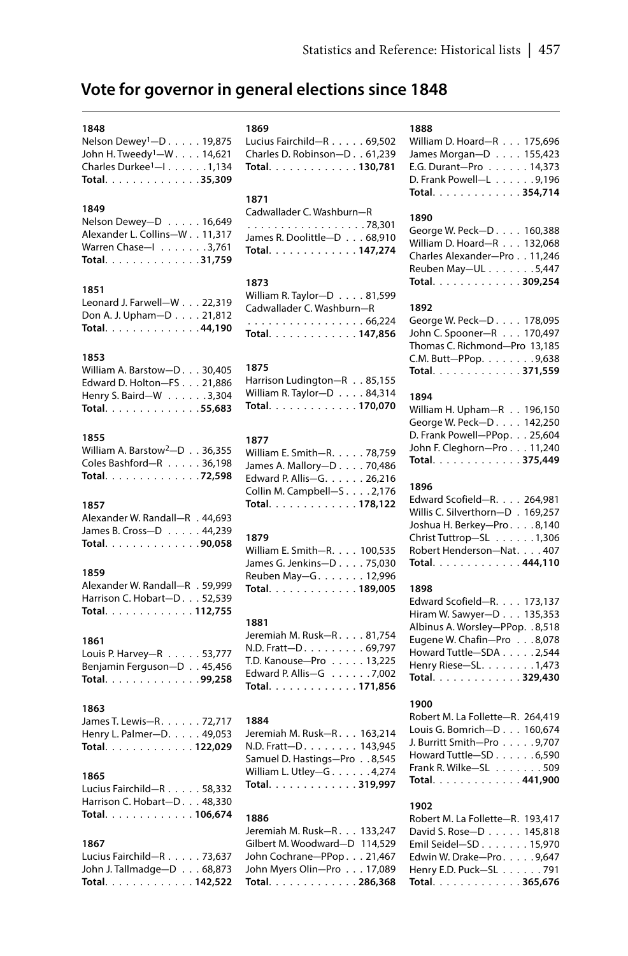## **Vote for governor in general elections since 1848**

### **1848**

### Nelson Dewey1—D . . . . . 19,875 John H. Tweedy1—W . . . . 14,621 Charles Durkee1—I . . . . . . 1,134 **Total** . . . . . . . . . . . . . . **35,309**

### **1849**

| Nelson Dewey-D 16,649                 |  |
|---------------------------------------|--|
| Alexander L. Collins-W. . 11.317      |  |
| Warren Chase-I $\ldots \ldots$ .3,761 |  |
| Total31,759                           |  |

### **1851**

| Leonard J. Farwell-W 22.319 |  |
|-----------------------------|--|
| Don A. J. Upham-D 21,812    |  |
| Total. 44,190               |  |

#### **1853**

| William A. Barstow-D. 30.405 |  |
|------------------------------|--|
| Edward D. Holton-FS 21.886   |  |
| Henry S. Baird-W 3,304       |  |
| Total. 55,683                |  |

### **1855**

| William A. Barstow <sup>2</sup> —D 36,355 |  |
|-------------------------------------------|--|
| Coles Bashford—R 36,198                   |  |
| Total. 72,598                             |  |

### **1857**

| Alexander W. Randall-R . 44.693 |  |
|---------------------------------|--|
| James B. Cross-D 44,239         |  |
| Total90,058                     |  |

### **1859**

| Alexander W. Randall-R . 59,999 |  |
|---------------------------------|--|
| Harrison C. Hobart-D. 52,539    |  |
| Total. 112,755                  |  |

### **1861**

Louis P. Harvey—R . . . . . 53,777 Benjamin Ferguson—D . . 45,456 **Total** . . . . . . . . . . . . . . **99,258**

### **1863**

| James T. Lewis-R. 72,717  |  |  |  |  |  |  |  |  |
|---------------------------|--|--|--|--|--|--|--|--|
| Henry L. Palmer-D. 49,053 |  |  |  |  |  |  |  |  |
| Total. 122,029            |  |  |  |  |  |  |  |  |

### **1865**

| Lucius Fairchild-R58.332     |  |
|------------------------------|--|
| Harrison C. Hobart-D. 48.330 |  |
| Total. 106,674               |  |

### **1867**

| Lucius Fairchild-R 73,637  |  |
|----------------------------|--|
| John J. Tallmadge-D 68,873 |  |
| Total142,522               |  |

### **1869**

Lucius Fairchild—R . . . . . 69,502 Charles D. Robinson—D . . 61,239 **Total** . . . . . . . . . . . . . **130,781**

#### **1871** Cadwallader C. Washburn—R

| Cauvanauci C. VVasiballi II     |
|---------------------------------|
| . 78,301                        |
| James R. Doolittle—D .. .68,910 |
| Total. 147.274                  |
|                                 |

### **1873**

|                           |  |  |  |  |  |  | William R. Taylor-D81,599 |
|---------------------------|--|--|--|--|--|--|---------------------------|
| Cadwallader C. Washburn—R |  |  |  |  |  |  |                           |
|                           |  |  |  |  |  |  | . 66,224                  |
|                           |  |  |  |  |  |  | Total. 147,856            |

### **1875**

| Harrison Ludington-R 85,155 |  |
|-----------------------------|--|
| William R. Taylor-D84,314   |  |
| Total. 170,070              |  |

### **1877**

| William E. Smith-R. 78,759  |
|-----------------------------|
| James A. Mallory-D. 70,486  |
| Edward P. Allis-G. 26,216   |
| Collin M. Campbell-S. 2,176 |
| Total. 178,122              |

### **1879**

| William E. Smith—R. 100,535 |  |
|-----------------------------|--|
| James G. Jenkins—D 75,030   |  |
| Reuben May-G. 12,996        |  |
| Total. 189,005              |  |

### **1881**

| Jeremiah M. Rusk—R. 81,754 |  |
|----------------------------|--|
| N.D. Fratt—D........69,797 |  |
| T.D. Kanouse-Pro 13,225    |  |
| Edward P. Allis-G 7,002    |  |
| Total. 171,856             |  |

### **1884**

| Total. 319,997               |
|------------------------------|
| William L. Utley-G. 4,274    |
| Samuel D. Hastings-Pro 8,545 |
| N.D. Fratt—D.......143,945   |
| Jeremiah M. Rusk—R. 163,214  |

### **1886**

| Total. 286,368                |
|-------------------------------|
| John Myers Olin-Pro 17,089    |
| John Cochrane-PPop 21,467     |
| Gilbert M. Woodward-D 114,529 |
| Jeremiah M. Rusk-R. 133,247   |

### **1888**

| Total. 354,714               |
|------------------------------|
| D. Frank Powell—L .....9,196 |
| E.G. Durant—Pro 14,373       |
| James Morgan-D 155,423       |
| William D. Hoard-R 175,696   |
|                              |

### **1890**

| Total. 309,254               |  |
|------------------------------|--|
| Reuben May-UL 5,447          |  |
| Charles Alexander-Pro 11,246 |  |
| William D. Hoard-R 132,068   |  |
| George W. Peck-D. 160,388    |  |
|                              |  |

### **1892**

| George W. Peck-D. 178,095     |
|-------------------------------|
| John C. Spooner-R 170,497     |
| Thomas C. Richmond-Pro 13,185 |
| C.M. Butt-PPop. 9,638         |
| Total371,559                  |

### **1894**

| William H. Upham-R 196,150   |  |
|------------------------------|--|
| George W. Peck-D. 142,250    |  |
| D. Frank Powell-PPop. 25,604 |  |
| John F. Cleghorn-Pro 11,240  |  |
| Total375,449                 |  |

### **1896**

| Willis C. Silverthorn-D . 169,257 |
|-----------------------------------|
| Joshua H. Berkey-Pro. 8,140       |
| Christ Tuttrop-SL 1,306           |
| Robert Henderson-Nat. 407         |
| Total. 444,110                    |
|                                   |

#### **1898**

| Edward Scofield-R. 173,137       |
|----------------------------------|
| Hiram W. Sawyer-D 135,353        |
| Albinus A. Worsley-PPop. . 8,518 |
| Eugene W. Chafin-Pro 8,078       |
| Howard Tuttle-SDA 2,544          |
| Henry Riese-SL. 1,473            |
| Total. 329,430                   |

#### **1900**

| Robert M. La Follette-R. 264.419 |
|----------------------------------|
| Louis G. Bomrich-D. 160,674      |
| J. Burritt Smith-Pro 9,707       |
| Howard Tuttle-SD. 6,590          |
| Frank R. Wilke-SL 509            |
| Total. 441,900                   |

### **1902**

| Robert M. La Follette-R. 193.417 |  |
|----------------------------------|--|
| David S. Rose-D 145,818          |  |
| Emil Seidel-SD 15,970            |  |
| Edwin W. Drake-Pro. 9,647        |  |
| Henry E.D. Puck—SL 791           |  |
| Total. 365,676                   |  |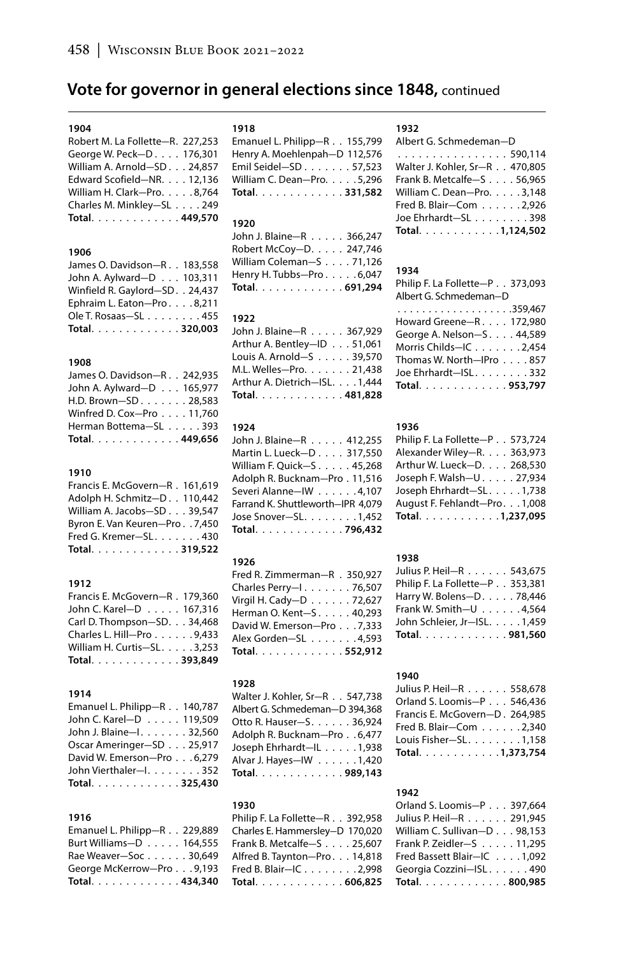# **Vote for governor in general elections since 1848,** continued

### **1904**

| Robert M. La Follette-R. 227,253 | Emar   |
|----------------------------------|--------|
| George W. Peck-D. 176,301        | Henr   |
| William A. Arnold-SD. 24,857     | Emil:  |
| Edward Scofield-NR. 12,136       | Willia |
| William H. Clark-Pro. 8,764      | Total  |
| Charles M. Minkley-SL 249        |        |
| Total. 449,570                   | 1920   |

#### **1906**

| James O. Davidson-R. . 183,558   |
|----------------------------------|
| John A. Aylward-D 103,311        |
| Winfield R. Gaylord-SD. . 24,437 |
| Ephraim L. Eaton-Pro. 8,211      |
| Ole T. Rosaas-SL 455             |
| Total. 320,003                   |

#### **1908**

| James O. Davidson-R. . 242,935 |
|--------------------------------|
| John A. Aylward-D 165,977      |
| H.D. Brown-SD. 28,583          |
| Winfred D. Cox-Pro 11,760      |
| Herman Bottema-SL 393          |
| Total. 449,656                 |

### **1910**

| Francis E. McGovern-R. 161.619   |
|----------------------------------|
| Adolph H. Schmitz-D. . 110,442   |
| William A. Jacobs-SD 39,547      |
| Byron E. Van Keuren-Pro. . 7,450 |
| Fred G. Kremer-SL. 430           |
| Total. 319,522                   |

### **1912**

| Francis E. McGovern-R. 179,360 |  |
|--------------------------------|--|
| John C. Karel-D 167,316        |  |
| Carl D. Thompson-SD. 34,468    |  |
| Charles L. Hill-Pro 9,433      |  |
| William H. Curtis-SL. 3,253    |  |
| Total. 393,849                 |  |

### **1914**

| Emanuel L. Philipp-R. . 140,787 |  |
|---------------------------------|--|
| John C. Karel-D. 119,509        |  |
| John J. Blaine—I. 32,560        |  |
| Oscar Ameringer-SD 25,917       |  |
| David W. Emerson-Pro 6,279      |  |
| John Vierthaler—I. 352          |  |
| Total. 325,430                  |  |

### **1916**

| Total. 434,340               |  |
|------------------------------|--|
| George McKerrow-Pro 9,193    |  |
| Rae Weaver-Soc 30,649        |  |
| Burt Williams-D 164,555      |  |
| Emanuel L. Philipp-R 229,889 |  |

#### **1918**

| Emanuel L. Philipp-R. . 155,799 |  |
|---------------------------------|--|
| Henry A. Moehlenpah-D 112,576   |  |
| Emil Seidel-SD 57,523           |  |
| William C. Dean-Pro. 5,296      |  |
| Total. 331,582                  |  |

| John J. Blaine—R .....366,247 |  |
|-------------------------------|--|
| Robert McCoy-D. 247,746       |  |
| William Coleman–S71,126       |  |
| Henry H. Tubbs—Pro 6,047      |  |
| Total. 691,294                |  |
|                               |  |

### **1922**

| John J. Blaine—R 367,929      |
|-------------------------------|
| Arthur A. Bentley-ID 51,061   |
| Louis A. Arnold-S 39,570      |
| M.L. Welles-Pro. 21,438       |
| Arthur A. Dietrich-ISL. 1,444 |
| Total. 481,828                |

### **1924**

| John J. Blaine-R 412,255          |
|-----------------------------------|
| Martin L. Lueck-D 317,550         |
| William F. Quick-S 45,268         |
| Adolph R. Bucknam-Pro . 11,516    |
| Severi Alanne-IW 4,107            |
| Farrand K. Shuttleworth-IPR 4,079 |
| Jose Snover-SL. 1,452             |
| Total. 796,432                    |
|                                   |

### **1926**

| Fred R. Zimmerman—R . 350,927 |
|-------------------------------|
| Charles Perry-176,507         |
| Virgil H. Cady-D 72,627       |
| Herman O. Kent-S. 40,293      |
| David W. Emerson-Pro 7,333    |
| Alex Gorden-SL 4,593          |
| Total. 552,912                |

### **1928**

| Walter J. Kohler, Sr-R 547,738 |
|--------------------------------|
| Albert G. Schmedeman-D 394,368 |
| Otto R. Hauser—S.....36,924    |
| Adolph R. Bucknam-Pro 6,477    |
| Joseph Ehrhardt-IL 1,938       |
| Alvar J. Hayes-IW 1,420        |
| Total. 989,143                 |

### **1930**

| Philip F. La Follette-R. . 392,958 |
|------------------------------------|
| Charles E. Hammersley-D 170,020    |
| Frank B. Metcalfe-S 25,607         |
| Alfred B. Taynton-Pro. 14,818      |
| Fred B. Blair—IC 2,998             |
| Total. 606,825                     |

### **1932**

| . 590,114                      |
|--------------------------------|
| Walter J. Kohler, Sr-R 470,805 |
| Frank B. Metcalfe-S 56,965     |
| William C. Dean-Pro. 3,148     |
| Fred B. Blair-Com 2,926        |
| Joe Ehrhardt-SL 398            |
| Total. 1,124,502               |

#### **1934**

| Philip F. La Follette-P 373,093 |
|---------------------------------|
| Albert G. Schmedeman-D          |
|                                 |
| Howard Greene-R. 172,980        |
| George A. Nelson-S. 44,589      |
| Morris Childs-IC 2.454          |
| Thomas W. North-IPro 857        |
| Joe Ehrhardt-ISL. 332           |
| Total. 953,797                  |
|                                 |

### **1936**

| Philip F. La Follette-P 573,724 |
|---------------------------------|
| Alexander Wiley-R. 363,973      |
| Arthur W. Lueck-D. 268,530      |
| Joseph F. Walsh-U. 27,934       |
| Joseph Ehrhardt-SL. 1,738       |
| August F. Fehlandt-Pro. 1,008   |
| Total. 1,237,095                |
|                                 |

### **1938**

| Julius P. Heil-R 543,675           |  |
|------------------------------------|--|
| Philip F. La Follette-P. . 353,381 |  |
| Harry W. Bolens-D. 78,446          |  |
| Frank W. Smith-U 4,564             |  |
| John Schleier, Jr-ISL. 1,459       |  |
| Total. 981,560                     |  |

### **1940**

| Julius P. Heil—R 558,678       |
|--------------------------------|
| Orland S. Loomis-P 546,436     |
| Francis E. McGovern-D. 264,985 |
| Fred B. Blair-Com 2,340        |
| Louis Fisher-SL. 1,158         |
| Total. 1,373,754               |
|                                |

### **1942**

| Orland S. Loomis-P 397,664    |
|-------------------------------|
| Julius P. Heil-R 291,945      |
| William C. Sullivan-D. 98,153 |
| Frank P. Zeidler-S 11,295     |
| Fred Bassett Blair-IC 1,092   |
| Georgia Cozzini-ISL. 490      |
| Total. 800,985                |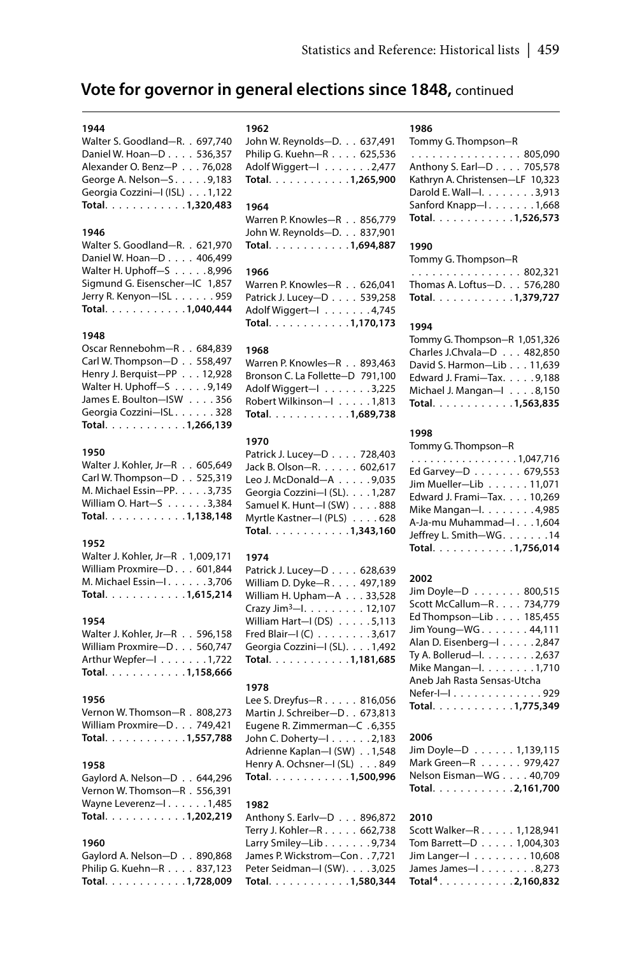### **Vote for governor in general elections since 1848,** continued

### **1944**

Walter S. Goodland-R. . 697,740 Daniel W. Hoan—D . . . . 536,357 Alexander O. Benz—P . . . 76,028 George A. Nelson—S . . . . . 9,183 Georgia Cozzini—I (ISL) . . . 1,122 **Total** . . . . . . . . . . . . **1,320,483**

### **1946**

| Total. 1,040,444                |
|---------------------------------|
| Jerry R. Kenyon-ISL 959         |
| Sigmund G. Eisenscher-IC 1,857  |
| Walter H. Uphoff-S 8,996        |
| Daniel W. Hoan-D 406.499        |
| Walter S. Goodland-R. . 621,970 |

### **1948**

| Oscar Rennebohm-R. . 684,839 |
|------------------------------|
| Carl W. Thompson-D 558,497   |
| Henry J. Berguist-PP 12,928  |
| Walter H. Uphoff-S 9,149     |
| James E. Boulton-ISW 356     |
| Georgia Cozzini-ISL. 328     |
| Total. 1,266,139             |

### **1950**

| Total. 1,138,148               |
|--------------------------------|
| William O. Hart-S 3,384        |
| M. Michael Essin-PP. 3,735     |
| Carl W. Thompson-D. 525,319    |
| Walter J. Kohler, Jr-R 605,649 |

### **1952**

| Walter J. Kohler, Jr-R . 1,009,171 |  |
|------------------------------------|--|
| William Proxmire-D. 601.844        |  |
| M. Michael Essin-I. 3,706          |  |
| Total. 1,615,214                   |  |

#### **1954**

| Walter J. Kohler, Jr-R 596.158 |  |
|--------------------------------|--|
| William Proxmire-D. 560.747    |  |
| Arthur Wepfer-1 1,722          |  |
| Total. 1,158,666               |  |

### **1956**

Vernon W. Thomson—R . 808,273 William Proxmire—D . . . 749,421 **Total** . . . . . . . . . . . . **1,557,788**

### **1958**

| Gaylord A. Nelson-D 644,296   |
|-------------------------------|
| Vernon W. Thomson-R . 556.391 |
| Wayne Leverenz-I1,485         |
| Total1,202,219                |

### **1960**

| Gaylord A. Nelson-D 890,868 |  |
|-----------------------------|--|
| Philip G. Kuehn-R 837,123   |  |
| Total. 1,728,009            |  |

### **1962**

| John W. Reynolds-D. 637,491 |
|-----------------------------|
| Philip G. Kuehn-R 625,536   |
| Adolf Wiggert-I 2,477       |
| Total. 1,265,900            |
|                             |

### **1964**

| Total. 1,694,887            |  |
|-----------------------------|--|
| John W. Reynolds-D. 837,901 |  |
| Warren P. Knowles—R 856,779 |  |

### **1966**

| Warren P. Knowles—R 626,041 |  |
|-----------------------------|--|
| Patrick J. Lucey—D 539,258  |  |
| Adolf Wiggert-I 4,745       |  |
| Total. 1,170,173            |  |

#### **1968**

| Total. 1,689,738                 |
|----------------------------------|
| Robert Wilkinson—I1.813          |
| Adolf Wiggert-I 3,225            |
| Bronson C. La Follette-D 791,100 |
| Warren P. Knowles-R. . 893,463   |

### **1970**

| Patrick J. Lucey—D 728,403    |
|-------------------------------|
| Jack B. Olson-R. 602,617      |
| Leo J. McDonald-A 9,035       |
| Georgia Cozzini-I (SL). 1,287 |
| Samuel K. Hunt-I (SW) 888     |
| Myrtle Kastner-I (PLS) 628    |
| Total. 1,343,160              |

### **1974**

| Patrick J. Lucey-D 628,639        |
|-----------------------------------|
| William D. Dyke-R. 497,189        |
| William H. Upham-A 33,528         |
| Crazy Jim <sup>3</sup> —I. 12,107 |
| William Hart-I (DS) 5,113         |
| Fred Blair-I (C) 3,617            |
| Georgia Cozzini-I (SL). 1,492     |
| Total. 1,181,685                  |
|                                   |

#### **1978**

| Lee S. Dreyfus-R 816,056         |
|----------------------------------|
| Martin J. Schreiber-D. . 673,813 |
| Eugene R. Zimmerman-C. 6,355     |
| John C. Doherty-1 2,183          |
| Adrienne Kaplan-I (SW) 1,548     |
| Henry A. Ochsner-I (SL) 849      |
| Total. 1,500,996                 |

### **1982**

| Total. 1,580,344                |
|---------------------------------|
| Peter Seidman-I (SW). 3,025     |
| James P. Wickstrom-Con. . 7,721 |
| Larry Smiley-Lib. 9,734         |
| Terry J. Kohler—R 662,738       |
| Anthony S. Earlv-D 896,872      |

### **1986**

Tommy G. Thompson—R

| . 805,090                        |
|----------------------------------|
| Anthony S. Earl-D 705,578        |
| Kathryn A. Christensen-LF 10,323 |
| Darold E. Wall-I. 3,913          |
| Sanford Knapp-1. 1,668           |
| Total. 1,526,573                 |

### **1990**

Tommy G. Thompson—R

| . 802,321                   |  |  |  |  |  |  |  |  |
|-----------------------------|--|--|--|--|--|--|--|--|
| Thomas A. Loftus-D. 576.280 |  |  |  |  |  |  |  |  |
| Total. 1,379,727            |  |  |  |  |  |  |  |  |

### **1994**

| Tommy G. Thompson-R 1,051,326 |
|-------------------------------|
| Charles J.Chvala-D 482,850    |
| David S. Harmon-Lib 11,639    |
| Edward J. Frami-Tax. 9,188    |
| Michael J. Mangan-1 8,150     |
| Total. 1,563,835              |

### **1998**

Tommy G. Thompson—R

| . 1,047,716                 |
|-----------------------------|
| Ed Garvey-D 679,553         |
| Jim Mueller-Lib 11,071      |
| Edward J. Frami-Tax. 10,269 |
| Mike Mangan-I. 4,985        |
| A-Ja-mu Muhammad-I. 1,604   |
| Jeffrey L. Smith-WG. 14     |
| Total. 1,756,014            |
|                             |

### **2002**

| Jim Doyle-D 800,515         |
|-----------------------------|
| Scott McCallum-R. 734,779   |
| Ed Thompson-Lib. 185,455    |
| Jim Young-WG44,111          |
| Alan D. Eisenberg-I2,847    |
| Ty A. Bollerud-I. 2,637     |
| Mike Mangan-I. 1,710        |
| Aneb Jah Rasta Sensas-Utcha |
| Nefer-I-I 929               |
| Total. 1,775,349            |

### **2006**

| Jim Doyle—D 1,139,115   |  |
|-------------------------|--|
| Mark Green—R 979.427    |  |
| Nelson Eisman-WG 40,709 |  |
| Total. 2,161,700        |  |

### **2010**

| Scott Walker-R 1,128,941     |  |
|------------------------------|--|
| Tom Barrett—D 1,004,303      |  |
| Jim Langer—I 10,608          |  |
| James James—I 8,273          |  |
| Total <sup>4</sup> 2,160,832 |  |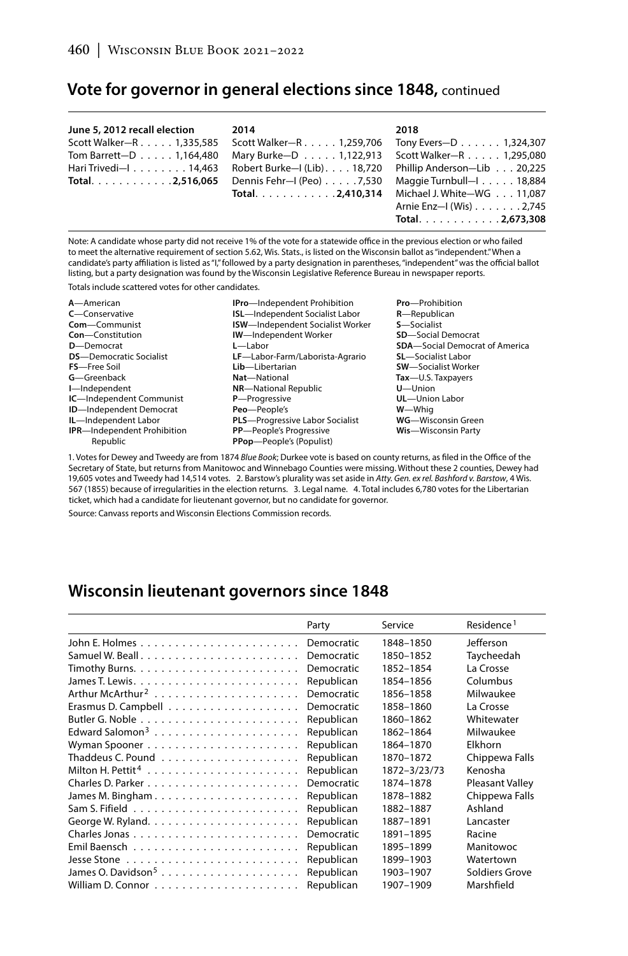### **Vote for governor in general elections since 1848,** continued

| June 5, 2012 recall election | 2014                         | 2018                        |
|------------------------------|------------------------------|-----------------------------|
| Scott Walker-R 1,335,585     | Scott Walker-R 1,259,706     | Tony Evers-D 1,324,307      |
| Tom Barrett-D 1,164,480      | Mary Burke-D 1,122,913       | Scott Walker-R 1,295,080    |
| Hari Trivedi-114.463         | Robert Burke-I (Lib). 18.720 | Phillip Anderson-Lib 20,225 |
| Total2,516,065               | Dennis Fehr-I (Peo) 7,530    | Maggie Turnbull-1 18,884    |
|                              | Total. 2,410,314             | Michael J. White-WG 11.087  |
|                              |                              | Arnie Enz-I (Wis) 2,745     |
|                              |                              | Total2,673,308              |

Note: A candidate whose party did not receive 1% of the vote for a statewide office in the previous election or who failed to meet the alternative requirement of section 5.62, Wis. Stats., is listed on the Wisconsin ballot as "independent." When a candidate's party affiliation is listed as "I," followed by a party designation in parentheses, "independent" was the official ballot listing, but a party designation was found by the Wisconsin Legislative Reference Bureau in newspaper reports. Totals include scattered votes for other candidates.

**A**—American **C**—Conservative **Com**—Communist **Con**—Constitution **D**—Democrat **DS**—Democratic Socialist **FS**—Free Soil **G**—Greenback **I**—Independent **IC**—Independent Communist **ID**—Independent Democrat **IL**—Independent Labor **IPR**—Independent Prohibition Republic

**IPro**—Independent Prohibition **ISL**—Independent Socialist Labor **ISW**—Independent Socialist Worker **IW**—Independent Worker **L**—Labor **LF**—Labor-Farm/Laborista-Agrario **Lib**—Libertarian **Nat**—National **NR**—National Republic **P**—Progressive **Peo**—People's **PLS**—Progressive Labor Socialist **PP**—People's Progressive **PPop**—People's (Populist)

**Pro**—Prohibition **R**—Republican **S**—Socialist **SD**—Social Democrat **SDA**—Social Democrat of America **SL**—Socialist Labor **SW**—Socialist Worker **Tax**—U.S. Taxpayers **U**—Union **UL**—Union Labor **W**—Whig **WG**—Wisconsin Green **Wis**—Wisconsin Party

1. Votes for Dewey and Tweedy are from 1874 *Blue Book*; Durkee vote is based on county returns, as filed in the Office of the Secretary of State, but returns from Manitowoc and Winnebago Counties were missing. Without these 2 counties, Dewey had 19,605 votes and Tweedy had 14,514 votes. 2. Barstow's plurality was set aside in *Atty. Gen. ex rel. Bashford v. Barstow*, 4 Wis. 567 (1855) because of irregularities in the election returns. 3. Legal name. 4. Total includes 6,780 votes for the Libertarian ticket, which had a candidate for lieutenant governor, but no candidate for governor.

Source: Canvass reports and Wisconsin Elections Commission records.

### **Wisconsin lieutenant governors since 1848**

|                  | Party      | Service      | Residence <sup>1</sup> |
|------------------|------------|--------------|------------------------|
|                  | Democratic | 1848-1850    | Jefferson              |
|                  | Democratic | 1850-1852    | Taycheedah             |
|                  | Democratic | 1852-1854    | La Crosse              |
|                  | Republican | 1854-1856    | Columbus               |
|                  | Democratic | 1856-1858    | Milwaukee              |
|                  | Democratic | 1858-1860    | La Crosse              |
|                  | Republican | 1860-1862    | Whitewater             |
|                  | Republican | 1862-1864    | Milwaukee              |
|                  | Republican | 1864-1870    | Elkhorn                |
|                  | Republican | 1870-1872    | Chippewa Falls         |
|                  | Republican | 1872-3/23/73 | Kenosha                |
|                  | Democratic | 1874-1878    | <b>Pleasant Valley</b> |
| James M. Bingham | Republican | 1878-1882    | Chippewa Falls         |
|                  | Republican | 1882-1887    | Ashland                |
|                  | Republican | 1887-1891    | Lancaster              |
|                  | Democratic | 1891-1895    | Racine                 |
|                  | Republican | 1895-1899    | Manitowoc              |
|                  | Republican | 1899-1903    | Watertown              |
|                  | Republican | 1903-1907    | Soldiers Grove         |
|                  | Republican | 1907-1909    | Marshfield             |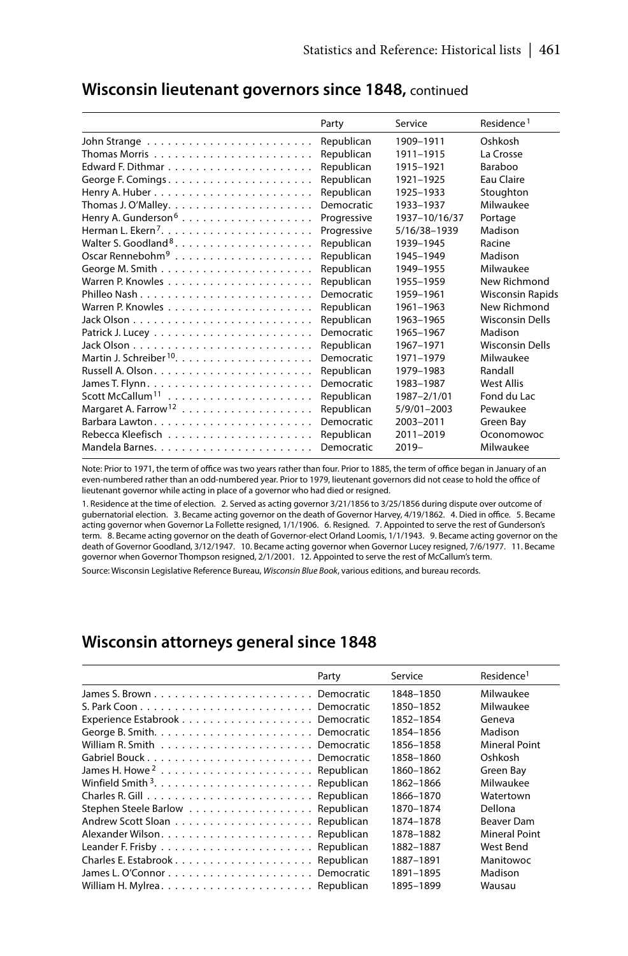|                  | Party       | Service         | Residence <sup>1</sup>  |
|------------------|-------------|-----------------|-------------------------|
|                  | Republican  | 1909-1911       | Oshkosh                 |
|                  | Republican  | 1911-1915       | La Crosse               |
|                  | Republican  | 1915-1921       | Baraboo                 |
|                  | Republican  | 1921-1925       | Eau Claire              |
|                  | Republican  | 1925-1933       | Stoughton               |
|                  | Democratic  | 1933-1937       | Milwaukee               |
|                  | Progressive | 1937-10/16/37   | Portage                 |
|                  | Progressive | 5/16/38-1939    | Madison                 |
|                  | Republican  | 1939-1945       | Racine                  |
|                  | Republican  | 1945-1949       | Madison                 |
|                  | Republican  | 1949-1955       | Milwaukee               |
|                  | Republican  | 1955-1959       | New Richmond            |
| Philleo Nash     | Democratic  | 1959-1961       | <b>Wisconsin Rapids</b> |
|                  | Republican  | 1961-1963       | New Richmond            |
|                  | Republican  | 1963-1965       | <b>Wisconsin Dells</b>  |
|                  | Democratic  | 1965-1967       | Madison                 |
|                  | Republican  | 1967-1971       | <b>Wisconsin Dells</b>  |
|                  | Democratic  | 1971-1979       | Milwaukee               |
| Russell A. Olson | Republican  | 1979-1983       | Randall                 |
|                  | Democratic  | 1983-1987       | <b>West Allis</b>       |
|                  | Republican  | 1987-2/1/01     | Fond du Lac             |
|                  | Republican  | $5/9/01 - 2003$ | Pewaukee                |
|                  | Democratic  | 2003-2011       | Green Bay               |
|                  | Republican  | 2011-2019       | Oconomowoc              |
|                  | Democratic  | $2019-$         | Milwaukee               |

### **Wisconsin lieutenant governors since 1848,** continued

Note: Prior to 1971, the term of office was two years rather than four. Prior to 1885, the term of office began in January of an even-numbered rather than an odd-numbered year. Prior to 1979, lieutenant governors did not cease to hold the office of lieutenant governor while acting in place of a governor who had died or resigned.

1. Residence at the time of election. 2. Served as acting governor 3/21/1856 to 3/25/1856 during dispute over outcome of gubernatorial election. 3. Became acting governor on the death of Governor Harvey, 4/19/1862. 4. Died in office. 5. Became acting governor when Governor La Follette resigned, 1/1/1906. 6. Resigned. 7. Appointed to serve the rest of Gunderson's term. 8. Became acting governor on the death of Governor-elect Orland Loomis, 1/1/1943. 9. Became acting governor on the death of Governor Goodland, 3/12/1947. 10. Became acting governor when Governor Lucey resigned, 7/6/1977. 11. Became governor when Governor Thompson resigned, 2/1/2001. 12. Appointed to serve the rest of McCallum's term.

Source: Wisconsin Legislative Reference Bureau, *Wisconsin Blue Book*, various editions, and bureau records.

### **Wisconsin attorneys general since 1848**

|                                  | Party      | Service   | Residence <sup>1</sup> |
|----------------------------------|------------|-----------|------------------------|
|                                  |            | 1848-1850 | Milwaukee              |
|                                  |            | 1850-1852 | Milwaukee              |
|                                  |            | 1852-1854 | Geneva                 |
|                                  |            | 1854-1856 | Madison                |
|                                  |            | 1856-1858 | <b>Mineral Point</b>   |
|                                  |            | 1858-1860 | Oshkosh                |
|                                  |            | 1860-1862 | Green Bay              |
|                                  |            | 1862-1866 | Milwaukee              |
|                                  |            | 1866-1870 | Watertown              |
| Stephen Steele Barlow Republican |            | 1870-1874 | Dellona                |
|                                  |            | 1874-1878 | <b>Beaver Dam</b>      |
|                                  | Republican | 1878-1882 | <b>Mineral Point</b>   |
|                                  | Republican | 1882-1887 | West Bend              |
|                                  | Republican | 1887-1891 | Manitowoc              |
|                                  |            | 1891-1895 | Madison                |
|                                  |            | 1895-1899 | Wausau                 |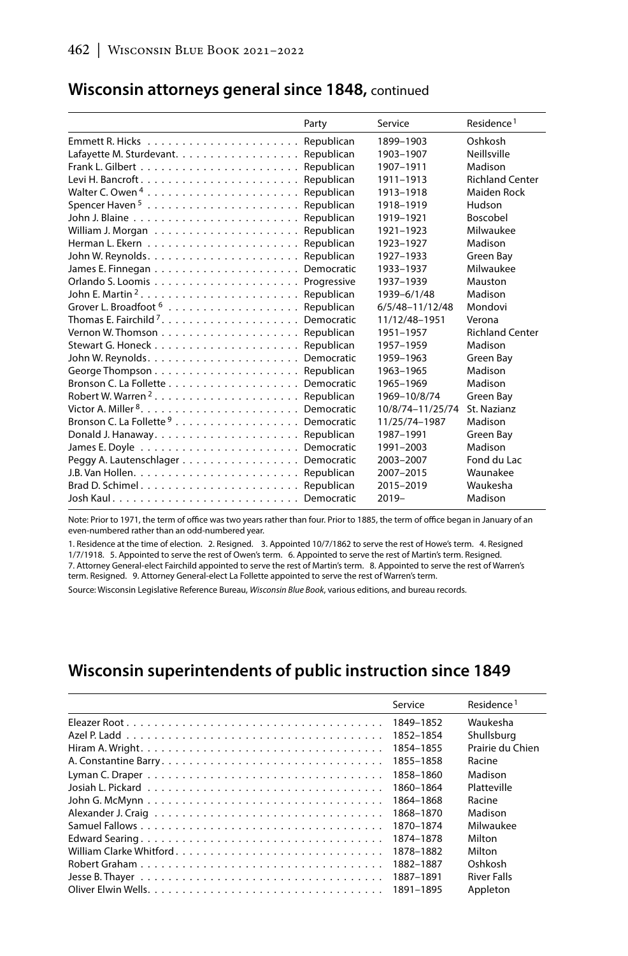| Wisconsin attorneys general since 1848, continued |  |  |  |
|---------------------------------------------------|--|--|--|
|---------------------------------------------------|--|--|--|

|                                                                    | Party       | Service          | Residence <sup>1</sup> |
|--------------------------------------------------------------------|-------------|------------------|------------------------|
|                                                                    | Republican  | 1899-1903        | Oshkosh                |
| Lafayette M. Sturdevant.                                           | Republican  | 1903-1907        | Neillsville            |
|                                                                    | Republican  | 1907-1911        | Madison                |
|                                                                    | Republican  | 1911-1913        | <b>Richland Center</b> |
|                                                                    | Republican  | 1913-1918        | Maiden Rock            |
|                                                                    | Republican  | 1918-1919        | Hudson                 |
|                                                                    | Republican  | 1919-1921        | Boscobel               |
|                                                                    | Republican  | 1921-1923        | Milwaukee              |
|                                                                    | Republican  | 1923-1927        | Madison                |
|                                                                    | Republican  | 1927-1933        | Green Bay              |
|                                                                    | Democratic  | 1933-1937        | Milwaukee              |
|                                                                    | Progressive | 1937-1939        | Mauston                |
| John E. Martin $2, \ldots, \ldots, \ldots, \ldots, \ldots, \ldots$ | Republican  | 1939-6/1/48      | Madison                |
|                                                                    | Republican  | 6/5/48-11/12/48  | Mondovi                |
| Thomas E. Fairchild <sup>7</sup>                                   | Democratic  | 11/12/48-1951    | Verona                 |
|                                                                    | Republican  | 1951-1957        | <b>Richland Center</b> |
|                                                                    | Republican  | 1957-1959        | Madison                |
|                                                                    | Democratic  | 1959-1963        | Green Bay              |
|                                                                    | Republican  | 1963-1965        | Madison                |
|                                                                    | Democratic  | 1965-1969        | Madison                |
| Robert W. Warren <sup>2</sup>                                      | Republican  | 1969-10/8/74     | Green Bay              |
|                                                                    | Democratic  | 10/8/74-11/25/74 | St. Nazianz            |
| Bronson C. La Follette <sup>9</sup>                                | Democratic  | 11/25/74-1987    | Madison                |
|                                                                    | Republican  | 1987-1991        | Green Bay              |
| James E. Doyle $\ldots \ldots \ldots \ldots \ldots \ldots \ldots$  | Democratic  | 1991-2003        | Madison                |
| Peggy A. Lautenschlager                                            | Democratic  | 2003-2007        | Fond du Lac            |
|                                                                    | Republican  | 2007-2015        | Waunakee               |
| Brad D. Schimel                                                    | Republican  | 2015-2019        | Waukesha               |
|                                                                    |             | $2019-$          | Madison                |

Note: Prior to 1971, the term of office was two years rather than four. Prior to 1885, the term of office began in January of an even-numbered rather than an odd-numbered year.

1. Residence at the time of election. 2. Resigned. 3. Appointed 10/7/1862 to serve the rest of Howe's term. 4. Resigned 1/7/1918. 5. Appointed to serve the rest of Owen's term. 6. Appointed to serve the rest of Martin's term. Resigned. 7. Attorney General-elect Fairchild appointed to serve the rest of Martin's term. 8. Appointed to serve the rest of Warren's term. Resigned. 9. Attorney General-elect La Follette appointed to serve the rest of Warren's term.

Source: Wisconsin Legislative Reference Bureau, *Wisconsin Blue Book*, various editions, and bureau records.

### **Wisconsin superintendents of public instruction since 1849**

|                         | Service   | Residence <sup>1</sup> |
|-------------------------|-----------|------------------------|
|                         | 1849-1852 | Waukesha               |
|                         | 1852-1854 | Shullsburg             |
|                         | 1854-1855 | Prairie du Chien       |
|                         | 1855-1858 | Racine                 |
|                         | 1858-1860 | Madison                |
|                         | 1860-1864 | Platteville            |
|                         | 1864-1868 | Racine                 |
|                         | 1868-1870 | Madison                |
|                         | 1870-1874 | Milwaukee              |
|                         | 1874-1878 | Milton                 |
| William Clarke Whitford | 1878-1882 | Milton                 |
|                         | 1882-1887 | Oshkosh                |
|                         | 1887-1891 | <b>River Falls</b>     |
|                         | 1891-1895 | Appleton               |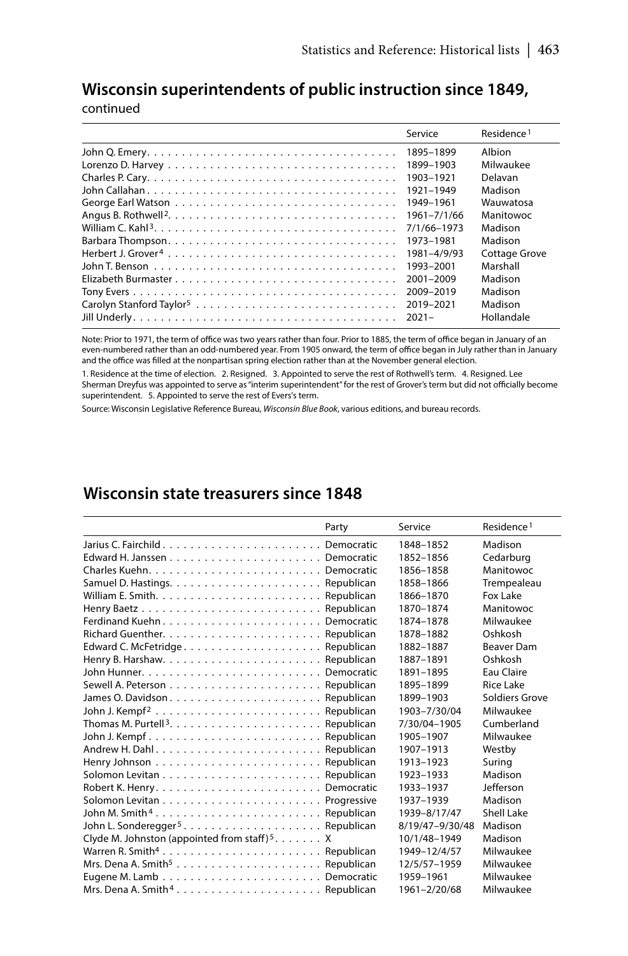# **Wisconsin superintendents of public instruction since 1849,**

continued

| Service     | Residence <sup>1</sup> |
|-------------|------------------------|
| 1895-1899   | Albion                 |
| 1899-1903   | Milwaukee              |
| 1903-1921   | <b>Delavan</b>         |
| 1921-1949   | Madison                |
| 1949-1961   | Wauwatosa              |
| 1961-7/1/66 | Manitowoc              |
| 7/1/66-1973 | Madison                |
| 1973-1981   | Madison                |
| 1981-4/9/93 | Cottage Grove          |
| 1993-2001   | Marshall               |
| 2001-2009   | Madison                |
| 2009-2019   | Madison                |
| 2019-2021   | Madison                |
| $2021 -$    | Hollandale             |

Note: Prior to 1971, the term of office was two years rather than four. Prior to 1885, the term of office began in January of an even-numbered rather than an odd-numbered year. From 1905 onward, the term of office began in July rather than in January and the office was filled at the nonpartisan spring election rather than at the November general election.

1. Residence at the time of election. 2. Resigned. 3. Appointed to serve the rest of Rothwell's term. 4. Resigned. Lee Sherman Dreyfus was appointed to serve as "interim superintendent" for the rest of Grover's term but did not officially become superintendent. 5. Appointed to serve the rest of Evers's term.

Source: Wisconsin Legislative Reference Bureau, *Wisconsin Blue Book*, various editions, and bureau records.

### **Wisconsin state treasurers since 1848**

|                                                           | Party | Service         | Residence <sup>1</sup> |
|-----------------------------------------------------------|-------|-----------------|------------------------|
|                                                           |       | 1848-1852       | Madison                |
|                                                           |       | 1852-1856       | Cedarburg              |
|                                                           |       | 1856-1858       | Manitowoc              |
|                                                           |       | 1858-1866       | Trempealeau            |
|                                                           |       | 1866-1870       | Fox Lake               |
|                                                           |       | 1870-1874       | Manitowoc              |
|                                                           |       | 1874-1878       | Milwaukee              |
|                                                           |       | 1878-1882       | Oshkosh                |
|                                                           |       | 1882-1887       | <b>Beaver Dam</b>      |
|                                                           |       | 1887-1891       | Oshkosh                |
|                                                           |       | 1891-1895       | Eau Claire             |
|                                                           |       | 1895-1899       | <b>Rice Lake</b>       |
|                                                           |       | 1899-1903       | Soldiers Grove         |
|                                                           |       | 1903-7/30/04    | Milwaukee              |
|                                                           |       | 7/30/04-1905    | Cumberland             |
|                                                           |       | 1905-1907       | Milwaukee              |
|                                                           |       | 1907-1913       | Westby                 |
|                                                           |       | 1913-1923       | Suring                 |
|                                                           |       | 1923-1933       | Madison                |
|                                                           |       | 1933-1937       | Jefferson              |
|                                                           |       | 1937-1939       | Madison                |
|                                                           |       | 1939-8/17/47    | Shell Lake             |
| John L. Sonderegger <sup>5</sup> Republican               |       | 8/19/47-9/30/48 | Madison                |
| Clyde M. Johnston (appointed from staff) <sup>5</sup> . X |       | 10/1/48-1949    | Madison                |
|                                                           |       | 1949-12/4/57    | Milwaukee              |
|                                                           |       | 12/5/57-1959    | Milwaukee              |
|                                                           |       | 1959-1961       | Milwaukee              |
|                                                           |       | 1961-2/20/68    | Milwaukee              |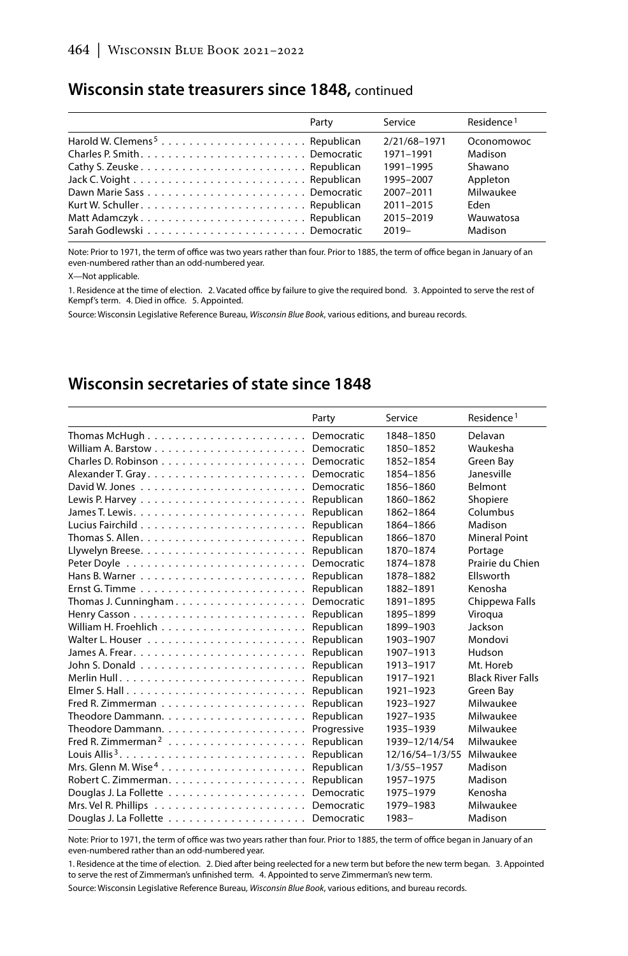### **Wisconsin state treasurers since 1848,** continued

| Harold W. Clemens <sup>5</sup> Republican | 2/21/68-1971<br>1971-1991                                                | Oconomowoc<br>Madison                                            |
|-------------------------------------------|--------------------------------------------------------------------------|------------------------------------------------------------------|
| Matt AdamczykRepublican                   | 1991-1995<br>1995-2007<br>2007-2011<br>2011-2015<br>2015-2019<br>$2019-$ | Shawano<br>Appleton<br>Milwaukee<br>Eden<br>Wauwatosa<br>Madison |

Note: Prior to 1971, the term of office was two years rather than four. Prior to 1885, the term of office began in January of an even-numbered rather than an odd-numbered year.

X—Not applicable.

1. Residence at the time of election. 2. Vacated office by failure to give the required bond. 3. Appointed to serve the rest of Kempf's term. 4. Died in office. 5. Appointed.

Source: Wisconsin Legislative Reference Bureau, *Wisconsin Blue Book*, various editions, and bureau records.

### **Wisconsin secretaries of state since 1848**

|                                                               | Party       | Service         | Residence <sup>1</sup>   |
|---------------------------------------------------------------|-------------|-----------------|--------------------------|
|                                                               |             | 1848-1850       | Delavan                  |
|                                                               | Democratic  | 1850-1852       | Waukesha                 |
|                                                               | Democratic  | 1852-1854       | Green Bay                |
|                                                               | Democratic  | 1854-1856       | Janesville               |
|                                                               | Democratic  | 1856-1860       | Belmont                  |
|                                                               | Republican  | 1860-1862       | Shopiere                 |
|                                                               | Republican  | 1862-1864       | Columbus                 |
|                                                               | Republican  | 1864-1866       | Madison                  |
|                                                               | Republican  | 1866-1870       | <b>Mineral Point</b>     |
|                                                               | Republican  | 1870-1874       | Portage                  |
|                                                               | Democratic  | 1874-1878       | Prairie du Chien         |
| Hans B. Warner $\ldots \ldots \ldots \ldots \ldots \ldots$    | Republican  | 1878-1882       | Ellsworth                |
|                                                               | Republican  | 1882-1891       | Kenosha                  |
|                                                               | Democratic  | 1891-1895       | Chippewa Falls           |
|                                                               | Republican  | 1895-1899       | Viroqua                  |
|                                                               | Republican  | 1899-1903       | Jackson                  |
|                                                               | Republican  | 1903-1907       | Mondovi                  |
|                                                               | Republican  | 1907-1913       | Hudson                   |
|                                                               | Republican  | 1913-1917       | Mt. Horeb                |
|                                                               | Republican  | 1917-1921       | <b>Black River Falls</b> |
|                                                               | Republican  | 1921-1923       | Green Bay                |
| Fred R. Zimmerman $\ldots \ldots \ldots \ldots \ldots \ldots$ | Republican  | 1923-1927       | Milwaukee                |
|                                                               | Republican  | 1927-1935       | Milwaukee                |
|                                                               | Progressive | 1935-1939       | Milwaukee                |
|                                                               | Republican  | 1939-12/14/54   | Milwaukee                |
|                                                               | Republican  | 12/16/54-1/3/55 | Milwaukee                |
| Mrs. Glenn M. Wise $4, 1, 1, 1, 1, 1, 1, 1, 1, 1, 1, 1, 1, 1$ | Republican  | 1/3/55-1957     | Madison                  |
|                                                               | Republican  | 1957-1975       | Madison                  |
|                                                               | Democratic  | 1975-1979       | Kenosha                  |
|                                                               | Democratic  | 1979-1983       | Milwaukee                |
|                                                               | Democratic  | $1983 -$        | Madison                  |

Note: Prior to 1971, the term of office was two years rather than four. Prior to 1885, the term of office began in January of an even-numbered rather than an odd-numbered year.

1. Residence at the time of election. 2. Died after being reelected for a new term but before the new term began. 3. Appointed to serve the rest of Zimmerman's unfinished term. 4. Appointed to serve Zimmerman's new term.

Source: Wisconsin Legislative Reference Bureau, *Wisconsin Blue Book*, various editions, and bureau records.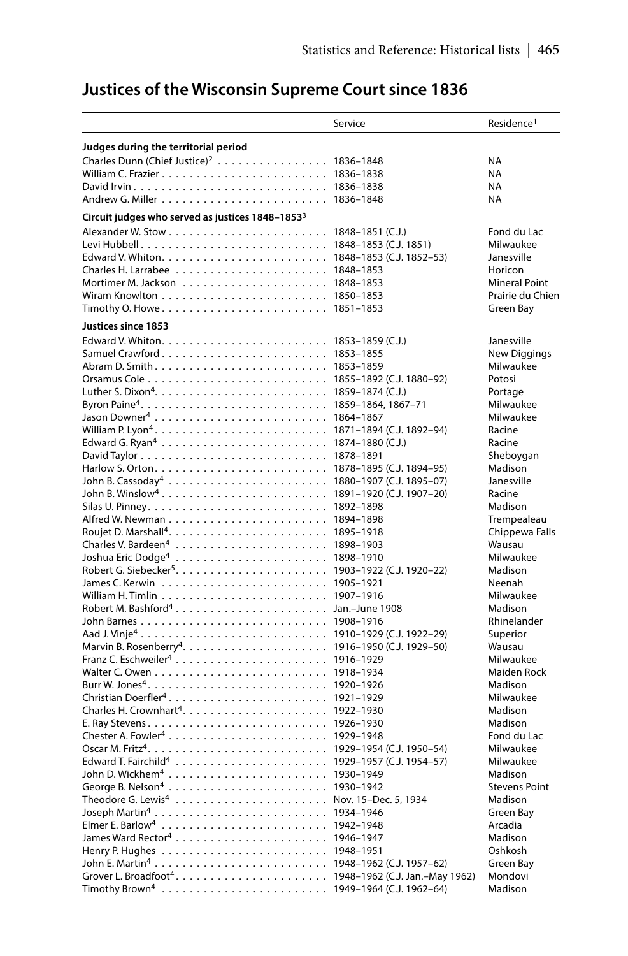# **Justices of the Wisconsin Supreme Court since 1836**

|                                                              | Service                  | Residence <sup>1</sup> |
|--------------------------------------------------------------|--------------------------|------------------------|
| Judges during the territorial period                         |                          |                        |
| Charles Dunn (Chief Justice) <sup>2</sup> 1836-1848          |                          | <b>NA</b>              |
|                                                              |                          | <b>NA</b>              |
|                                                              |                          | <b>NA</b>              |
|                                                              |                          | NA                     |
| Circuit judges who served as justices 1848-1853 <sup>3</sup> |                          |                        |
|                                                              |                          | Fond du Lac            |
|                                                              |                          | Milwaukee              |
|                                                              |                          | Janesville             |
|                                                              |                          | Horicon                |
|                                                              |                          | <b>Mineral Point</b>   |
|                                                              |                          | Prairie du Chien       |
| Timothy O. Howe 1851-1853                                    |                          | Green Bay              |
| Justices since 1853                                          |                          |                        |
|                                                              |                          | Janesville             |
|                                                              |                          | New Diggings           |
|                                                              | 1853-1859                | Milwaukee              |
|                                                              |                          | Potosi                 |
|                                                              |                          | Portage                |
|                                                              |                          | Milwaukee              |
|                                                              |                          | Milwaukee              |
|                                                              |                          | Racine                 |
|                                                              |                          | Racine                 |
|                                                              |                          | Sheboygan              |
|                                                              |                          | Madison                |
|                                                              |                          | Janesville             |
|                                                              |                          | Racine                 |
|                                                              |                          | Madison                |
|                                                              |                          | Trempealeau            |
|                                                              |                          | Chippewa Falls         |
|                                                              |                          | Wausau                 |
|                                                              |                          | Milwaukee              |
|                                                              |                          | Madison                |
|                                                              |                          | Neenah                 |
|                                                              |                          | Milwaukee              |
|                                                              |                          | Madison<br>Rhinelander |
|                                                              |                          | Superior               |
|                                                              |                          | Wausau                 |
|                                                              |                          | Milwaukee              |
|                                                              |                          | Maiden Rock            |
|                                                              |                          | Madison                |
|                                                              |                          | Milwaukee              |
|                                                              |                          | Madison                |
|                                                              |                          | Madison                |
|                                                              |                          | Fond du Lac            |
|                                                              |                          | Milwaukee              |
|                                                              |                          | Milwaukee              |
|                                                              |                          | Madison                |
|                                                              |                          | <b>Stevens Point</b>   |
|                                                              |                          | Madison                |
|                                                              |                          | Green Bay              |
|                                                              |                          | Arcadia                |
|                                                              |                          | Madison<br>Oshkosh     |
|                                                              |                          | Green Bay              |
|                                                              |                          | Mondovi                |
|                                                              | 1949-1964 (C.J. 1962-64) | Madison                |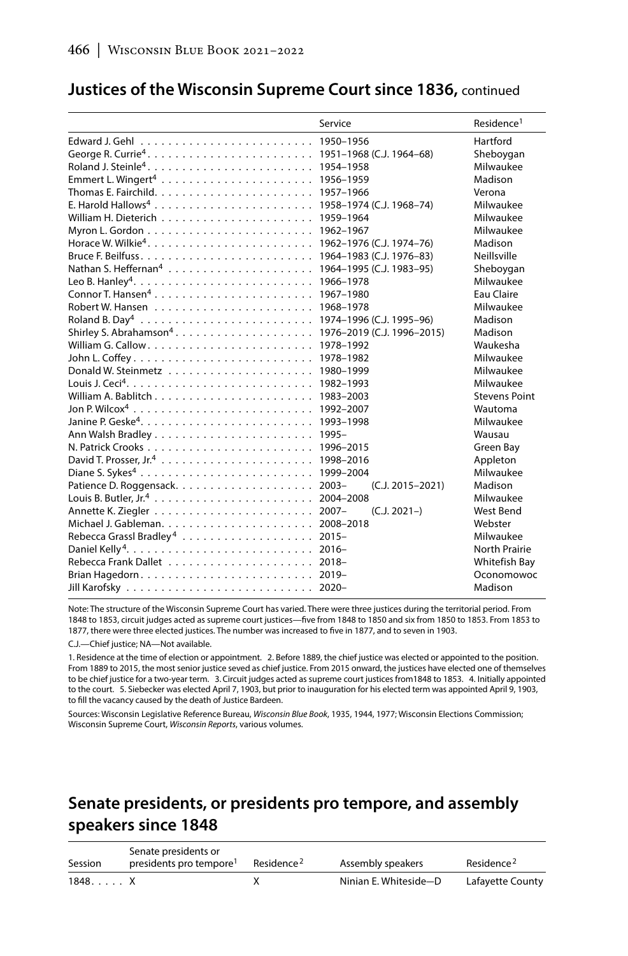### **Justices of the Wisconsin Supreme Court since 1836,** continued

|                                                               | Service              | Residence <sup>1</sup> |
|---------------------------------------------------------------|----------------------|------------------------|
|                                                               |                      | Hartford               |
|                                                               |                      | Sheboygan              |
|                                                               |                      | Milwaukee              |
|                                                               |                      | Madison                |
|                                                               |                      | Verona                 |
|                                                               |                      | Milwaukee              |
|                                                               |                      | Milwaukee              |
|                                                               |                      | Milwaukee              |
|                                                               |                      | Madison                |
|                                                               |                      | Neillsville            |
|                                                               |                      | Sheboygan              |
|                                                               |                      | Milwaukee              |
|                                                               |                      | Eau Claire             |
|                                                               |                      | Milwaukee              |
|                                                               |                      | Madison                |
| Shirley S. Abrahamson <sup>4</sup> 1976-2019 (C.J. 1996-2015) |                      | Madison                |
|                                                               |                      | Waukesha               |
|                                                               |                      | Milwaukee              |
|                                                               |                      | Milwaukee              |
|                                                               |                      | Milwaukee              |
|                                                               |                      | <b>Stevens Point</b>   |
|                                                               |                      | Wautoma                |
|                                                               |                      | Milwaukee              |
|                                                               |                      | Wausau                 |
|                                                               |                      | Green Bay              |
|                                                               |                      | Appleton               |
|                                                               |                      | Milwaukee              |
|                                                               | $(C.J. 2015 - 2021)$ | Madison                |
|                                                               |                      | Milwaukee              |
|                                                               | $(C.J. 2021-)$       | <b>West Bend</b>       |
|                                                               |                      | Webster                |
|                                                               |                      | Milwaukee              |
|                                                               |                      | <b>North Prairie</b>   |
|                                                               |                      | Whitefish Bay          |
|                                                               |                      | Oconomowoc             |
|                                                               |                      | Madison                |

Note: The structure of the Wisconsin Supreme Court has varied. There were three justices during the territorial period. From 1848 to 1853, circuit judges acted as supreme court justices—five from 1848 to 1850 and six from 1850 to 1853. From 1853 to 1877, there were three elected justices. The number was increased to five in 1877, and to seven in 1903.

C.J.—Chief justice; NA—Not available.

1. Residence at the time of election or appointment. 2. Before 1889, the chief justice was elected or appointed to the position. From 1889 to 2015, the most senior justice seved as chief justice. From 2015 onward, the justices have elected one of themselves to be chief justice for a two-year term. 3. Circuit judges acted as supreme court justices from1848 to 1853. 4. Initially appointed to the court. 5. Siebecker was elected April 7, 1903, but prior to inauguration for his elected term was appointed April 9, 1903, to fill the vacancy caused by the death of Justice Bardeen.

Sources: Wisconsin Legislative Reference Bureau, *Wisconsin Blue Book*, 1935, 1944, 1977; Wisconsin Elections Commission; Wisconsin Supreme Court, *Wisconsin Reports*, various volumes.

# **Senate presidents, or presidents pro tempore, and assembly speakers since 1848**

| Session    | Senate presidents or<br>presidents pro tempore <sup>1</sup> | Residence <sup>2</sup> | Assembly speakers     | Residence <sup>2</sup> |
|------------|-------------------------------------------------------------|------------------------|-----------------------|------------------------|
| $1848$ $X$ |                                                             |                        | Ninian E. Whiteside-D | Lafavette County       |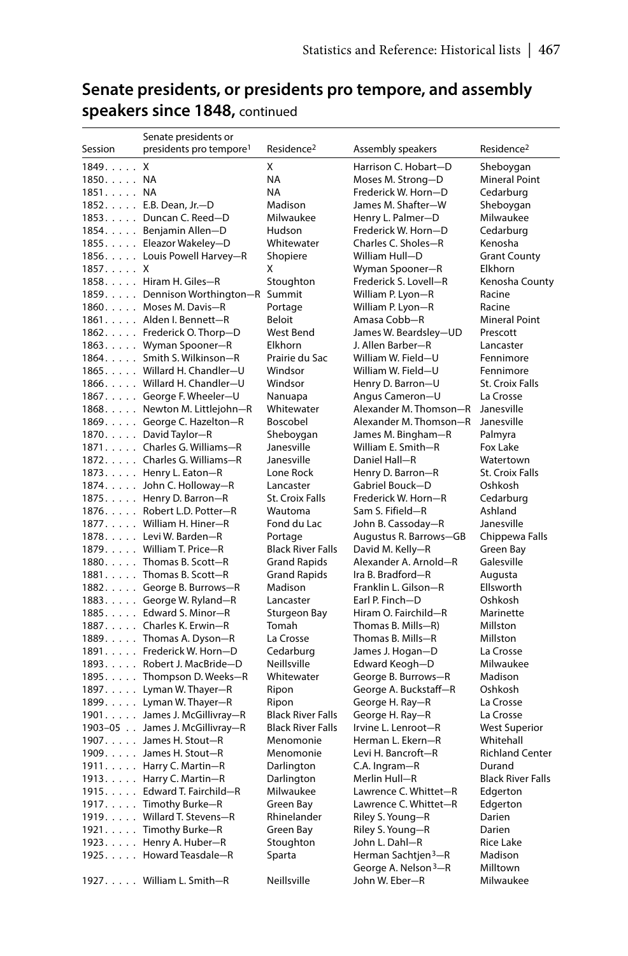|         | Senate presidents or                               |                          |                                  |                                    |
|---------|----------------------------------------------------|--------------------------|----------------------------------|------------------------------------|
| Session | presidents pro tempore <sup>1</sup>                | Residence <sup>2</sup>   | Assembly speakers                | Residence <sup>2</sup>             |
| 1849    | X                                                  | X                        | Harrison C. Hobart-D             | Sheboygan                          |
| 1850 NA |                                                    | <b>NA</b>                | Moses M. Strong-D                | <b>Mineral Point</b>               |
| 1851 NA |                                                    | <b>NA</b>                | Frederick W. Horn-D              | Cedarburg                          |
|         | 1852. E.B. Dean, Jr.-D                             | Madison                  | James M. Shafter—W               | Sheboygan                          |
|         | 1853. Duncan C. Reed-D                             | Milwaukee                | Henry L. Palmer-D                | Milwaukee                          |
|         | 1854. Benjamin Allen-D                             | Hudson                   | Frederick W. Horn-D              | Cedarburg                          |
|         | 1855. Eleazor Wakeley-D                            | Whitewater               | Charles C. Sholes-R              | Kenosha                            |
|         | 1856. Louis Powell Harvey-R                        | Shopiere                 | William Hull-D                   | <b>Grant County</b>                |
| 1857. X |                                                    | X                        | Wyman Spooner-R                  | Elkhorn                            |
|         | 1858. Hiram H. Giles-R                             | Stoughton                | Frederick S. Lovell-R            | Kenosha County                     |
|         | 1859. Dennison Worthington-R Summit                |                          | William P. Lyon-R                | Racine                             |
|         | 1860. Moses M. Davis-R                             | Portage                  | William P. Lyon-R                | Racine                             |
|         | 1861. Alden I. Bennett-R                           | <b>Beloit</b>            | Amasa Cobb-R                     | <b>Mineral Point</b>               |
|         | 1862. Frederick O. Thorp-D                         | West Bend                | James W. Beardsley-UD            | Prescott                           |
|         | 1863. Wyman Spooner-R                              | Elkhorn                  | J. Allen Barber-R                | Lancaster                          |
|         | 1864. Smith S. Wilkinson-R                         | Prairie du Sac           | William W. Field-U               | Fennimore                          |
|         | 1865 Willard H. Chandler-U                         | Windsor                  | William W. Field-U               | Fennimore                          |
|         | 1866. Willard H. Chandler-U                        | Windsor                  | Henry D. Barron-U                | St. Croix Falls                    |
|         | 1867 George F. Wheeler-U                           | Nanuapa                  | Angus Cameron-U                  | La Crosse                          |
|         | 1868. Newton M. Littlejohn-R                       | Whitewater               | Alexander M. Thomson-R           | Janesville                         |
|         | 1869. George C. Hazelton-R                         | Boscobel                 | Alexander M. Thomson-R           | Janesville                         |
|         | 1870. David Taylor-R                               | Sheboygan                | James M. Bingham-R               | Palmyra                            |
|         | 1871. Charles G. Williams-R                        | Janesville               | William E. Smith-R               | Fox Lake                           |
|         | 1872. Charles G. Williams-R                        | Janesville               | Daniel Hall-R                    | Watertown                          |
|         | 1873. Henry L. Eaton-R                             | Lone Rock                | Henry D. Barron-R                | St. Croix Falls                    |
|         | 1874. John C. Holloway-R                           | Lancaster                | Gabriel Bouck-D                  | Oshkosh                            |
|         | 1875. Henry D. Barron-R                            | St. Croix Falls          | Frederick W. Horn-R              | Cedarburg                          |
|         | 1876. Robert L.D. Potter-R                         | Wautoma                  | Sam S. Fifield-R                 | Ashland                            |
|         | 1877. William H. Hiner-R                           | Fond du Lac              | John B. Cassoday-R               | Janesville                         |
|         | 1878. Levi W. Barden-R                             | Portage                  | Augustus R. Barrows-GB           | Chippewa Falls                     |
|         | 1879. William T. Price-R                           | <b>Black River Falls</b> | David M. Kelly-R                 | Green Bay                          |
|         | 1880. Thomas B. Scott-R                            | <b>Grand Rapids</b>      | Alexander A. Arnold-R            | Galesville                         |
|         | 1881. Thomas B. Scott-R                            | <b>Grand Rapids</b>      | Ira B. Bradford-R                | Augusta                            |
|         | 1882. George B. Burrows-R                          | Madison                  | Franklin L. Gilson-R             | Ellsworth                          |
|         | 1883 George W. Ryland-R                            | Lancaster                | Earl P. Finch-D                  | Oshkosh                            |
|         | 1885 Edward S. Minor-R                             | Sturgeon Bay             | Hiram O. Fairchild-R             | Marinette                          |
|         | 1887 Charles K. Erwin-R                            | Tomah                    | Thomas B. Mills-R)               | Millston                           |
|         | 1889. Thomas A. Dyson-R                            | La Crosse                | Thomas B. Mills-R                | Millston                           |
|         | 1891. Frederick W. Horn-D                          | Cedarburg                | James J. Hogan-D                 | La Crosse                          |
|         | 1893 Robert J. MacBride-D                          | Neillsville              | Edward Keogh-D                   | Milwaukee                          |
|         | 1895 Thompson D. Weeks-R                           | Whitewater               | George B. Burrows-R              | Madison                            |
|         | 1897. Lyman W. Thayer-R                            | Ripon                    | George A. Buckstaff-R            | Oshkosh                            |
|         | 1899. Lyman W. Thayer-R                            | Ripon                    | George H. Ray-R                  | La Crosse                          |
|         | 1901. James J. McGillivray-R                       | <b>Black River Falls</b> | George H. Ray-R                  | La Crosse                          |
|         | 1903-05 James J. McGillivray-R                     | <b>Black River Falls</b> | Irvine L. Lenroot-R              | <b>West Superior</b>               |
|         | 1907. James H. Stout-R                             | Menomonie                | Herman L. Ekern-R                | Whitehall                          |
|         | 1909. James H. Stout-R                             | Menomonie                | Levi H. Bancroft-R               | <b>Richland Center</b>             |
|         |                                                    |                          |                                  |                                    |
|         | 1911. Harry C. Martin-R<br>1913. Harry C. Martin-R | Darlington<br>Darlington | C.A. Ingram-R<br>Merlin Hull-R   | Durand<br><b>Black River Falls</b> |
|         |                                                    |                          |                                  |                                    |
|         | 1915. Edward T. Fairchild-R                        | Milwaukee                | Lawrence C. Whittet-R            | Edgerton                           |
|         | 1917. Timothy Burke-R                              | Green Bay                | Lawrence C. Whittet-R            | Edgerton                           |
|         | 1919. Willard T. Stevens-R                         | Rhinelander              | Riley S. Young-R                 | Darien                             |
|         | 1921. Timothy Burke-R                              | Green Bay                | Riley S. Young-R                 | Darien                             |
|         | 1923. Henry A. Huber-R                             | Stoughton                | John L. Dahl—R                   | Rice Lake                          |
|         | 1925. Howard Teasdale-R                            | Sparta                   | Herman Sachtjen <sup>3</sup> -R  | Madison                            |
|         |                                                    |                          | George A. Nelson <sup>3</sup> -R | Milltown                           |
|         | $1927$ William L. Smith-R                          | Neillsville              | John W. Eber—R                   | Milwaukee                          |

# **Senate presidents, or presidents pro tempore, and assembly speakers since 1848,** continued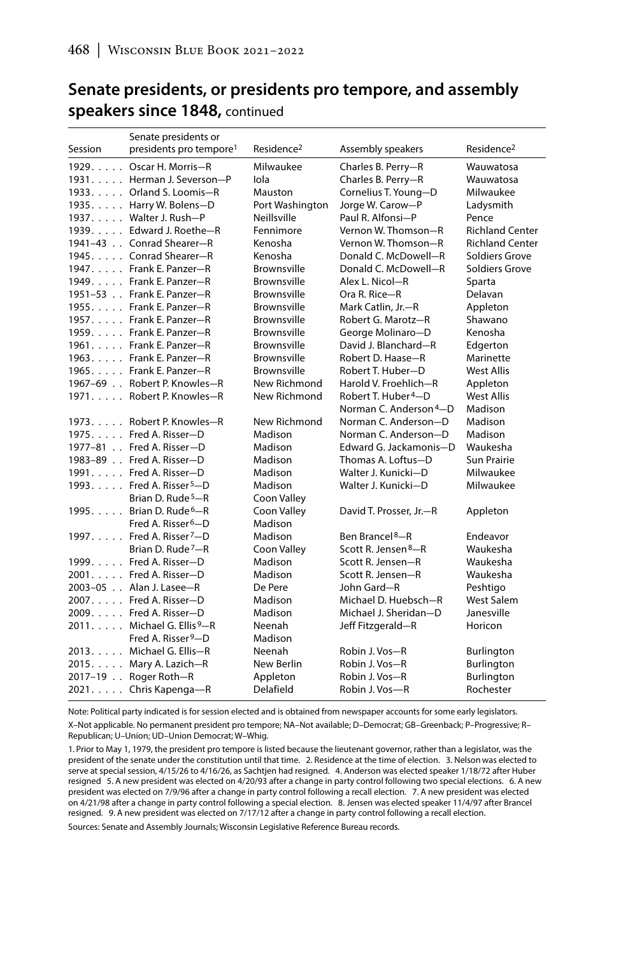### **Senate presidents, or presidents pro tempore, and assembly speakers since 1848,** continued

|         | Senate presidents or                  |                        |                                    |                        |
|---------|---------------------------------------|------------------------|------------------------------------|------------------------|
| Session | presidents pro tempore <sup>1</sup>   | Residence <sup>2</sup> | Assembly speakers                  | Residence <sup>2</sup> |
|         | 1929. Oscar H. Morris-R               | Milwaukee              | Charles B. Perry-R                 | Wauwatosa              |
|         | 1931. Herman J. Severson-P            | lola                   | Charles B. Perry-R                 | Wauwatosa              |
|         | 1933. Orland S. Loomis-R              | Mauston                | Cornelius T. Young-D               | Milwaukee              |
|         | 1935. Harry W. Bolens-D               | Port Washington        | Jorge W. Carow-P                   | Ladysmith              |
|         | 1937. Walter J. Rush-P                | Neillsville            | Paul R. Alfonsi-P                  | Pence                  |
|         | 1939. Edward J. Roethe-R              | Fennimore              | Vernon W. Thomson-R                | <b>Richland Center</b> |
|         | 1941-43 Conrad Shearer-R              | Kenosha                | Vernon W. Thomson-R                | <b>Richland Center</b> |
|         | 1945. Conrad Shearer-R                | Kenosha                | Donald C. McDowell-R               | Soldiers Grove         |
|         | 1947. Frank E. Panzer-R               | <b>Brownsville</b>     | Donald C. McDowell-R               | Soldiers Grove         |
|         | 1949. Frank E. Panzer-R               | Brownsville            | Alex L. Nicol-R                    | Sparta                 |
|         | 1951-53 Frank E. Panzer-R             | Brownsville            | Ora R. Rice-R                      | Delavan                |
|         | 1955. Frank E. Panzer-R               | Brownsville            | Mark Catlin, Jr.—R                 | Appleton               |
|         | 1957. Frank E. Panzer-R               | Brownsville            | Robert G. Marotz-R                 | Shawano                |
|         | 1959. Frank E. Panzer-R               | Brownsville            | George Molinaro-D                  | Kenosha                |
|         | 1961. Frank E. Panzer-R               | Brownsville            | David J. Blanchard-R               | Edgerton               |
|         | 1963. Frank E. Panzer-R               | Brownsville            | Robert D. Haase-R                  | Marinette              |
|         | 1965. Frank E. Panzer-R               | <b>Brownsville</b>     | Robert T. Huber-D                  | <b>West Allis</b>      |
|         | 1967-69 Robert P. Knowles-R           | New Richmond           | Harold V. Froehlich-R              | Appleton               |
|         | 1971 Robert P. Knowles-R              | New Richmond           | Robert T. Huber <sup>4</sup> -D    | <b>West Allis</b>      |
|         |                                       |                        | Norman C. Anderson <sup>4</sup> -D | Madison                |
|         | 1973. Robert P. Knowles-R             | New Richmond           | Norman C. Anderson-D               | Madison                |
|         | 1975 Fred A. Risser-D                 | Madison                | Norman C. Anderson-D               | Madison                |
|         | 1977-81 Fred A. Risser-D              | Madison                | Edward G. Jackamonis-D             | Waukesha               |
|         | 1983-89 Fred A. Risser-D              | Madison                | Thomas A. Loftus-D                 | Sun Prairie            |
|         | 1991 Fred A. Risser-D                 | Madison                | Walter J. Kunicki-D                | Milwaukee              |
|         | 1993 Fred A. Risser <sup>5</sup> -D   | Madison                | Walter J. Kunicki-D                | Milwaukee              |
|         | Brian D. Rude <sup>5</sup> -R         | Coon Valley            |                                    |                        |
|         | 1995 Brian D. Rude <sup>6</sup> -R    | Coon Valley            | David T. Prosser, Jr.-R            | Appleton               |
|         | Fred A. Risser <sup>6</sup> -D        | Madison                |                                    |                        |
|         | 1997. Fred A. Risser <sup>7</sup> -D  | Madison                | Ben Brancel <sup>8</sup> -R        | Endeavor               |
|         | Brian D. Rude <sup>7</sup> -R         | Coon Valley            | Scott R. Jensen <sup>8</sup> -R    | Waukesha               |
|         | 1999 Fred A. Risser-D                 | Madison                | Scott R. Jensen-R                  | Waukesha               |
|         | 2001. Fred A. Risser-D                | Madison                | Scott R. Jensen-R                  | Waukesha               |
|         | 2003-05 Alan J. Lasee-R               | De Pere                | John Gard-R                        | Peshtigo               |
|         | 2007 Fred A. Risser-D                 | Madison                | Michael D. Huebsch-R               | <b>West Salem</b>      |
|         | 2009. Fred A. Risser-D                | Madison                | Michael J. Sheridan-D              | Janesville             |
|         | 2011 Michael G. Ellis <sup>9</sup> —R | Neenah                 | Jeff Fitzgerald-R                  | Horicon                |
|         | Fred A. Risser <sup>9</sup> -D        | Madison                |                                    |                        |
|         | 2013. Michael G. Ellis-R              | Neenah                 | Robin J. Vos-R                     | Burlington             |
|         | 2015. Mary A. Lazich-R                | New Berlin             | Robin J. Vos-R                     | Burlington             |
|         | 2017-19 Roger Roth-R                  | Appleton               | Robin J. Vos-R                     | Burlington             |
|         | 2021. Chris Kapenga-R                 | Delafield              | Robin J. Vos-R                     | Rochester              |

Note: Political party indicated is for session elected and is obtained from newspaper accounts for some early legislators. X–Not applicable. No permanent president pro tempore; NA–Not available; D–Democrat; GB–Greenback; P–Progressive; R– Republican; U–Union; UD–Union Democrat; W–Whig.

1. Prior to May 1, 1979, the president pro tempore is listed because the lieutenant governor, rather than a legislator, was the president of the senate under the constitution until that time. 2. Residence at the time of election. 3. Nelson was elected to serve at special session, 4/15/26 to 4/16/26, as Sachtjen had resigned. 4. Anderson was elected speaker 1/18/72 after Huber resigned 5. A new president was elected on 4/20/93 after a change in party control following two special elections. 6. A new president was elected on 7/9/96 after a change in party control following a recall election. 7. A new president was elected on 4/21/98 after a change in party control following a special election. 8. Jensen was elected speaker 11/4/97 after Brancel resigned. 9. A new president was elected on 7/17/12 after a change in party control following a recall election.

Sources: Senate and Assembly Journals; Wisconsin Legislative Reference Bureau records.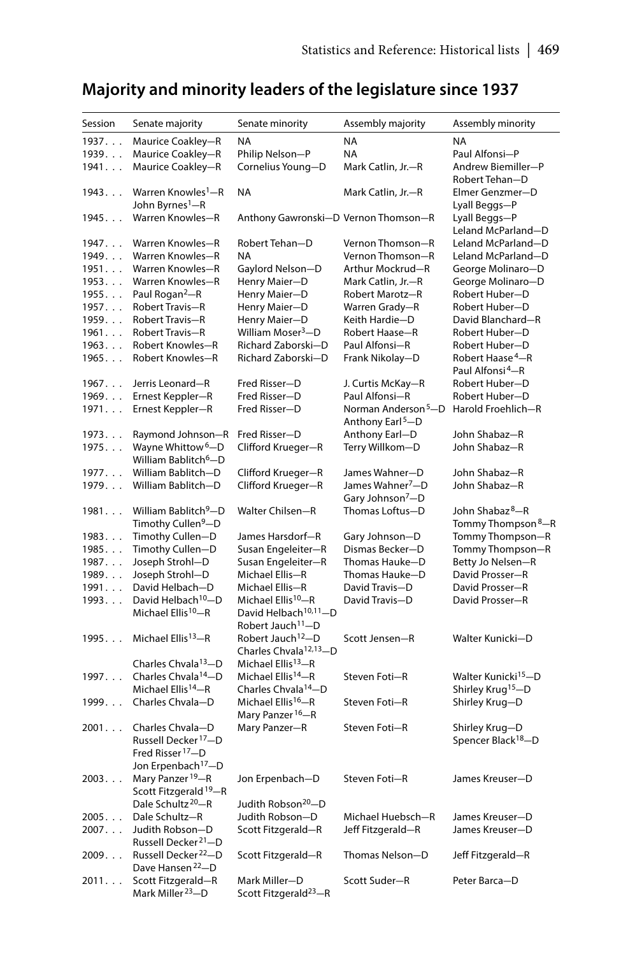# **Majority and minority leaders of the legislature since 1937**

| Session | Senate majority                                    | Senate minority                      | Assembly majority               | Assembly minority               |
|---------|----------------------------------------------------|--------------------------------------|---------------------------------|---------------------------------|
| 1937.   | Maurice Coakley-R                                  | <b>NA</b>                            | <b>NA</b>                       | <b>NA</b>                       |
| 1939    | Maurice Coakley-R                                  | Philip Nelson-P                      | <b>NA</b>                       | Paul Alfonsi-P                  |
| 1941    | Maurice Coakley-R                                  | Cornelius Young-D                    | Mark Catlin, Jr.—R              | Andrew Biemiller-P              |
|         |                                                    |                                      |                                 | Robert Tehan-D                  |
| 1943    | Warren Knowles <sup>1</sup> -R                     | <b>NA</b>                            | Mark Catlin, Jr.-R              | Elmer Genzmer-D                 |
|         | John Byrnes <sup>1</sup> -R                        |                                      |                                 | Lyall Beggs-P                   |
| 1945    | Warren Knowles-R                                   | Anthony Gawronski-D Vernon Thomson-R |                                 | Lyall Beggs-P                   |
|         |                                                    |                                      |                                 | Leland McParland-D              |
| 1947    | Warren Knowles-R                                   | Robert Tehan-D                       | Vernon Thomson-R                | Leland McParland-D              |
| 1949    | Warren Knowles-R                                   | <b>NA</b>                            | Vernon Thomson-R                | Leland McParland-D              |
| 1951    | Warren Knowles-R                                   | Gaylord Nelson-D                     | Arthur Mockrud-R                | George Molinaro-D               |
| 1953    | Warren Knowles-R                                   | Henry Maier-D                        | Mark Catlin, Jr.-R              | George Molinaro-D               |
| 1955    | Paul Rogan <sup>2</sup> -R                         | Henry Maier-D                        | Robert Marotz-R                 | Robert Huber-D                  |
| 1957.   | Robert Travis-R                                    | Henry Maier-D                        | Warren Grady-R                  | Robert Huber-D                  |
| 1959    | Robert Travis-R                                    | Henry Maier-D                        | Keith Hardie-D                  | David Blanchard-R               |
| 1961    | Robert Travis-R                                    | William Moser <sup>3</sup> -D        | Robert Haase-R                  | Robert Huber-D                  |
| 1963    | Robert Knowles-R                                   | Richard Zaborski-D                   | Paul Alfonsi-R                  | Robert Huber-D                  |
| 1965    | Robert Knowles-R                                   | Richard Zaborski-D                   | Frank Nikolay-D                 | Robert Haase <sup>4</sup> -R    |
|         |                                                    |                                      |                                 | Paul Alfonsi <sup>4</sup> -R    |
| 1967.   | Jerris Leonard-R                                   | Fred Risser-D                        | J. Curtis McKay-R               | Robert Huber-D                  |
| 1969    | Ernest Keppler-R                                   | Fred Risser-D                        | Paul Alfonsi-R                  | Robert Huber-D                  |
| 1971    | Ernest Keppler-R                                   | Fred Risser-D                        | Norman Anderson <sup>5</sup> -D | Harold Froehlich-R              |
|         |                                                    |                                      | Anthony Earl <sup>5</sup> -D    |                                 |
| 1973    | Raymond Johnson-R                                  | Fred Risser-D                        | Anthony Earl-D                  | John Shabaz-R                   |
| 1975    | Wayne Whittow <sup>6</sup> -D                      | Clifford Krueger-R                   | Terry Willkom-D                 | John Shabaz-R                   |
|         | William Bablitch <sup>6</sup> -D                   |                                      |                                 |                                 |
| 1977    | William Bablitch-D                                 | Clifford Krueger-R                   | James Wahner-D                  | John Shabaz—R                   |
| 1979    | William Bablitch-D                                 | Clifford Krueger-R                   | James Wahner <sup>7</sup> -D    | John Shabaz-R                   |
|         |                                                    |                                      | Gary Johnson <sup>7</sup> -D    |                                 |
| 1981    | William Bablitch <sup>9</sup> -D                   | Walter Chilsen-R                     | Thomas Loftus-D                 | John Shabaz <sup>8</sup> -R     |
|         | Timothy Cullen <sup>9</sup> -D                     |                                      |                                 | Tommy Thompson <sup>8</sup> -R  |
| 1983    | Timothy Cullen-D                                   | James Harsdorf-R                     | Gary Johnson-D                  | Tommy Thompson-R                |
| 1985    | Timothy Cullen-D                                   | Susan Engeleiter-R                   | Dismas Becker-D                 | Tommy Thompson-R                |
| 1987    | Joseph Strohl-D                                    | Susan Engeleiter-R                   | Thomas Hauke-D                  | Betty Jo Nelsen-R               |
| 1989    | Joseph Strohl-D                                    | Michael Ellis-R                      | Thomas Hauke-D                  | David Prosser-R                 |
| 1991.   | David Helbach-D                                    | Michael Ellis-R                      | David Travis-D                  | David Prosser-R                 |
| 1993    | David Helbach <sup>10</sup> -D                     | Michael Ellis <sup>10</sup> -R       | David Travis-D                  | David Prosser-R                 |
|         | Michael Ellis <sup>10</sup> -R                     | David Helbach <sup>10,11</sup> -D    |                                 |                                 |
|         |                                                    | Robert Jauch <sup>11</sup> -D        |                                 |                                 |
| 1995    | Michael Ellis <sup>13</sup> -R                     | Robert Jauch <sup>12</sup> -D        | Scott Jensen-R                  | Walter Kunicki-D                |
|         |                                                    | Charles Chvala <sup>12,13</sup> -D   |                                 |                                 |
|         | Charles Chvala <sup>13</sup> -D                    | Michael Ellis <sup>13</sup> -R       |                                 |                                 |
| 1997.   | Charles Chvala <sup>14</sup> -D                    | Michael Ellis <sup>14</sup> -R       | Steven Foti-R                   | Walter Kunicki <sup>15</sup> -D |
|         | Michael Ellis <sup>14</sup> -R                     | Charles Chvala <sup>14</sup> -D      |                                 | Shirley Krug <sup>15</sup> -D   |
| 1999.   | Charles Chvala-D                                   | Michael Ellis <sup>16</sup> -R       | Steven Foti-R                   | Shirley Krug-D                  |
|         |                                                    | Mary Panzer <sup>16</sup> -R         |                                 |                                 |
| 2001    | Charles Chvala-D                                   | Mary Panzer-R                        | Steven Foti-R                   | Shirley Krug-D                  |
|         | Russell Decker <sup>17</sup> -D                    |                                      |                                 | Spencer Black <sup>18</sup> -D  |
|         | Fred Risser <sup>17</sup> -D                       |                                      |                                 |                                 |
|         | Jon Erpenbach <sup>17</sup> -D                     |                                      |                                 |                                 |
| 2003    | Mary Panzer <sup>19</sup> -R                       | Jon Erpenbach-D                      | Steven Foti-R                   | James Kreuser-D                 |
|         | Scott Fitzgerald <sup>19</sup> -R                  |                                      |                                 |                                 |
|         | Dale Schultz <sup>20</sup> -R                      | Judith Robson <sup>20</sup> -D       |                                 |                                 |
| 2005    | Dale Schultz-R                                     | Judith Robson-D                      | Michael Huebsch-R               | James Kreuser-D                 |
| 2007.   | Judith Robson-D                                    | Scott Fitzgerald-R                   | Jeff Fitzgerald-R               | James Kreuser-D                 |
|         | Russell Decker <sup>21</sup> -D                    |                                      |                                 |                                 |
| 2009.   | Russell Decker <sup>22</sup> -D                    | Scott Fitzgerald-R                   | Thomas Nelson-D                 | Jeff Fitzgerald-R               |
| 2011    | Dave Hansen <sup>22</sup> -D<br>Scott Fitzgerald-R | Mark Miller-D                        | Scott Suder-R                   | Peter Barca-D                   |
|         | Mark Miller <sup>23</sup> -D                       | Scott Fitzgerald <sup>23</sup> -R    |                                 |                                 |
|         |                                                    |                                      |                                 |                                 |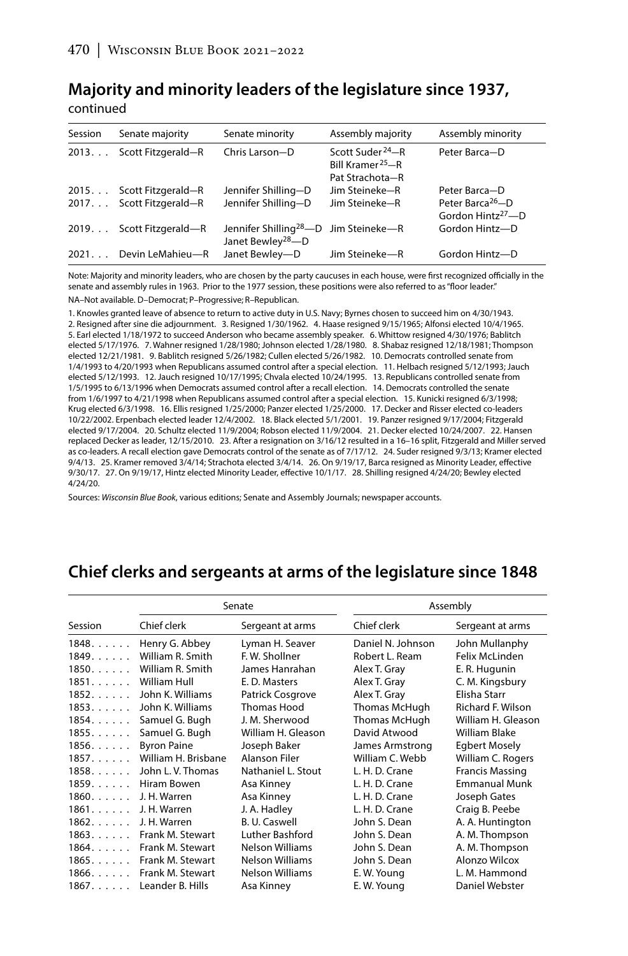### **Majority and minority leaders of the legislature since 1937,**

continued

| Session | Senate majority                                | Senate minority                                                                    | Assembly majority                                                               | Assembly minority                                                              |
|---------|------------------------------------------------|------------------------------------------------------------------------------------|---------------------------------------------------------------------------------|--------------------------------------------------------------------------------|
|         | 2013 Scott Fitzgerald-R                        | Chris Larson-D                                                                     | Scott Suder <sup>24</sup> -R<br>Bill Kramer <sup>25</sup> -R<br>Pat Strachota-R | Peter Barca-D                                                                  |
| 2015    | Scott Fitzgerald—R<br>2017. Scott Fitzgerald-R | Jennifer Shilling-D<br>Jennifer Shilling-D                                         | Jim Steineke-R<br>Jim Steineke-R                                                | Peter Barca-D<br>Peter Barca <sup>26</sup> -D<br>Gordon Hintz <sup>27</sup> -D |
|         | 2019. Scott Fitzgerald-R                       | Jennifer Shilling <sup>28</sup> -D Jim Steineke-R<br>Janet Bewley <sup>28</sup> -D |                                                                                 | Gordon Hintz-D                                                                 |
| 2021    | Devin LeMahieu-R                               | Janet Bewley-D                                                                     | Jim Steineke-R                                                                  | Gordon Hintz-D                                                                 |

Note: Majority and minority leaders, who are chosen by the party caucuses in each house, were first recognized officially in the senate and assembly rules in 1963. Prior to the 1977 session, these positions were also referred to as "floor leader." NA–Not available. D–Democrat; P–Progressive; R–Republican.

1. Knowles granted leave of absence to return to active duty in U.S. Navy; Byrnes chosen to succeed him on 4/30/1943. 2. Resigned after sine die adjournment. 3. Resigned 1/30/1962. 4. Haase resigned 9/15/1965; Alfonsi elected 10/4/1965. 5. Earl elected 1/18/1972 to succeed Anderson who became assembly speaker. 6. Whittow resigned 4/30/1976; Bablitch elected 5/17/1976. 7. Wahner resigned 1/28/1980; Johnson elected 1/28/1980. 8. Shabaz resigned 12/18/1981; Thompson elected 12/21/1981. 9. Bablitch resigned 5/26/1982; Cullen elected 5/26/1982. 10. Democrats controlled senate from 1/4/1993 to 4/20/1993 when Republicans assumed control after a special election. 11. Helbach resigned 5/12/1993; Jauch elected 5/12/1993. 12. Jauch resigned 10/17/1995; Chvala elected 10/24/1995. 13. Republicans controlled senate from 1/5/1995 to 6/13/1996 when Democrats assumed control after a recall election. 14. Democrats controlled the senate from 1/6/1997 to 4/21/1998 when Republicans assumed control after a special election. 15. Kunicki resigned 6/3/1998; Krug elected 6/3/1998. 16. Ellis resigned 1/25/2000; Panzer elected 1/25/2000. 17. Decker and Risser elected co-leaders 10/22/2002. Erpenbach elected leader 12/4/2002. 18. Black elected 5/1/2001. 19. Panzer resigned 9/17/2004; Fitzgerald elected 9/17/2004. 20. Schultz elected 11/9/2004; Robson elected 11/9/2004. 21. Decker elected 10/24/2007. 22. Hansen replaced Decker as leader, 12/15/2010. 23. After a resignation on 3/16/12 resulted in a 16–16 split, Fitzgerald and Miller served as co-leaders. A recall election gave Democrats control of the senate as of 7/17/12. 24. Suder resigned 9/3/13; Kramer elected 9/4/13. 25. Kramer removed 3/4/14; Strachota elected 3/4/14. 26. On 9/19/17, Barca resigned as Minority Leader, effective 9/30/17. 27. On 9/19/17, Hintz elected Minority Leader, effective 10/1/17. 28. Shilling resigned 4/24/20; Bewley elected 4/24/20.

Sources: *Wisconsin Blue Book*, various editions; Senate and Assembly Journals; newspaper accounts.

### **Chief clerks and sergeants at arms of the legislature since 1848**

|                  |                       | Senate                 | Assembly             |                          |  |
|------------------|-----------------------|------------------------|----------------------|--------------------------|--|
| Session          | Chief clerk           | Sergeant at arms       | Chief clerk          | Sergeant at arms         |  |
| $1848. \ldots$ . | Henry G. Abbey        | Lyman H. Seaver        | Daniel N. Johnson    | John Mullanphy           |  |
| 1849.            | William R. Smith      | F.W. Shollner          | Robert L. Ream       | Felix McLinden           |  |
| 1850             | William R. Smith      | James Hanrahan         | Alex T. Gray         | E. R. Hugunin            |  |
| 1851.            | William Hull          | E. D. Masters          | Alex T. Gray         | C. M. Kingsbury          |  |
| 1852             | John K. Williams      | Patrick Cosgrove       | Alex T. Gray         | Elisha Starr             |  |
| 1853             | John K. Williams      | <b>Thomas Hood</b>     | <b>Thomas McHugh</b> | <b>Richard F. Wilson</b> |  |
| $1854. \ldots$ . | Samuel G. Bugh        | J. M. Sherwood         | Thomas McHugh        | William H. Gleason       |  |
| 1855.            | Samuel G. Bugh        | William H. Gleason     | David Atwood         | William Blake            |  |
| $1856. \ldots$ . | <b>Byron Paine</b>    | Joseph Baker           | James Armstrong      | <b>Egbert Mosely</b>     |  |
| $1857.$          | William H. Brisbane   | Alanson Filer          | William C. Webb      | William C. Rogers        |  |
| 1858.            | John L.V. Thomas      | Nathaniel L. Stout     | L. H. D. Crane       | <b>Francis Massing</b>   |  |
| 1859.            | Hiram Bowen           | Asa Kinney             | L. H. D. Crane       | <b>Emmanual Munk</b>     |  |
| $1860. \ldots$ . | J. H. Warren          | Asa Kinney             | L. H. D. Crane       | Joseph Gates             |  |
| 1861.            | J. H. Warren          | J. A. Hadley           | L. H. D. Crane       | Craig B. Peebe           |  |
| $1862. \ldots$ . | J. H. Warren          | B. U. Caswell          | John S. Dean         | A. A. Huntington         |  |
| 1863             | Frank M. Stewart      | Luther Bashford        | John S. Dean         | A. M. Thompson           |  |
| 1864.            | Frank M. Stewart      | <b>Nelson Williams</b> | John S. Dean         | A. M. Thompson           |  |
| 1865             | Frank M. Stewart      | Nelson Williams        | John S. Dean         | Alonzo Wilcox            |  |
| $1866. \ldots$   | Frank M. Stewart      | <b>Nelson Williams</b> | E.W. Young           | L. M. Hammond            |  |
|                  | 1867 Leander B. Hills | Asa Kinney             | E.W. Young           | Daniel Webster           |  |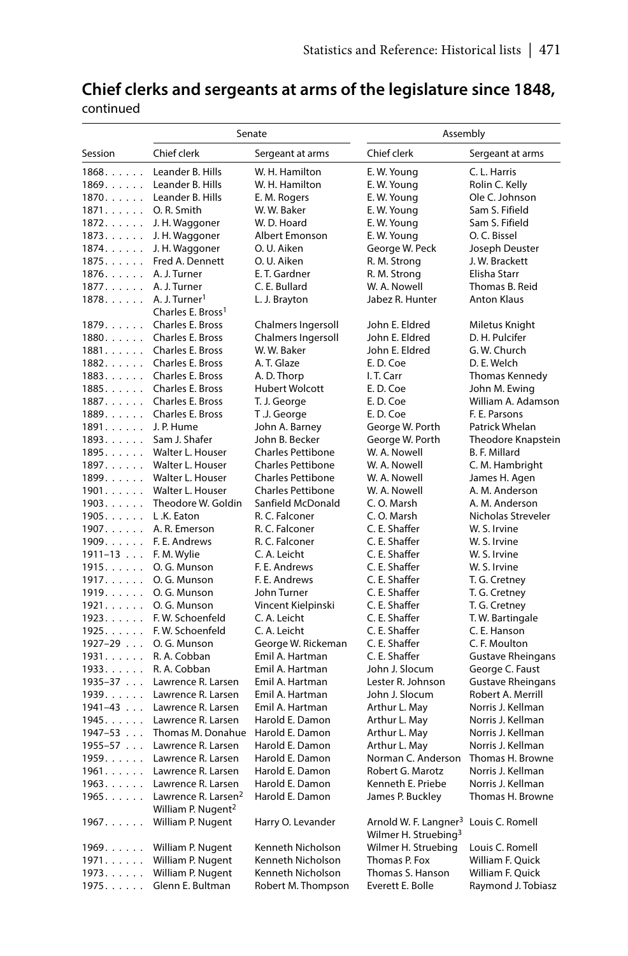### **Chief clerks and sergeants at arms of the legislature since 1848,**  continued

|                  |                                 | Senate                   | Assembly                          |                           |  |
|------------------|---------------------------------|--------------------------|-----------------------------------|---------------------------|--|
| Session          | Chief clerk                     | Sergeant at arms         | Chief clerk                       | Sergeant at arms          |  |
| 1868             | Leander B. Hills                | W. H. Hamilton           | E. W. Young                       | C. L. Harris              |  |
| $1869. \ldots$ . | Leander B. Hills                | W. H. Hamilton           | E. W. Young                       | Rolin C. Kelly            |  |
| 1870.            | Leander B. Hills                | E. M. Rogers             | E. W. Young                       | Ole C. Johnson            |  |
| 1871.            | O. R. Smith                     | W. W. Baker              | E. W. Young                       | Sam S. Fifield            |  |
| 1872.            | J. H. Waggoner                  | W. D. Hoard              | E. W. Young                       | Sam S. Fifield            |  |
| 1873             | J. H. Waggoner                  | Albert Emonson           | E. W. Young                       | O. C. Bissel              |  |
| 1874.            | J. H. Waggoner                  | O. U. Aiken              | George W. Peck                    | Joseph Deuster            |  |
| 1875.            | Fred A. Dennett                 | O. U. Aiken              | R. M. Strong                      | J. W. Brackett            |  |
| 1876.            | A. J. Turner                    | E. T. Gardner            | R. M. Strong                      | Elisha Starr              |  |
| 1877.            | A. J. Turner                    | C. E. Bullard            | W. A. Nowell                      | Thomas B. Reid            |  |
| 1878.            | A. J. Turner <sup>1</sup>       | L. J. Brayton            | Jabez R. Hunter                   | <b>Anton Klaus</b>        |  |
|                  | Charles E. Bross <sup>1</sup>   |                          |                                   |                           |  |
| $1879. \ldots$   | Charles E. Bross                | Chalmers Ingersoll       | John E. Eldred                    | Miletus Knight            |  |
| 1880.            | Charles E. Bross                | Chalmers Ingersoll       | John E. Eldred                    | D. H. Pulcifer            |  |
| $1881. \ldots$   | Charles E. Bross                | W. W. Baker              | John E. Eldred                    | G. W. Church              |  |
| $1882. \ldots$   | Charles E. Bross                | A. T. Glaze              | E. D. Coe                         | D. E. Welch               |  |
| $1883$           | Charles E. Bross                | A. D. Thorp              | I.T. Carr                         | Thomas Kennedy            |  |
| 1885             | Charles E. Bross                | <b>Hubert Wolcott</b>    | E.D. Coe                          | John M. Ewing             |  |
| 1887.            | Charles E. Bross                | T. J. George             | E.D. Coe                          | William A. Adamson        |  |
| 1889             | Charles E. Bross                | T.J. George              | E.D. Coe                          | F. E. Parsons             |  |
| 1891.            | J. P. Hume                      | John A. Barney           | George W. Porth                   | Patrick Whelan            |  |
| 1893.            | Sam J. Shafer                   | John B. Becker           | George W. Porth                   | <b>Theodore Knapstein</b> |  |
| 1895             | Walter L. Houser                | <b>Charles Pettibone</b> | W. A. Nowell                      | B. F. Millard             |  |
| 1897.            | Walter L. Houser                | <b>Charles Pettibone</b> | W. A. Nowell                      | C. M. Hambright           |  |
| 1899.            | Walter L. Houser                | <b>Charles Pettibone</b> | W. A. Nowell                      | James H. Agen             |  |
| 1901.            | Walter L. Houser                | <b>Charles Pettibone</b> | W. A. Nowell                      | A. M. Anderson            |  |
| 1903             | Theodore W. Goldin              | Sanfield McDonald        | C. O. Marsh                       | A. M. Anderson            |  |
| 1905.            | L.K. Eaton                      | R. C. Falconer           | C.O. Marsh                        | Nicholas Streveler        |  |
| 1907.            | A. R. Emerson                   | R. C. Falconer           | C. E. Shaffer                     | W. S. Irvine              |  |
| $1909. \ldots$   | F. E. Andrews                   | R. C. Falconer           | C. E. Shaffer                     | W. S. Irvine              |  |
| $1911 - 13$      | F. M. Wylie                     | C. A. Leicht             | C. E. Shaffer                     | W. S. Irvine              |  |
| 1915.            | O. G. Munson                    | F. E. Andrews            | C. E. Shaffer                     | W. S. Irvine              |  |
| 1917.            | O. G. Munson                    | F. E. Andrews            | C. E. Shaffer                     | T. G. Cretney             |  |
| 1919.            | O. G. Munson                    | John Turner              | C. E. Shaffer                     | T. G. Cretney             |  |
| 1921.            | O. G. Munson                    | Vincent Kielpinski       | C. E. Shaffer                     | T. G. Cretney             |  |
| 1923             | F.W. Schoenfeld                 | C. A. Leicht             | C. E. Shaffer                     | T. W. Bartingale          |  |
| 1925.            | F.W. Schoenfeld                 | C. A. Leicht             | C. E. Shaffer                     | C. E. Hanson              |  |
| 1927-29          | O. G. Munson                    | George W. Rickeman       | C. E. Shaffer                     | C. F. Moulton             |  |
| 1931.            | R. A. Cobban                    | Emil A. Hartman          | C. E. Shaffer                     | <b>Gustave Rheingans</b>  |  |
| 1933             | R. A. Cobban                    | Emil A. Hartman          | John J. Slocum                    | George C. Faust           |  |
| $1935 - 37$      | Lawrence R. Larsen              | Emil A. Hartman          | Lester R. Johnson                 | <b>Gustave Rheingans</b>  |  |
| 1939.            | Lawrence R. Larsen              | Emil A. Hartman          | John J. Slocum                    | Robert A. Merrill         |  |
| $1941 - 43$      | Lawrence R. Larsen              | Emil A. Hartman          | Arthur L. May                     | Norris J. Kellman         |  |
| 1945             | Lawrence R. Larsen              | Harold E. Damon          | Arthur L. May                     | Norris J. Kellman         |  |
| $1947 - 53$      | Thomas M. Donahue               | Harold E. Damon          | Arthur L. May                     | Norris J. Kellman         |  |
| $1955 - 57$      | Lawrence R. Larsen              | Harold E. Damon          | Arthur L. Mav                     | Norris J. Kellman         |  |
| 1959             | Lawrence R. Larsen              | Harold E. Damon          | Norman C. Anderson                | Thomas H. Browne          |  |
| 1961.            | Lawrence R. Larsen              | Harold E. Damon          | Robert G. Marotz                  | Norris J. Kellman         |  |
| 1963             | Lawrence R. Larsen              | Harold E. Damon          | Kenneth E. Priebe                 | Norris J. Kellman         |  |
| 1965             | Lawrence R. Larsen <sup>2</sup> | Harold E. Damon          | James P. Buckley                  | Thomas H. Browne          |  |
|                  | William P. Nugent <sup>2</sup>  |                          |                                   |                           |  |
| 1967.            | William P. Nugent               | Harry O. Levander        | Arnold W. F. Langner <sup>3</sup> | Louis C. Romell           |  |
|                  |                                 |                          | Wilmer H. Struebing <sup>3</sup>  |                           |  |
| 1969             | William P. Nugent               | Kenneth Nicholson        | Wilmer H. Struebing               | Louis C. Romell           |  |
| 1971.            | William P. Nugent               | Kenneth Nicholson        | Thomas P. Fox                     | William F. Quick          |  |
| 1973.            | William P. Nugent               | Kenneth Nicholson        | Thomas S. Hanson                  | William F. Quick          |  |
| 1975.            | Glenn E. Bultman                | Robert M. Thompson       | Everett E. Bolle                  | Raymond J. Tobiasz        |  |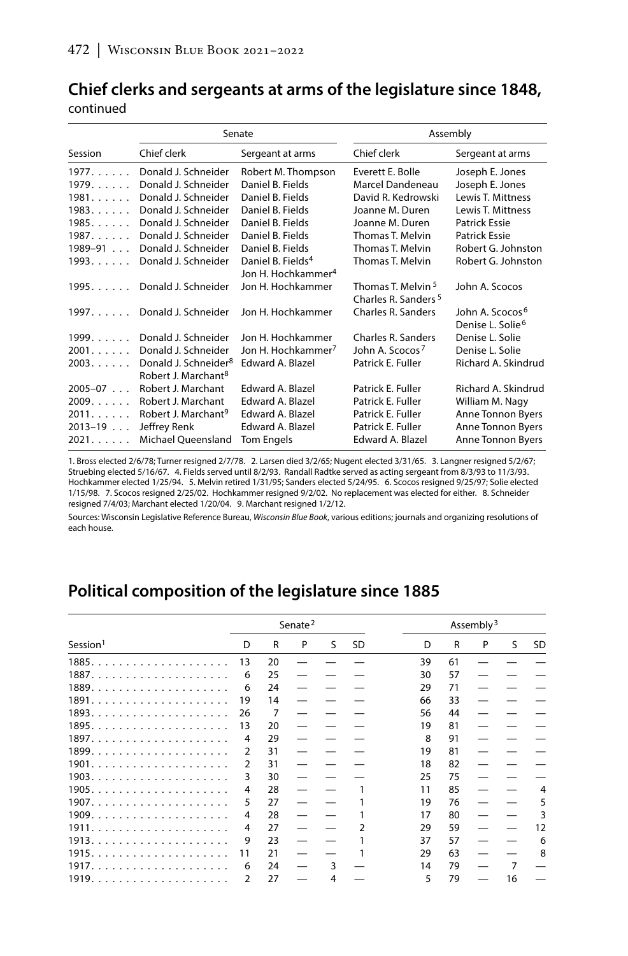# **Chief clerks and sergeants at arms of the legislature since 1848,**

continued

|             |                                  | Assembly<br>Senate             |                                 |                              |
|-------------|----------------------------------|--------------------------------|---------------------------------|------------------------------|
| Session     | Chief clerk                      | Sergeant at arms               | Chief clerk                     | Sergeant at arms             |
| 1977.       | Donald J. Schneider              | Robert M. Thompson             | Everett E. Bolle                | Joseph E. Jones              |
| 1979        | Donald J. Schneider              | Daniel B. Fields               | Marcel Dandeneau                | Joseph E. Jones              |
| 1981        | Donald J. Schneider              | Daniel B. Fields               | David R. Kedrowski              | Lewis T. Mittness            |
| 1983        | Donald J. Schneider              | Daniel B. Fields               | Joanne M. Duren                 | Lewis T. Mittness            |
| 1985        | Donald J. Schneider              | Daniel B. Fields               | Joanne M. Duren                 | <b>Patrick Essie</b>         |
| 1987.       | Donald J. Schneider              | Daniel B. Fields               | Thomas T. Melvin                | <b>Patrick Essie</b>         |
| $1989 - 91$ | Donald J. Schneider              | Daniel B. Fields               | Thomas T. Melvin                | Robert G. Johnston           |
| 1993        | Donald J. Schneider              | Daniel B. Fields <sup>4</sup>  | Thomas T. Melvin                | Robert G. Johnston           |
|             |                                  | Jon H. Hochkammer <sup>4</sup> |                                 |                              |
|             | 1995. Donald J. Schneider        | Jon H. Hochkammer              | Thomas T. Melvin <sup>5</sup>   | John A. Scocos               |
|             |                                  |                                | Charles R. Sanders <sup>5</sup> |                              |
|             | 1997. Donald J. Schneider        | Jon H. Hochkammer              | Charles R. Sanders              | John A. Scocos <sup>6</sup>  |
|             |                                  |                                |                                 | Denise L. Solie <sup>6</sup> |
| 1999        | Donald J. Schneider              | Jon H. Hochkammer              | Charles R. Sanders              | Denise L. Solie              |
| 2001.       | Donald J. Schneider              | Jon H. Hochkammer <sup>7</sup> | John A. Scocos <sup>7</sup>     | Denise L. Solie              |
| 2003        | Donald J. Schneider <sup>8</sup> | Edward A. Blazel               | Patrick E. Fuller               | Richard A. Skindrud          |
|             | Robert J. Marchant <sup>8</sup>  |                                |                                 |                              |
| $2005 - 07$ | Robert J. Marchant               | Edward A. Blazel               | Patrick E. Fuller               | Richard A. Skindrud          |
| 2009.       | Robert J. Marchant               | Edward A. Blazel               | Patrick E. Fuller               | William M. Nagy              |
| 2011        | Robert J. Marchant <sup>9</sup>  | Edward A. Blazel               | Patrick E. Fuller               | Anne Tonnon Byers            |
| $2013 - 19$ | Jeffrey Renk                     | Edward A. Blazel               | Patrick E. Fuller               | Anne Tonnon Byers            |
|             | 2021 Michael Queensland          | Tom Engels                     | Edward A. Blazel                | Anne Tonnon Byers            |

1. Bross elected 2/6/78; Turner resigned 2/7/78. 2. Larsen died 3/2/65; Nugent elected 3/31/65. 3. Langner resigned 5/2/67; Struebing elected 5/16/67. 4. Fields served until 8/2/93. Randall Radtke served as acting sergeant from 8/3/93 to 11/3/93. Hochkammer elected 1/25/94. 5. Melvin retired 1/31/95; Sanders elected 5/24/95. 6. Scocos resigned 9/25/97; Solie elected 1/15/98. 7. Scocos resigned 2/25/02. Hochkammer resigned 9/2/02. No replacement was elected for either. 8. Schneider resigned 7/4/03; Marchant elected 1/20/04. 9. Marchant resigned 1/2/12.

Sources: Wisconsin Legislative Reference Bureau, *Wisconsin Blue Book*, various editions; journals and organizing resolutions of each house.

## **Political composition of the legislature since 1885**

|                      |                |    | Senate <sup>2</sup> |   |    |    |         | Assembly <sup>3</sup> |    |           |
|----------------------|----------------|----|---------------------|---|----|----|---------|-----------------------|----|-----------|
| Session <sup>1</sup> | D              | R  | P                   | S | SD |    | D<br>R  | P                     | S  | <b>SD</b> |
| 1885.                | 13             | 20 |                     |   |    | 39 | 61      |                       |    |           |
|                      | 6              | 25 |                     |   |    | 30 | 57      |                       |    |           |
|                      | 6              | 24 |                     |   |    | 29 | 71      |                       |    |           |
|                      | 19             | 14 |                     |   |    | 66 | 33      |                       |    |           |
|                      | 26             | 7  |                     |   |    | 56 | 44      |                       |    |           |
|                      | 13             | 20 |                     |   |    | 19 | 81      |                       |    |           |
|                      | 4              | 29 |                     |   |    |    | 8<br>91 |                       |    |           |
|                      | 2              | 31 |                     |   |    | 19 | 81      |                       |    |           |
|                      | $\overline{2}$ | 31 |                     |   |    | 18 | 82      |                       |    |           |
|                      | 3              | 30 |                     |   |    | 25 | 75      |                       |    |           |
|                      | 4              | 28 |                     |   |    | 11 | 85      |                       |    | 4         |
|                      | 5              | 27 |                     |   |    | 19 | 76      |                       |    | 5         |
|                      | 4              | 28 |                     |   |    | 17 | 80      |                       |    | 3         |
|                      | 4              | 27 |                     |   | 2  | 29 | 59      |                       |    | 12        |
|                      | 9              | 23 |                     |   |    | 37 | 57      |                       |    | 6         |
|                      | 11             | 21 |                     |   |    | 29 | 63      |                       |    | 8         |
|                      | 6              | 24 |                     | 3 |    | 14 | 79      |                       | 7  |           |
|                      | $\overline{2}$ | 27 |                     | 4 |    |    | 5<br>79 |                       | 16 |           |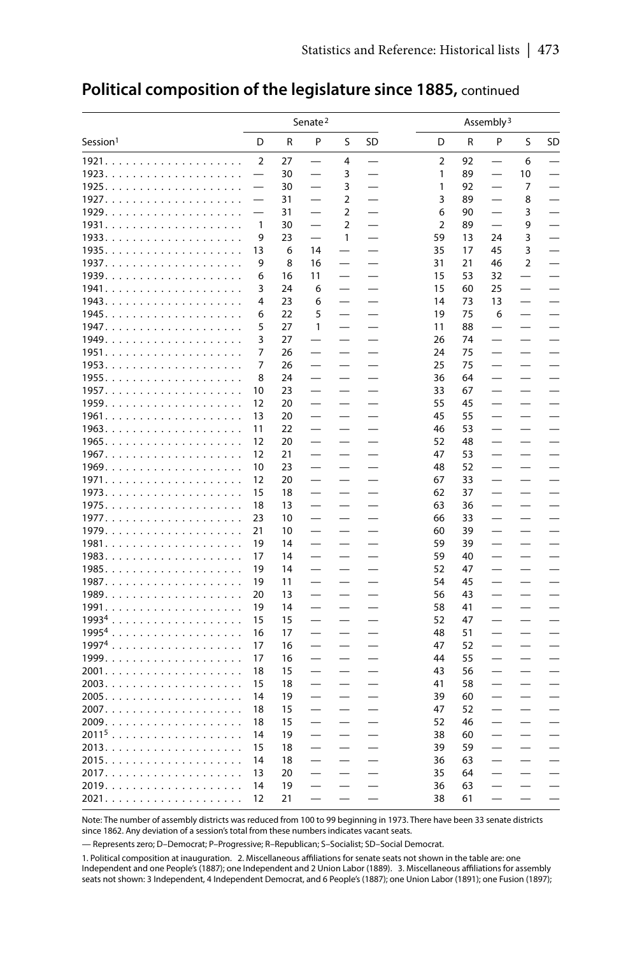|                      |                          |    | Senate <sup>2</sup>      |                          |                          | Assembly <sup>3</sup> |              |                          |                          |                          |
|----------------------|--------------------------|----|--------------------------|--------------------------|--------------------------|-----------------------|--------------|--------------------------|--------------------------|--------------------------|
| Session <sup>1</sup> | D                        | R  | P                        | S                        | SD                       | D                     | $\mathsf{R}$ | P                        | S                        | SD                       |
|                      | 2                        | 27 |                          | 4                        |                          | $\overline{2}$        | 92           | $\overline{\phantom{0}}$ | 6                        |                          |
|                      |                          | 30 |                          | 3                        |                          | 1                     | 89           | $\overline{\phantom{0}}$ | 10                       |                          |
|                      |                          | 30 | $\overline{\phantom{0}}$ | 3                        | $\overline{\phantom{0}}$ | 1                     | 92           | $\overline{\phantom{0}}$ | 7                        |                          |
|                      | $\overline{\phantom{0}}$ | 31 |                          | $\overline{2}$           | $\overline{\phantom{0}}$ | 3                     | 89           | $\overline{\phantom{0}}$ | 8                        |                          |
|                      |                          | 31 |                          | $\overline{2}$           |                          | 6                     | 90           |                          | 3                        |                          |
|                      | 1                        | 30 | $\overline{\phantom{0}}$ | $\overline{2}$           | $\overline{\phantom{0}}$ | $\overline{2}$        | 89           | $\equiv$                 | 9                        | $\overline{\phantom{0}}$ |
|                      | 9                        | 23 |                          | $\mathbf{1}$             | $\overline{\phantom{0}}$ | 59                    | 13           | 24                       | 3                        |                          |
|                      | 13                       | 6  | 14                       | $\overline{\phantom{0}}$ | $\overline{\phantom{0}}$ | 35                    | 17           | 45                       | 3                        | $\overline{\phantom{0}}$ |
|                      | 9                        | 8  | 16                       |                          | $\overline{\phantom{0}}$ | 31                    | 21           | 46                       | $\overline{2}$           |                          |
|                      | 6                        | 16 | 11                       |                          |                          | 15                    | 53           | 32                       |                          |                          |
|                      | 3                        | 24 | 6                        | $\overline{\phantom{0}}$ | $\overline{\phantom{0}}$ | 15                    | 60           | 25                       | $\overline{\phantom{0}}$ | $\equiv$                 |
|                      | 4                        | 23 | 6                        |                          |                          | 14                    | 73           | 13                       |                          | $\qquad \qquad -$        |
|                      | 6                        | 22 | 5                        |                          |                          | 19                    | 75           | 6                        |                          |                          |
|                      | 5                        | 27 | $\mathbf{1}$             | —                        | $\overline{\phantom{0}}$ | 11                    | 88           |                          | —                        |                          |
|                      | 3                        | 27 |                          |                          |                          | 26                    | 74           | $\overline{\phantom{0}}$ |                          |                          |
|                      | 7                        | 26 | $\equiv$                 | $\overline{\phantom{0}}$ | $\overline{\phantom{0}}$ | 24                    | 75           | $\overline{\phantom{0}}$ | $\overline{\phantom{0}}$ | $\overline{\phantom{0}}$ |
|                      | 7                        | 26 |                          |                          |                          | 25                    | 75           | $\overline{\phantom{0}}$ | $\overline{\phantom{0}}$ |                          |
|                      | 8                        | 24 |                          |                          |                          | 36                    | 64           |                          |                          | $\qquad \qquad -$        |
|                      |                          | 23 |                          | $\overline{\phantom{0}}$ | $\overline{\phantom{0}}$ | 33                    |              | $\overline{\phantom{0}}$ | $\overline{\phantom{0}}$ | $\overline{\phantom{0}}$ |
|                      | 10<br>12                 | 20 |                          |                          |                          | 55                    | 67<br>45     |                          |                          |                          |
|                      | 13                       | 20 |                          |                          |                          | 45                    | 55           |                          | $\overline{\phantom{0}}$ |                          |
|                      |                          |    |                          |                          |                          |                       |              |                          |                          |                          |
|                      | 11                       | 22 | —                        |                          | $\overline{\phantom{0}}$ | 46                    | 53           |                          | $\overline{\phantom{0}}$ |                          |
|                      | 12                       | 20 |                          |                          |                          | 52                    | 48           |                          |                          |                          |
|                      | 12                       | 21 |                          |                          |                          | 47                    | 53           | $\overline{\phantom{0}}$ | $\overline{\phantom{0}}$ |                          |
|                      | 10                       | 23 |                          |                          |                          | 48                    | 52           | $\overline{\phantom{0}}$ | $\overline{\phantom{0}}$ | $\qquad \qquad -$        |
|                      | 12                       | 20 |                          |                          |                          | 67                    | 33           |                          |                          |                          |
|                      | 15                       | 18 |                          |                          | $\overline{\phantom{0}}$ | 62                    | 37           | $\overline{\phantom{0}}$ | $\overline{\phantom{0}}$ | $\overline{\phantom{0}}$ |
|                      | 18                       | 13 |                          |                          | $\overline{\phantom{0}}$ | 63                    | 36           | $\overline{\phantom{0}}$ |                          |                          |
|                      | 23                       | 10 |                          |                          |                          | 66                    | 33           | $\overline{\phantom{0}}$ |                          |                          |
|                      | 21                       | 10 |                          |                          | -                        | 60                    | 39           |                          | —                        |                          |
|                      | 19                       | 14 |                          |                          |                          | 59                    | 39           | $\overline{\phantom{0}}$ | $\overline{\phantom{0}}$ |                          |
|                      | 17                       | 14 |                          |                          |                          | 59                    | 40           | $\overline{\phantom{0}}$ | $\overline{\phantom{0}}$ |                          |
|                      | 19                       | 14 |                          |                          | $\overline{\phantom{0}}$ | 52                    | 47           | —                        | $\overline{\phantom{0}}$ |                          |
|                      | 19                       | 11 |                          |                          |                          | 54                    | 45           |                          |                          |                          |
|                      | 20                       | 13 |                          | $\overline{\phantom{0}}$ | $\overline{\phantom{0}}$ | 56                    | 43           | $\overline{\phantom{0}}$ | $\overline{\phantom{0}}$ | $\overline{\phantom{0}}$ |
|                      | 19                       | 14 |                          |                          | $\overline{\phantom{0}}$ | 58                    | 41           | $\overline{\phantom{0}}$ | $\overline{\phantom{0}}$ |                          |
| $19934$              | 15                       | 15 |                          |                          |                          | 52                    | 47           | $\overline{\phantom{0}}$ | $\overline{\phantom{0}}$ |                          |
| 1995 $4$             | 16                       | 17 | $\overline{\phantom{0}}$ |                          | $\overline{\phantom{0}}$ | 48                    | 51           | $\overline{\phantom{0}}$ |                          |                          |
|                      | 17                       | 16 |                          |                          | $\overline{\phantom{0}}$ | 47                    | 52           | $\overline{\phantom{0}}$ | $\overline{\phantom{0}}$ |                          |
|                      | 17                       | 16 |                          |                          |                          | 44                    | 55           |                          | $\overline{\phantom{0}}$ |                          |
|                      | 18                       | 15 |                          |                          | $\overline{\phantom{0}}$ | 43                    | 56           | —                        | $\overline{\phantom{0}}$ | —                        |
|                      | 15                       | 18 |                          |                          |                          | 41                    | 58           |                          |                          |                          |
|                      | 14                       | 19 | $\overline{\phantom{0}}$ | $\overline{\phantom{0}}$ | $\overline{\phantom{0}}$ | 39                    | 60           | $\overline{\phantom{0}}$ | $\overline{\phantom{0}}$ | $\overline{\phantom{0}}$ |
|                      | 18                       | 15 |                          |                          | $\overline{\phantom{0}}$ | 47                    | 52           | $\overline{\phantom{0}}$ | $\overline{\phantom{0}}$ |                          |
|                      | 18                       | 15 | $\overline{\phantom{0}}$ | $\overline{\phantom{0}}$ |                          | 52                    | 46           | $\overline{\phantom{0}}$ | $\overline{\phantom{0}}$ |                          |
|                      | 14                       | 19 | —                        |                          | $\overline{\phantom{0}}$ | 38                    | 60           |                          | $\equiv$                 |                          |
|                      | 15                       | 18 |                          | $\overline{\phantom{0}}$ | $\overline{\phantom{0}}$ | 39                    | 59           | $\overline{\phantom{0}}$ | $\overline{\phantom{0}}$ |                          |
|                      | 14                       | 18 |                          |                          |                          | 36                    | 63           |                          | $\overline{\phantom{0}}$ |                          |
|                      | 13                       | 20 | $\overline{\phantom{0}}$ | $\overline{\phantom{0}}$ | $\frac{1}{\sqrt{2}}$     | 35                    | 64           | $\overline{\phantom{0}}$ | $\overline{a}$           | $\overline{\phantom{0}}$ |
|                      | 14                       | 19 |                          |                          |                          | 36                    | 63           |                          |                          |                          |
| 2021.                | 12                       | 21 |                          |                          |                          | 38                    | 61           |                          |                          |                          |

### **Political composition of the legislature since 1885,** continued

Note: The number of assembly districts was reduced from 100 to 99 beginning in 1973. There have been 33 senate districts since 1862. Any deviation of a session's total from these numbers indicates vacant seats.

— Represents zero; D–Democrat; P–Progressive; R–Republican; S–Socialist; SD–Social Democrat.

1. Political composition at inauguration. 2. Miscellaneous affiliations for senate seats not shown in the table are: one Independent and one People's (1887); one Independent and 2 Union Labor (1889). 3. Miscellaneous affiliations for assembly seats not shown: 3 Independent, 4 Independent Democrat, and 6 People's (1887); one Union Labor (1891); one Fusion (1897);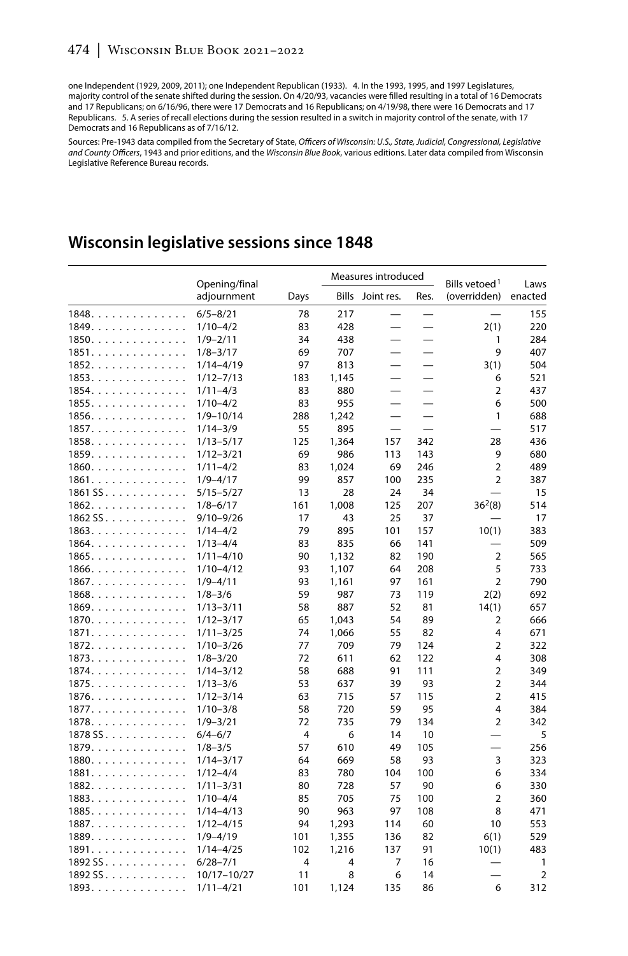### 474 | Wisconsin Blue Book 2021–2022

one Independent (1929, 2009, 2011); one Independent Republican (1933). 4. In the 1993, 1995, and 1997 Legislatures, majority control of the senate shifted during the session. On 4/20/93, vacancies were filled resulting in a total of 16 Democrats and 17 Republicans; on 6/16/96, there were 17 Democrats and 16 Republicans; on 4/19/98, there were 16 Democrats and 17 Republicans. 5. A series of recall elections during the session resulted in a switch in majority control of the senate, with 17 Democrats and 16 Republicans as of 7/16/12.

Sources: Pre-1943 data compiled from the Secretary of State, *Officers of Wisconsin: U.S., State, Judicial, Congressional, Legislative and County Officers*, 1943 and prior editions, and the *Wisconsin Blue Book*, various editions. Later data compiled from Wisconsin Legislative Reference Bureau records.

## **Wisconsin legislative sessions since 1848**

|                                               | Opening/final |      |              | Measures introduced |                          | Bills vetoed <sup>1</sup> | Laws           |  |
|-----------------------------------------------|---------------|------|--------------|---------------------|--------------------------|---------------------------|----------------|--|
|                                               | adjournment   | Days | <b>Bills</b> | Joint res.          | Res.                     | (overridden)              | enacted        |  |
| 1848.                                         | $6/5 - 8/21$  | 78   | 217          |                     |                          |                           | 155            |  |
| 1849.                                         | $1/10 - 4/2$  | 83   | 428          |                     | $\overline{\phantom{0}}$ | 2(1)                      | 220            |  |
| 1850.                                         | $1/9 - 2/11$  | 34   | 438          |                     |                          | 1                         | 284            |  |
| 1851.                                         | $1/8 - 3/17$  | 69   | 707          |                     |                          | 9                         | 407            |  |
| 1852.                                         | $1/14 - 4/19$ | 97   | 813          |                     |                          | 3(1)                      | 504            |  |
| 1853.                                         | $1/12 - 7/13$ | 183  | 1,145        |                     |                          | 6                         | 521            |  |
| 1854.                                         | $1/11 - 4/3$  | 83   | 880          |                     |                          | $\overline{2}$            | 437            |  |
| 1855.                                         | $1/10 - 4/2$  | 83   | 955          |                     | $\overline{\phantom{0}}$ | 6                         | 500            |  |
| 1856.                                         | $1/9 - 10/14$ | 288  | 1,242        |                     |                          | 1                         | 688            |  |
| 1857.                                         | $1/14 - 3/9$  | 55   | 895          |                     | $\overline{\phantom{0}}$ |                           | 517            |  |
| 1858.                                         | $1/13 - 5/17$ | 125  | 1,364        | 157                 | 342                      | 28                        | 436            |  |
| 1859.                                         | $1/12 - 3/21$ | 69   | 986          | 113                 | 143                      | 9                         | 680            |  |
| 1860.                                         | $1/11 - 4/2$  | 83   | 1,024        | 69                  | 246                      | $\overline{2}$            | 489            |  |
| 1861.                                         | $1/9 - 4/17$  | 99   | 857          | 100                 | 235                      | $\overline{2}$            | 387            |  |
| $1861$ SS $\ldots$ $\ldots$ $\ldots$ $\ldots$ | $5/15 - 5/27$ | 13   | 28           | 24                  | 34                       | $\overline{\phantom{0}}$  | 15             |  |
| 1862.                                         | $1/8 - 6/17$  | 161  | 1.008        | 125                 | 207                      | 36 <sup>2</sup> (8)       | 514            |  |
| $1862$ SS $\ldots$ $\ldots$ $\ldots$ $\ldots$ | $9/10 - 9/26$ | 17   | 43           | 25                  | 37                       |                           | 17             |  |
| 1863.                                         | $1/14 - 4/2$  | 79   | 895          | 101                 | 157                      | 10(1)                     | 383            |  |
| 1864.                                         | $1/13 - 4/4$  | 83   | 835          | 66                  | 141                      |                           | 509            |  |
| 1865.                                         | $1/11 - 4/10$ | 90   | 1,132        | 82                  | 190                      | $\overline{2}$            | 565            |  |
| 1866.                                         | $1/10 - 4/12$ | 93   | 1,107        | 64                  | 208                      | 5                         | 733            |  |
| 1867.                                         | $1/9 - 4/11$  | 93   | 1,161        | 97                  | 161                      | $\overline{2}$            | 790            |  |
| 1868.                                         | $1/8 - 3/6$   | 59   | 987          | 73                  | 119                      | 2(2)                      | 692            |  |
| 1869.                                         | $1/13 - 3/11$ | 58   | 887          | 52                  | 81                       | 14(1)                     | 657            |  |
| 1870.                                         | $1/12 - 3/17$ | 65   | 1.043        | 54                  | 89                       | 2                         | 666            |  |
| 1871.                                         | $1/11 - 3/25$ | 74   | 1,066        | 55                  | 82                       | 4                         | 671            |  |
| 1872.                                         | $1/10 - 3/26$ | 77   | 709          | 79                  | 124                      | 2                         | 322            |  |
| 1873.                                         | $1/8 - 3/20$  | 72   | 611          | 62                  | 122                      | 4                         | 308            |  |
| 1874.                                         | $1/14 - 3/12$ | 58   | 688          | 91                  | 111                      | $\overline{2}$            | 349            |  |
| 1875.                                         | $1/13 - 3/6$  | 53   | 637          | 39                  | 93                       | $\overline{2}$            | 344            |  |
| 1876.                                         | $1/12 - 3/14$ | 63   | 715          | 57                  | 115                      | $\overline{2}$            | 415            |  |
| 1877.                                         | $1/10 - 3/8$  | 58   | 720          | 59                  | 95                       | 4                         | 384            |  |
| 1878.                                         | $1/9 - 3/21$  | 72   | 735          | 79                  | 134                      | $\overline{2}$            | 342            |  |
| $1878$ SS $.$                                 | $6/4 - 6/7$   | 4    | 6            | 14                  | 10                       |                           | 5              |  |
| 1879.                                         | $1/8 - 3/5$   | 57   | 610          | 49                  | 105                      |                           | 256            |  |
| 1880.                                         | $1/14 - 3/17$ | 64   | 669          | 58                  | 93                       | 3                         | 323            |  |
| 1881.                                         | $1/12 - 4/4$  | 83   | 780          | 104                 | 100                      | 6                         | 334            |  |
| 1882.                                         | $1/11 - 3/31$ | 80   | 728          | 57                  | 90                       | 6                         | 330            |  |
| 1883.                                         | $1/10 - 4/4$  | 85   | 705          | 75                  | 100                      | $\overline{2}$            | 360            |  |
| 1885.                                         | $1/14 - 4/13$ | 90   | 963          | 97                  | 108                      | 8                         | 471            |  |
| 1887.                                         | $1/12 - 4/15$ | 94   | 1,293        | 114                 | 60                       | 10                        | 553            |  |
| 1889.                                         | $1/9 - 4/19$  | 101  | 1,355        | 136                 | 82                       | 6(1)                      | 529            |  |
| 1891.                                         | $1/14 - 4/25$ | 102  | 1,216        | 137                 | 91                       | 10(1)                     | 483            |  |
| $1892$ SS $\ldots$                            | $6/28 - 7/1$  | 4    | 4            | 7                   | 16                       |                           | 1              |  |
| $1892$ SS $.$                                 | 10/17-10/27   | 11   | 8            | 6                   | 14                       |                           | $\overline{2}$ |  |
| 1893.                                         | $1/11 - 4/21$ | 101  | 1,124        | 135                 | 86                       | 6                         | 312            |  |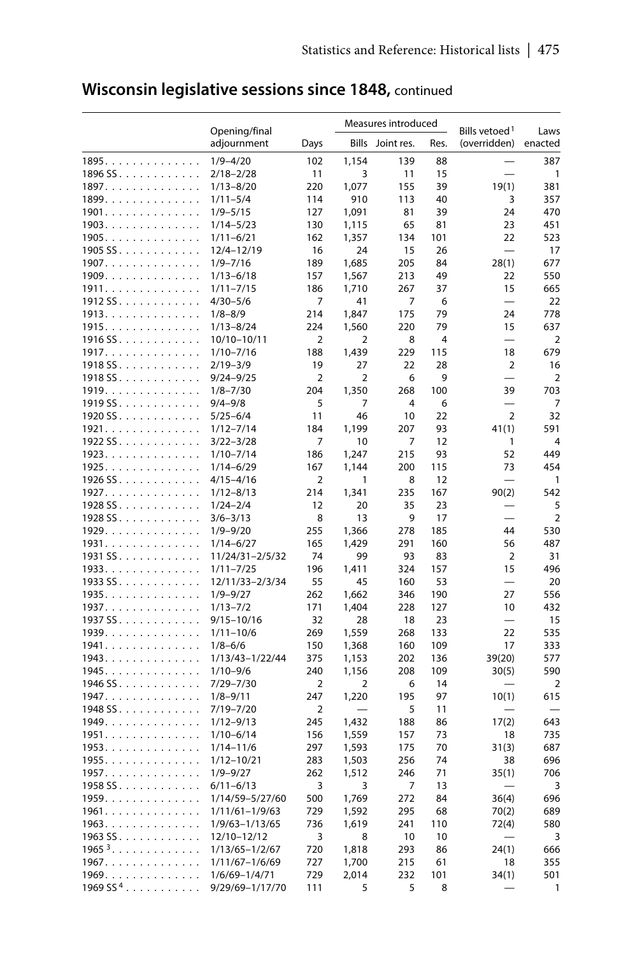|                                                        | Opening/final                    |                |                | Measures introduced |          | Bills vetoed <sup>1</sup> | Laws                  |
|--------------------------------------------------------|----------------------------------|----------------|----------------|---------------------|----------|---------------------------|-----------------------|
|                                                        | adjournment                      | Days           | Bills          | Joint res.          | Res.     | (overridden)              | enacted               |
| 1895.                                                  | $1/9 - 4/20$                     | 102            | 1,154          | 139                 | 88       |                           | 387                   |
| $1896$ SS $\ldots$ $\ldots$ $\ldots$ $\ldots$          | $2/18 - 2/28$                    | 11             | 3              | 11                  | 15       |                           | 1                     |
| 1897.                                                  | $1/13 - 8/20$                    | 220            | 1,077          | 155                 | 39       | 19(1)                     | 381                   |
| 1899.                                                  | $1/11 - 5/4$                     | 114            | 910            | 113                 | 40       | 3                         | 357                   |
| 1901.                                                  | $1/9 - 5/15$                     | 127            | 1,091          | 81                  | 39       | 24                        | 470                   |
| 1903.                                                  | $1/14 - 5/23$                    | 130            | 1,115          | 65                  | 81       | 23                        | 451                   |
| 1905.                                                  | $1/11 - 6/21$                    | 162            | 1,357          | 134                 | 101      | 22                        | 523                   |
| $1905$ SS $\ldots$ $\ldots$ $\ldots$ $\ldots$          | $12/4 - 12/19$                   | 16             | 24             | 15                  | 26       |                           | 17                    |
| 1907.                                                  | $1/9 - 7/16$                     | 189            | 1,685          | 205                 | 84       | 28(1)                     | 677                   |
| 1909.                                                  | $1/13 - 6/18$                    | 157            | 1,567          | 213                 | 49<br>37 | 22<br>15                  | 550<br>665            |
| 1911.<br>$1912$ SS $\ldots$ $\ldots$ $\ldots$ $\ldots$ | $1/11 - 7/15$<br>$4/30 - 5/6$    | 186<br>7       | 1,710<br>41    | 267<br>7            | 6        |                           | 22                    |
| 1913.                                                  | $1/8 - 8/9$                      | 214            | 1,847          | 175                 | 79       | 24                        | 778                   |
| 1915.                                                  | $1/13 - 8/24$                    | 224            | 1,560          | 220                 | 79       | 15                        | 637                   |
| $1916$ SS $.$                                          | 10/10-10/11                      | 2              | 2              | 8                   | 4        |                           | 2                     |
| 1917.                                                  | $1/10 - 7/16$                    | 188            | 1,439          | 229                 | 115      | 18                        | 679                   |
| $1918$ SS $\ldots$ $\ldots$ $\ldots$ $\ldots$          | $2/19 - 3/9$                     | 19             | 27             | 22                  | 28       | $\overline{2}$            | 16                    |
| $1918$ SS $.$                                          | $9/24 - 9/25$                    | $\overline{2}$ | $\overline{2}$ | 6                   | 9        | $\overline{\phantom{0}}$  | $\overline{2}$        |
| 1919.                                                  | $1/8 - 7/30$                     | 204            | 1,350          | 268                 | 100      | 39                        | 703                   |
| $1919$ SS $\ldots$ $\ldots$ $\ldots$ $\ldots$          | $9/4 - 9/8$                      | 5              | 7              | 4                   | 6        |                           | 7                     |
| $1920$ SS $\ldots$ $\ldots$ $\ldots$ $\ldots$          | $5/25 - 6/4$                     | 11             | 46             | 10                  | 22       | $\overline{2}$            | 32                    |
| 1921.                                                  | $1/12 - 7/14$                    | 184            | 1,199          | 207                 | 93       | 41(1)                     | 591                   |
| $1922$ SS $\ldots$ $\ldots$ $\ldots$ $\ldots$          | $3/22 - 3/28$                    | 7              | 10             | 7                   | 12       | 1                         | $\overline{4}$        |
| 1923.                                                  | $1/10 - 7/14$                    | 186            | 1,247          | 215                 | 93       | 52                        | 449                   |
| 1925.                                                  | $1/14 - 6/29$                    | 167            | 1,144          | 200                 | 115      | 73                        | 454                   |
| $1926$ SS $\ldots$ $\ldots$ $\ldots$ $\ldots$          | $4/15 - 4/16$                    | 2              | 1              | 8                   | 12       |                           | 1                     |
| 1927.                                                  | $1/12 - 8/13$                    | 214            | 1,341          | 235                 | 167      | 90(2)                     | 542                   |
| $1928$ SS $.$<br>$1928$ SS $.$                         | $1/24 - 2/4$<br>$3/6 - 3/13$     | 12<br>8        | 20<br>13       | 35<br>9             | 23<br>17 |                           | 5<br>$\overline{2}$   |
| 1929.                                                  | $1/9 - 9/20$                     | 255            | 1,366          | 278                 | 185      | 44                        | 530                   |
| 1931.                                                  | $1/14 - 6/27$                    | 165            | 1,429          | 291                 | 160      | 56                        | 487                   |
| 1931 SS                                                | 11/24/31-2/5/32                  | 74             | 99             | 93                  | 83       | $\overline{2}$            | 31                    |
| 1933.                                                  | $1/11 - 7/25$                    | 196            | 1,411          | 324                 | 157      | 15                        | 496                   |
| $1933$ SS $.$                                          | 12/11/33-2/3/34                  | 55             | 45             | 160                 | 53       |                           | 20                    |
| 1935.                                                  | $1/9 - 9/27$                     | 262            | 1,662          | 346                 | 190      | 27                        | 556                   |
| 1937.                                                  | $1/13 - 7/2$                     | 171            | 1,404          | 228                 | 127      | 10                        | 432                   |
| $1937$ SS $\ldots$ $\ldots$ $\ldots$ $\ldots$          | $9/15 - 10/16$                   | 32             | 28             | 18                  | 23       |                           | 15                    |
| 1939.                                                  | $1/11 - 10/6$                    | 269            | 1,559          | 268                 | 133      | 22                        | 535                   |
| 1941.                                                  | $1/8 - 6/6$                      | 150            | 1,368          | 160                 | 109      | 17                        | 333                   |
| 1943.                                                  | 1/13/43-1/22/44                  | 375            | 1,153          | 202                 | 136      | 39(20)                    | 577                   |
| 1945.                                                  | $1/10 - 9/6$                     | 240            | 1,156          | 208                 | 109      | 30(5)                     | 590                   |
| $1946$ SS $.$                                          | $7/29 - 7/30$                    | $\overline{2}$ | $\overline{2}$ | 6<br>195            | 14<br>97 |                           | $\overline{2}$<br>615 |
| 1947.<br>$1948$ SS $\ldots$ $\ldots$ $\ldots$ $\ldots$ | $1/8 - 9/11$<br>7/19-7/20        | 247<br>2       | 1,220          | 5                   | 11       | 10(1)                     |                       |
| 1949.                                                  | $1/12 - 9/13$                    | 245            | 1,432          | 188                 | 86       | 17(2)                     | 643                   |
| 1951.                                                  | $1/10 - 6/14$                    | 156            | 1,559          | 157                 | 73       | 18                        | 735                   |
| 1953.                                                  | $1/14 - 11/6$                    | 297            | 1,593          | 175                 | 70       | 31(3)                     | 687                   |
| 1955.                                                  | $1/12 - 10/21$                   | 283            | 1,503          | 256                 | 74       | 38                        | 696                   |
| 1957.                                                  | $1/9 - 9/27$                     | 262            | 1,512          | 246                 | 71       | 35(1)                     | 706                   |
| $1958$ SS $\ldots$ $\ldots$ $\ldots$ $\ldots$          | $6/11 - 6/13$                    | 3              | 3              | 7                   | 13       |                           | 3                     |
| 1959.                                                  | 1/14/59-5/27/60                  | 500            | 1,769          | 272                 | 84       | 36(4)                     | 696                   |
| 1961.                                                  | 1/11/61-1/9/63                   | 729            | 1,592          | 295                 | 68       | 70(2)                     | 689                   |
| 1963.                                                  | 1/9/63-1/13/65                   | 736            | 1,619          | 241                 | 110      | 72(4)                     | 580                   |
| $1963$ SS $\ldots$ $\ldots$ $\ldots$ $\ldots$          | 12/10-12/12                      | 3              | 8              | 10                  | 10       |                           | 3                     |
| $19653$                                                | $1/13/65 - 1/2/67$               | 720            | 1,818          | 293                 | 86       | 24(1)                     | 666                   |
| 1967.                                                  | 1/11/67-1/6/69                   | 727            | 1,700          | 215                 | 61       | 18                        | 355                   |
| 1969.<br>1969 SS <sup>4</sup> .                        | 1/6/69-1/4/71<br>9/29/69-1/17/70 | 729<br>111     | 2,014<br>5     | 232<br>5            | 101<br>8 | 34(1)                     | 501<br>1              |
|                                                        |                                  |                |                |                     |          |                           |                       |

# **Wisconsin legislative sessions since 1848,** continued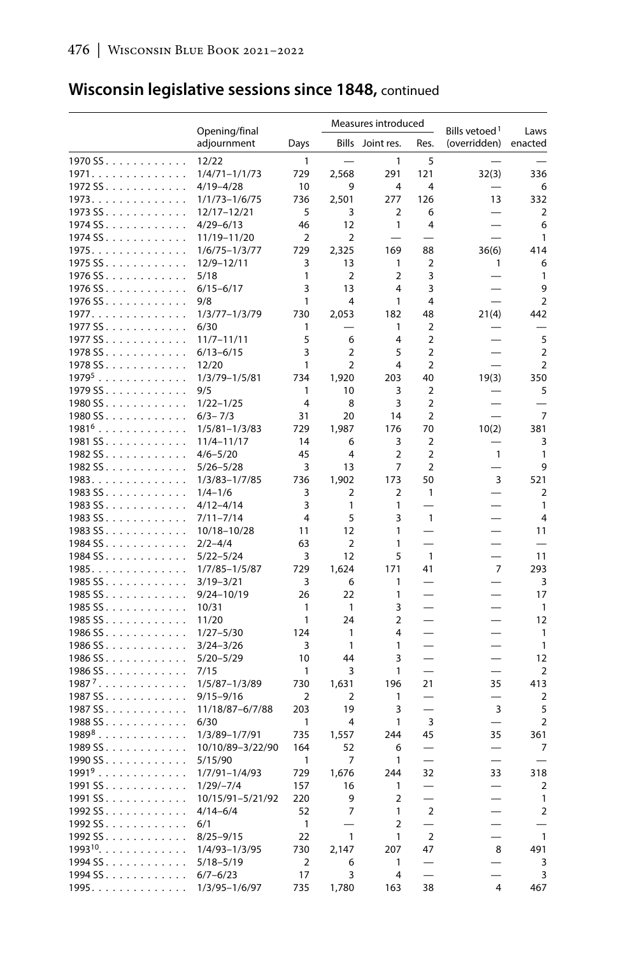# **Wisconsin legislative sessions since 1848,** continued

|                                                        | Opening/final           |                       |                         | Measures introduced |                         | Bills vetoed <sup>1</sup> | Laws                  |
|--------------------------------------------------------|-------------------------|-----------------------|-------------------------|---------------------|-------------------------|---------------------------|-----------------------|
|                                                        | adjournment             | Days                  | <b>Bills</b>            | Joint res.          | Res.                    | (overridden)              | enacted               |
| $1970$ SS $\ldots$ $\ldots$ $\ldots$ $\ldots$          | 12/22                   | 1                     |                         | 1                   | 5                       |                           |                       |
| 1971.                                                  | $1/4/71 - 1/1/73$       | 729                   | 2,568                   | 291                 | 121                     | 32(3)                     | 336                   |
| $1972$ SS $\ldots$ $\ldots$ $\ldots$ $\ldots$          | $4/19 - 4/28$           | 10                    | 9                       | 4                   | 4                       |                           | 6                     |
| 1973.                                                  | $1/1/73 - 1/6/75$       | 736                   | 2,501                   | 277                 | 126                     | 13                        | 332                   |
| 1973 SS.                                               | 12/17-12/21             | 5                     | 3                       | 2                   | 6                       |                           | $\overline{2}$        |
| 1974 SS.                                               | $4/29 - 6/13$           | 46                    | 12                      | 1                   | 4                       |                           | 6                     |
| $1974$ SS $\ldots$ $\ldots$ $\ldots$ $\ldots$          | 11/19-11/20             | 2                     | 2                       |                     |                         |                           | 1                     |
| 1975.                                                  | $1/6/75 - 1/3/77$       | 729                   | 2,325                   | 169                 | 88                      | 36(6)                     | 414                   |
| 1975 SS $.$                                            | $12/9 - 12/11$          | 3                     | 13                      | 1                   | $\overline{2}$          | 1                         | 6                     |
| $1976$ SS $\ldots$ $\ldots$ $\ldots$ $\ldots$          | 5/18                    | 1                     | $\overline{2}$          | 2                   | 3                       |                           | 1                     |
| $1976$ SS $\ldots$ $\ldots$ $\ldots$ $\ldots$          | $6/15 - 6/17$           | 3                     | 13                      | 4                   | 3                       |                           | 9                     |
| 1976 SS                                                | 9/8<br>1/3/77-1/3/79    | 1<br>730              | 4                       | 1<br>182            | 4<br>48                 |                           | $\overline{2}$<br>442 |
| 1977.<br>$1977$ SS $\ldots$ $\ldots$ $\ldots$ $\ldots$ | 6/30                    | 1                     | 2,053                   | 1                   | 2                       | 21(4)                     |                       |
| 1977 $SS$ .                                            | $11/7 - 11/11$          | 5                     | 6                       | 4                   | $\overline{2}$          |                           | 5                     |
| $1978$ SS $\ldots$ $\ldots$ $\ldots$ $\ldots$          | $6/13 - 6/15$           | 3                     | 2                       | 5                   | 2                       |                           | $\overline{2}$        |
| $1978$ SS $\ldots$ $\ldots$ $\ldots$ $\ldots$          | 12/20                   | 1                     | 2                       | 4                   | $\overline{2}$          |                           | $\overline{2}$        |
| $1979^5$                                               | $1/3/79 - 1/5/81$       | 734                   | 1,920                   | 203                 | 40                      | 19(3)                     | 350                   |
| $1979$ SS $.$                                          | 9/5                     | 1                     | 10                      | 3                   | 2                       |                           | 5                     |
| $1980$ SS $\ldots$ $\ldots$ $\ldots$ $\ldots$          | $1/22 - 1/25$           | 4                     | 8                       | 3                   | 2                       |                           |                       |
| $1980$ SS $.$                                          | $6/3 - 7/3$             | 31                    | 20                      | 14                  | $\overline{2}$          |                           | $\overline{7}$        |
| $1981^6$                                               | $1/5/81 - 1/3/83$       | 729                   | 1,987                   | 176                 | 70                      | 10(2)                     | 381                   |
| $1981$ SS $\ldots$ $\ldots$ $\ldots$ $\ldots$          | $11/4 - 11/17$          | 14                    | 6                       | 3                   | $\overline{2}$          |                           | 3                     |
| 1982 SS                                                | $4/6 - 5/20$            | 45                    | $\overline{4}$          | $\overline{2}$      | $\overline{2}$          | 1                         | 1                     |
| $1982$ SS $\ldots$                                     | $5/26 - 5/28$           | 3                     | 13                      | 7                   | $\overline{2}$          |                           | 9                     |
| 1983.                                                  | 1/3/83-1/7/85           | 736                   | 1,902                   | 173                 | 50                      | 3                         | 521                   |
| $1983$ SS $\ldots$ $\ldots$ $\ldots$ $\ldots$          | $1/4 - 1/6$             | 3                     | $\overline{2}$          | $\overline{2}$      | 1                       |                           | $\overline{2}$        |
| $1983$ SS.                                             | $4/12 - 4/14$           | 3                     | 1                       | 1                   |                         |                           | 1                     |
| 1983 SS.                                               | $7/11 - 7/14$           | 4                     | 5                       | 3                   | 1                       |                           | $\overline{4}$        |
| $1983$ SS $\ldots$ $\ldots$ $\ldots$ $\ldots$          | 10/18-10/28             | 11                    | 12                      | 1                   |                         |                           | 11                    |
| $1984$ SS $\ldots$ $\ldots$ $\ldots$ $\ldots$          | $2/2 - 4/4$             | 63                    | 2                       | 1                   |                         |                           |                       |
| $1984$ SS $\ldots$ $\ldots$ $\ldots$ $\ldots$          | $5/22 - 5/24$           | 3                     | 12                      | 5                   | 1                       |                           | 11                    |
| 1985.                                                  | 1/7/85-1/5/87           | 729                   | 1,624                   | 171                 | 41                      | 7                         | 293                   |
| $1985$ SS $\ldots$ $\ldots$ $\ldots$ $\ldots$          | $3/19 - 3/21$           | 3                     | 6                       | 1                   |                         |                           | 3                     |
| $1985$ SS $.$                                          | $9/24 - 10/19$          | 26                    | 22                      | 1                   |                         |                           | 17                    |
| $1985$ SS $\dots$ $\dots$ $\dots$ $\dots$              | 10/31                   | 1                     | 1                       | 3                   |                         |                           | 1                     |
| $1985$ SS $\dots$ $\dots$ $\dots$ $\dots$              | 11/20                   | $\mathbf{1}$          | 24                      | $\overline{2}$      |                         |                           | 12                    |
| $1986$ SS $\dots$ $\dots$ $\dots$ $\dots$              | $1/27 - 5/30$           | 124                   | 1                       | 4                   |                         |                           | $\mathbf{1}$          |
| $1986$ SS $.$                                          | $3/24 - 3/26$           | 3                     | $\mathbf{1}$            | 1                   |                         |                           | 1                     |
| $1986$ SS $\ldots$ $\ldots$ $\ldots$ $\ldots$          | $5/20 - 5/29$           | 10                    | 44                      | 3                   |                         |                           | 12                    |
| $1986$ SS $\ldots$ $\ldots$ $\ldots$ $\ldots$          | 7/15                    | 1                     | 3                       | 1                   |                         |                           | $\overline{2}$        |
| $1987^7$                                               | 1/5/87-1/3/89           | 730<br>$\overline{2}$ | 1,631<br>$\overline{2}$ | 196                 | 21                      | 35                        | 413<br>$\overline{2}$ |
| 1987 SS.                                               | $9/15 - 9/16$           | 203                   | 19                      | 1<br>3              |                         | 3                         |                       |
| 1987 SS<br>$1988$ SS $.$                               | 11/18/87-6/7/88<br>6/30 | 1                     | $\overline{4}$          | 1                   | 3                       |                           | 5<br>$\overline{2}$   |
| $1989^8$                                               | 1/3/89-1/7/91           | 735                   | 1,557                   | 244                 | 45                      | 35                        | 361                   |
| 198955                                                 | 10/10/89-3/22/90        | 164                   | 52                      | 6                   |                         |                           | 7                     |
| $1990$ SS $.$                                          | 5/15/90                 | 1                     | 7                       | 1                   |                         |                           |                       |
| $1991^9$                                               | $1/7/91 - 1/4/93$       | 729                   | 1,676                   | 244                 | 32                      | 33                        | 318                   |
| 1991 SS.                                               | $1/29/-7/4$             | 157                   | 16                      | 1                   |                         |                           | 2                     |
| $1991$ SS $\ldots$ $\ldots$ $\ldots$ $\ldots$          | 10/15/91-5/21/92        | 220                   | 9                       | 2                   |                         |                           | 1                     |
| $1992$ SS $\ldots$ $\ldots$ $\ldots$ $\ldots$          | $4/14 - 6/4$            | 52                    | $\overline{7}$          | 1                   | $\overline{2}$          |                           | $\overline{2}$        |
| 1992 SS.                                               | 6/1                     | 1                     |                         | $\overline{2}$      |                         |                           |                       |
| $1992$ SS $\dots$ $\dots$ $\dots$ $\dots$              | $8/25 - 9/15$           | 22                    | 1                       | 1                   | $\overline{\mathbf{c}}$ |                           | 1                     |
| $1993^{10}$                                            | 1/4/93-1/3/95           | 730                   | 2,147                   | 207                 | 47                      | 8                         | 491                   |
| $1994$ SS $\ldots$ $\ldots$ $\ldots$ $\ldots$          | $5/18 - 5/19$           | $\overline{2}$        | 6                       | 1                   |                         |                           | 3                     |
| 1994 SS.                                               | $6/7 - 6/23$            | 17                    | 3                       | 4                   |                         |                           | 3                     |
| 1995.                                                  | 1/3/95-1/6/97           | 735                   | 1,780                   | 163                 | 38                      | 4                         | 467                   |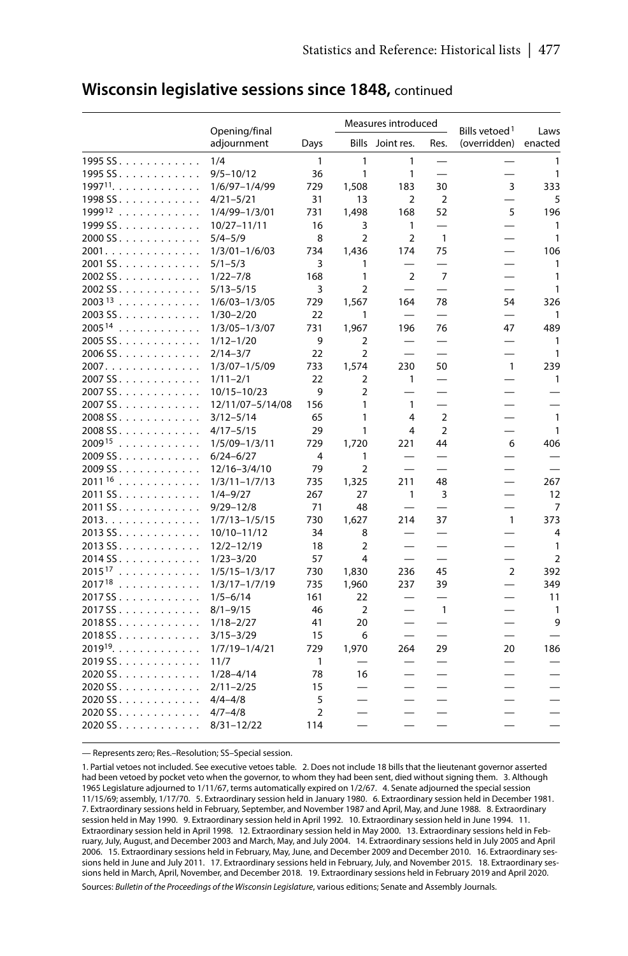|                                                 | Opening/final     |                | Measures introduced      |                                  |                          | Bills vetoed <sup>1</sup> | Laws           |
|-------------------------------------------------|-------------------|----------------|--------------------------|----------------------------------|--------------------------|---------------------------|----------------|
|                                                 | adjournment       | Days           | <b>Bills</b>             | Joint res.                       | Res.                     | (overridden)              | enacted        |
| 1995 SS.                                        | 1/4               | 1              | 1                        | 1                                | $\overline{\phantom{0}}$ |                           | 1              |
| $1995$ SS $\ldots$ $\ldots$ $\ldots$ $\ldots$ . | $9/5 - 10/12$     | 36             | 1                        | 1                                |                          |                           | 1              |
| $1997^{11}$                                     | 1/6/97-1/4/99     | 729            | 1,508                    | 183                              | 30                       | 3                         | 333            |
| $1998$ SS $\ldots$ $\ldots$ $\ldots$ $\ldots$   | $4/21 - 5/21$     | 31             | 13                       | 2                                | $\overline{2}$           |                           | 5              |
| $1999^{12}$                                     | 1/4/99-1/3/01     | 731            | 1,498                    | 168                              | 52                       | 5                         | 196            |
| $1999$ SS $\dots$ $\dots$ $\dots$ $\dots$       | 10/27-11/11       | 16             | 3                        | 1                                |                          |                           | 1              |
| 2000 SS.                                        | $5/4 - 5/9$       | 8              | $\overline{2}$           | $\overline{2}$                   | 1                        |                           | 1              |
| 2001.                                           | $1/3/01 - 1/6/03$ | 734            | 1,436                    | 174                              | 75                       | $\overline{\phantom{0}}$  | 106            |
| 2001 SS.                                        | $5/1 - 5/3$       | 3              | 1                        |                                  | $\overline{\phantom{0}}$ |                           | 1              |
| $2002$ SS $\ldots$ $\ldots$ $\ldots$ $\ldots$   | $1/22 - 7/8$      | 168            | 1                        | $\overline{2}$                   | $\overline{7}$           |                           | $\mathbf{1}$   |
| 2002 SS.                                        | $5/13 - 5/15$     | 3              | $\overline{2}$           | $\overline{\phantom{0}}$         |                          |                           | $\mathbf{1}$   |
| $2003^{13}$                                     | $1/6/03 - 1/3/05$ | 729            | 1,567                    | 164                              | 78                       | 54                        | 326            |
| $2003$ SS $\ldots$ $\ldots$ $\ldots$ $\ldots$   | $1/30 - 2/20$     | 22             | 1                        |                                  |                          |                           | 1              |
| $2005^{14}$                                     | 1/3/05-1/3/07     | 731            | 1,967                    | 196                              | 76                       | 47                        | 489            |
| $2005$ SS $\ldots$ $\ldots$ $\ldots$ $\ldots$   | $1/12 - 1/20$     | 9              | 2                        |                                  |                          |                           | 1              |
| $2006$ SS $\dots$ $\dots$ $\dots$ $\dots$       | $2/14 - 3/7$      | 22             | $\overline{2}$           | $\overline{\phantom{0}}$         | $\overline{\phantom{0}}$ | $\overline{\phantom{0}}$  | 1              |
| 2007.                                           | 1/3/07-1/5/09     | 733            | 1.574                    | 230                              | 50                       | $\mathbf{1}$              | 239            |
| $2007$ SS $\ldots$ $\ldots$ $\ldots$ $\ldots$   | $1/11 - 2/1$      | 22             | $\overline{2}$           | 1                                | $\overline{\phantom{0}}$ |                           | $\mathbf{1}$   |
| 2007 SS.                                        | 10/15-10/23       | 9              | $\overline{2}$           |                                  | $\overline{\phantom{0}}$ |                           |                |
| $2007$ SS $\ldots$ $\ldots$ $\ldots$ $\ldots$   | 12/11/07-5/14/08  | 156            | 1                        | $\mathbf{1}$                     | $\overline{\phantom{0}}$ |                           |                |
| 2008 SS.                                        | $3/12 - 5/14$     | 65             | 1                        | 4                                | 2                        |                           | $\mathbf{1}$   |
| $2008$ SS $\ldots$ $\ldots$ $\ldots$ $\ldots$   | $4/17 - 5/15$     | 29             | 1                        | $\overline{4}$                   | $\overline{2}$           |                           | $\mathbf{1}$   |
| $2009^{15}$                                     | $1/5/09 - 1/3/11$ | 729            | 1,720                    | 221                              | 44                       | 6                         | 406            |
| $2009$ SS $\ldots$ $\ldots$ $\ldots$ $\ldots$   | $6/24 - 6/27$     | $\overline{4}$ | 1                        | $\overline{\phantom{0}}$         | $\overline{\phantom{0}}$ |                           |                |
| $2009$ SS $\ldots$ $\ldots$ $\ldots$ $\ldots$   | 12/16-3/4/10      | 79             | $\overline{2}$           |                                  |                          |                           |                |
| $2011^{16}$                                     | $1/3/11 - 1/7/13$ | 735            | 1,325                    | 211                              | 48                       |                           | 267            |
| $2011$ SS $\ldots$ $\ldots$ $\ldots$ $\ldots$   | $1/4 - 9/27$      | 267            | 27                       | 1                                | 3                        | $\overline{\phantom{0}}$  | 12             |
| $2011$ SS $\ldots$ $\ldots$ $\ldots$ $\ldots$   | $9/29 - 12/8$     | 71             | 48                       |                                  |                          |                           | 7              |
| 2013.                                           | $1/7/13 - 1/5/15$ | 730            | 1.627                    | 214                              | 37                       | $\mathbf{1}$              | 373            |
| $2013$ SS $\ldots$ $\ldots$ $\ldots$ $\ldots$   | 10/10-11/12       | 34             | 8                        |                                  |                          |                           | 4              |
| 2013 SS.                                        | $12/2 - 12/19$    | 18             | $\overline{2}$           | $\overbrace{\phantom{12322111}}$ | $\overline{\phantom{0}}$ | $\overline{\phantom{0}}$  | 1              |
| $2014$ SS $\ldots$ $\ldots$ $\ldots$ $\ldots$   | $1/23 - 3/20$     | 57             | 4                        | $\overline{\phantom{0}}$         | $\overline{\phantom{0}}$ |                           | $\overline{2}$ |
| $2015^{17}$                                     | $1/5/15 - 1/3/17$ | 730            | 1,830                    | 236                              | 45                       | $\overline{2}$            | 392            |
| $2017^{18}$                                     | $1/3/17 - 1/7/19$ | 735            | 1.960                    | 237                              | 39                       | $\overline{\phantom{0}}$  | 349            |
| $2017$ SS $\ldots$ $\ldots$ $\ldots$ $\ldots$   | $1/5 - 6/14$      | 161            | 22                       |                                  | $\overline{\phantom{0}}$ |                           | 11             |
| $2017$ SS $\ldots$ $\ldots$ $\ldots$ $\ldots$   | $8/1 - 9/15$      | 46             | $\overline{2}$           | $\overline{\phantom{0}}$         | $\mathbf{1}$             |                           | 1              |
| 201855                                          | $1/18 - 2/27$     | 41             | 20                       | $\overline{\phantom{0}}$         |                          |                           | 9              |
| 2018 SS                                         | $3/15 - 3/29$     | 15             | 6                        | $\overline{\phantom{0}}$         |                          |                           |                |
| $2019^{19}$ .                                   | 1/7/19-1/4/21     | 729            | 1.970                    | 264                              | 29                       | 20                        | 186            |
| $2019$ SS $\ldots$ $\ldots$ $\ldots$ $\ldots$   | 11/7              | 1              | $\equiv$                 | $\overline{\phantom{0}}$         | $\overline{\phantom{0}}$ | $\overline{\phantom{0}}$  |                |
| 2020 SS.                                        | $1/28 - 4/14$     | 78             | 16                       |                                  |                          |                           |                |
| 2020 SS.                                        | $2/11 - 2/25$     | 15             | $\overline{\phantom{0}}$ |                                  | $\overline{\phantom{0}}$ |                           |                |
| $2020$ SS $\ldots$ $\ldots$ $\ldots$ $\ldots$   | $4/4 - 4/8$       | 5              |                          |                                  |                          |                           |                |
| 2020 SS.                                        | $4/7 - 4/8$       | $\overline{2}$ | $\overline{\phantom{0}}$ |                                  | $\overline{\phantom{0}}$ |                           |                |
| $2020$ SS $.$                                   | $8/31 - 12/22$    | 114            |                          |                                  |                          |                           |                |
|                                                 |                   |                |                          |                                  |                          |                           |                |

### **Wisconsin legislative sessions since 1848,** continued

— Represents zero; Res.–Resolution; SS–Special session.

<sup>1.</sup> Partial vetoes not included. See executive vetoes table. 2. Does not include 18 bills that the lieutenant governor asserted had been vetoed by pocket veto when the governor, to whom they had been sent, died without signing them. 3. Although 1965 Legislature adjourned to 1/11/67, terms automatically expired on 1/2/67. 4. Senate adjourned the special session 11/15/69; assembly, 1/17/70. 5. Extraordinary session held in January 1980. 6. Extraordinary session held in December 1981. 7. Extraordinary sessions held in February, September, and November 1987 and April, May, and June 1988. 8. Extraordinary session held in May 1990. 9. Extraordinary session held in April 1992. 10. Extraordinary session held in June 1994. 11. Extraordinary session held in April 1998. 12. Extraordinary session held in May 2000. 13. Extraordinary sessions held in February, July, August, and December 2003 and March, May, and July 2004. 14. Extraordinary sessions held in July 2005 and April 2006. 15. Extraordinary sessions held in February, May, June, and December 2009 and December 2010. 16. Extraordinary sessions held in June and July 2011. 17. Extraordinary sessions held in February, July, and November 2015. 18. Extraordinary sessions held in March, April, November, and December 2018. 19. Extraordinary sessions held in February 2019 and April 2020. Sources: *Bulletin of the Proceedings of the Wisconsin Legislature*, various editions; Senate and Assembly Journals.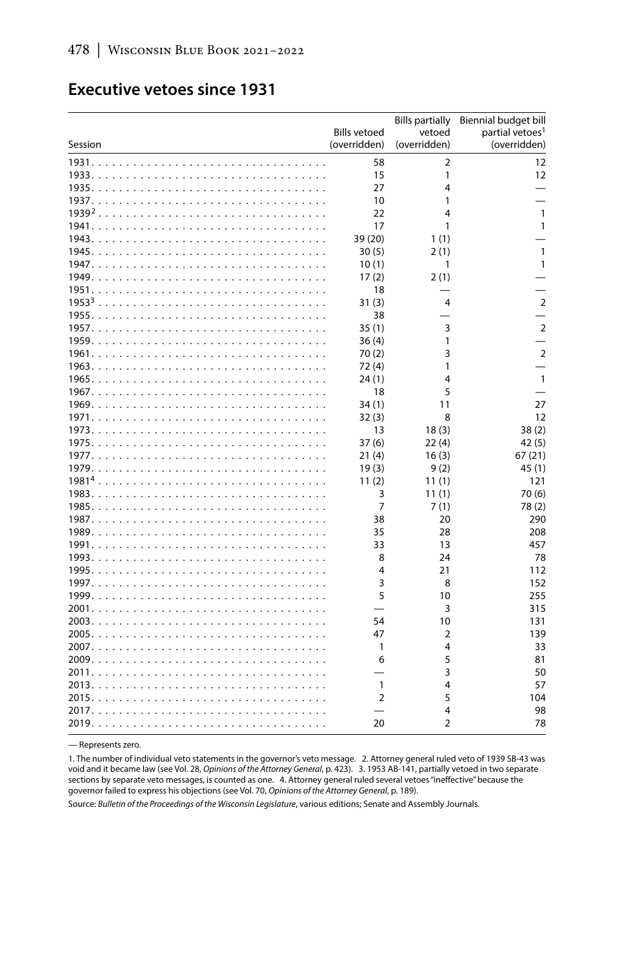### **Executive vetoes since 1931**

| vetoed<br>(overridden)<br>(overridden)<br>Session<br>(overridden)<br>$\overline{2}$<br>58<br>12<br>15<br>1<br>12<br>$\overline{4}$<br>27<br>$\equiv$<br>10<br>1<br>$\overline{\phantom{0}}$<br>$\mathbf{1}$<br>4<br>22<br>17<br>1<br>$\mathbf{1}$<br>39 (20)<br>1(1)<br>$\mathbf{1}$<br>30(5)<br>2(1)<br>$\mathbf{1}$<br>10(1)<br>1<br>17(2)<br>2(1)<br>18<br>$\overline{2}$<br>31(3)<br>4<br>38<br>$\overline{2}$<br>3<br>35(1)<br>1<br>36(4)<br>$\overline{2}$<br>3<br>70(2)<br>72 (4)<br>1<br>$\overline{4}$<br>1<br>24(1)<br>5<br>18<br>27<br>34(1)<br>11<br>8<br>12<br>32(3)<br>13<br>18(3)<br>38(2)<br>37(6)<br>22(4)<br>42 (5)<br>16(3)<br>67(21)<br>21(4)<br>19(3)<br>9(2)<br>45 (1)<br>11(2)<br>121<br>11(1)<br>3<br>70(6)<br>11(1)<br>$\overline{7}$<br>7(1)<br>78 (2)<br>20<br>38<br>290<br>28<br>35<br>208<br>457<br>33<br>13<br>8<br>24<br>78<br>$\overline{4}$<br>21<br>112<br>3<br>8<br>152<br>5<br>10<br>255<br>3<br>315<br>10<br>54<br>131<br>47<br>2<br>139<br>4<br>1<br>33<br>5<br>6<br>81<br>3<br>50<br>$\mathbf{1}$<br>$\overline{4}$<br>57<br>$\overline{2}$<br>5<br>104<br>4<br>98<br>$\overline{2}$<br>78<br>20 |                     | <b>Bills partially</b> | Biennial budget bill        |
|-----------------------------------------------------------------------------------------------------------------------------------------------------------------------------------------------------------------------------------------------------------------------------------------------------------------------------------------------------------------------------------------------------------------------------------------------------------------------------------------------------------------------------------------------------------------------------------------------------------------------------------------------------------------------------------------------------------------------------------------------------------------------------------------------------------------------------------------------------------------------------------------------------------------------------------------------------------------------------------------------------------------------------------------------------------------------------------------------------------------------------------------|---------------------|------------------------|-----------------------------|
|                                                                                                                                                                                                                                                                                                                                                                                                                                                                                                                                                                                                                                                                                                                                                                                                                                                                                                                                                                                                                                                                                                                                         | <b>Bills vetoed</b> |                        | partial vetoes <sup>1</sup> |
|                                                                                                                                                                                                                                                                                                                                                                                                                                                                                                                                                                                                                                                                                                                                                                                                                                                                                                                                                                                                                                                                                                                                         |                     |                        |                             |
|                                                                                                                                                                                                                                                                                                                                                                                                                                                                                                                                                                                                                                                                                                                                                                                                                                                                                                                                                                                                                                                                                                                                         |                     |                        |                             |
|                                                                                                                                                                                                                                                                                                                                                                                                                                                                                                                                                                                                                                                                                                                                                                                                                                                                                                                                                                                                                                                                                                                                         |                     |                        |                             |
|                                                                                                                                                                                                                                                                                                                                                                                                                                                                                                                                                                                                                                                                                                                                                                                                                                                                                                                                                                                                                                                                                                                                         |                     |                        |                             |
|                                                                                                                                                                                                                                                                                                                                                                                                                                                                                                                                                                                                                                                                                                                                                                                                                                                                                                                                                                                                                                                                                                                                         |                     |                        |                             |
|                                                                                                                                                                                                                                                                                                                                                                                                                                                                                                                                                                                                                                                                                                                                                                                                                                                                                                                                                                                                                                                                                                                                         |                     |                        |                             |
|                                                                                                                                                                                                                                                                                                                                                                                                                                                                                                                                                                                                                                                                                                                                                                                                                                                                                                                                                                                                                                                                                                                                         |                     |                        |                             |
|                                                                                                                                                                                                                                                                                                                                                                                                                                                                                                                                                                                                                                                                                                                                                                                                                                                                                                                                                                                                                                                                                                                                         |                     |                        |                             |
|                                                                                                                                                                                                                                                                                                                                                                                                                                                                                                                                                                                                                                                                                                                                                                                                                                                                                                                                                                                                                                                                                                                                         |                     |                        |                             |
|                                                                                                                                                                                                                                                                                                                                                                                                                                                                                                                                                                                                                                                                                                                                                                                                                                                                                                                                                                                                                                                                                                                                         |                     |                        |                             |
|                                                                                                                                                                                                                                                                                                                                                                                                                                                                                                                                                                                                                                                                                                                                                                                                                                                                                                                                                                                                                                                                                                                                         |                     |                        |                             |
|                                                                                                                                                                                                                                                                                                                                                                                                                                                                                                                                                                                                                                                                                                                                                                                                                                                                                                                                                                                                                                                                                                                                         |                     |                        |                             |
|                                                                                                                                                                                                                                                                                                                                                                                                                                                                                                                                                                                                                                                                                                                                                                                                                                                                                                                                                                                                                                                                                                                                         |                     |                        |                             |
|                                                                                                                                                                                                                                                                                                                                                                                                                                                                                                                                                                                                                                                                                                                                                                                                                                                                                                                                                                                                                                                                                                                                         |                     |                        |                             |
|                                                                                                                                                                                                                                                                                                                                                                                                                                                                                                                                                                                                                                                                                                                                                                                                                                                                                                                                                                                                                                                                                                                                         |                     |                        |                             |
|                                                                                                                                                                                                                                                                                                                                                                                                                                                                                                                                                                                                                                                                                                                                                                                                                                                                                                                                                                                                                                                                                                                                         |                     |                        |                             |
|                                                                                                                                                                                                                                                                                                                                                                                                                                                                                                                                                                                                                                                                                                                                                                                                                                                                                                                                                                                                                                                                                                                                         |                     |                        |                             |
|                                                                                                                                                                                                                                                                                                                                                                                                                                                                                                                                                                                                                                                                                                                                                                                                                                                                                                                                                                                                                                                                                                                                         |                     |                        |                             |
|                                                                                                                                                                                                                                                                                                                                                                                                                                                                                                                                                                                                                                                                                                                                                                                                                                                                                                                                                                                                                                                                                                                                         |                     |                        |                             |
|                                                                                                                                                                                                                                                                                                                                                                                                                                                                                                                                                                                                                                                                                                                                                                                                                                                                                                                                                                                                                                                                                                                                         |                     |                        |                             |
|                                                                                                                                                                                                                                                                                                                                                                                                                                                                                                                                                                                                                                                                                                                                                                                                                                                                                                                                                                                                                                                                                                                                         |                     |                        |                             |
|                                                                                                                                                                                                                                                                                                                                                                                                                                                                                                                                                                                                                                                                                                                                                                                                                                                                                                                                                                                                                                                                                                                                         |                     |                        |                             |
|                                                                                                                                                                                                                                                                                                                                                                                                                                                                                                                                                                                                                                                                                                                                                                                                                                                                                                                                                                                                                                                                                                                                         |                     |                        |                             |
|                                                                                                                                                                                                                                                                                                                                                                                                                                                                                                                                                                                                                                                                                                                                                                                                                                                                                                                                                                                                                                                                                                                                         |                     |                        |                             |
|                                                                                                                                                                                                                                                                                                                                                                                                                                                                                                                                                                                                                                                                                                                                                                                                                                                                                                                                                                                                                                                                                                                                         |                     |                        |                             |
|                                                                                                                                                                                                                                                                                                                                                                                                                                                                                                                                                                                                                                                                                                                                                                                                                                                                                                                                                                                                                                                                                                                                         |                     |                        |                             |
|                                                                                                                                                                                                                                                                                                                                                                                                                                                                                                                                                                                                                                                                                                                                                                                                                                                                                                                                                                                                                                                                                                                                         |                     |                        |                             |
|                                                                                                                                                                                                                                                                                                                                                                                                                                                                                                                                                                                                                                                                                                                                                                                                                                                                                                                                                                                                                                                                                                                                         |                     |                        |                             |
|                                                                                                                                                                                                                                                                                                                                                                                                                                                                                                                                                                                                                                                                                                                                                                                                                                                                                                                                                                                                                                                                                                                                         |                     |                        |                             |
|                                                                                                                                                                                                                                                                                                                                                                                                                                                                                                                                                                                                                                                                                                                                                                                                                                                                                                                                                                                                                                                                                                                                         |                     |                        |                             |
|                                                                                                                                                                                                                                                                                                                                                                                                                                                                                                                                                                                                                                                                                                                                                                                                                                                                                                                                                                                                                                                                                                                                         |                     |                        |                             |
|                                                                                                                                                                                                                                                                                                                                                                                                                                                                                                                                                                                                                                                                                                                                                                                                                                                                                                                                                                                                                                                                                                                                         |                     |                        |                             |
|                                                                                                                                                                                                                                                                                                                                                                                                                                                                                                                                                                                                                                                                                                                                                                                                                                                                                                                                                                                                                                                                                                                                         |                     |                        |                             |
|                                                                                                                                                                                                                                                                                                                                                                                                                                                                                                                                                                                                                                                                                                                                                                                                                                                                                                                                                                                                                                                                                                                                         |                     |                        |                             |
|                                                                                                                                                                                                                                                                                                                                                                                                                                                                                                                                                                                                                                                                                                                                                                                                                                                                                                                                                                                                                                                                                                                                         |                     |                        |                             |
|                                                                                                                                                                                                                                                                                                                                                                                                                                                                                                                                                                                                                                                                                                                                                                                                                                                                                                                                                                                                                                                                                                                                         |                     |                        |                             |
|                                                                                                                                                                                                                                                                                                                                                                                                                                                                                                                                                                                                                                                                                                                                                                                                                                                                                                                                                                                                                                                                                                                                         |                     |                        |                             |
|                                                                                                                                                                                                                                                                                                                                                                                                                                                                                                                                                                                                                                                                                                                                                                                                                                                                                                                                                                                                                                                                                                                                         |                     |                        |                             |
|                                                                                                                                                                                                                                                                                                                                                                                                                                                                                                                                                                                                                                                                                                                                                                                                                                                                                                                                                                                                                                                                                                                                         |                     |                        |                             |
|                                                                                                                                                                                                                                                                                                                                                                                                                                                                                                                                                                                                                                                                                                                                                                                                                                                                                                                                                                                                                                                                                                                                         |                     |                        |                             |
|                                                                                                                                                                                                                                                                                                                                                                                                                                                                                                                                                                                                                                                                                                                                                                                                                                                                                                                                                                                                                                                                                                                                         |                     |                        |                             |
|                                                                                                                                                                                                                                                                                                                                                                                                                                                                                                                                                                                                                                                                                                                                                                                                                                                                                                                                                                                                                                                                                                                                         |                     |                        |                             |
|                                                                                                                                                                                                                                                                                                                                                                                                                                                                                                                                                                                                                                                                                                                                                                                                                                                                                                                                                                                                                                                                                                                                         |                     |                        |                             |
|                                                                                                                                                                                                                                                                                                                                                                                                                                                                                                                                                                                                                                                                                                                                                                                                                                                                                                                                                                                                                                                                                                                                         |                     |                        |                             |
|                                                                                                                                                                                                                                                                                                                                                                                                                                                                                                                                                                                                                                                                                                                                                                                                                                                                                                                                                                                                                                                                                                                                         |                     |                        |                             |
|                                                                                                                                                                                                                                                                                                                                                                                                                                                                                                                                                                                                                                                                                                                                                                                                                                                                                                                                                                                                                                                                                                                                         |                     |                        |                             |

— Represents zero.

1. The number of individual veto statements in the governor's veto message. 2. Attorney general ruled veto of 1939 SB-43 was void and it became law (see Vol. 28, *Opinions of the Attorney General*, p. 423). 3. 1953 AB-141, partially vetoed in two separate sections by separate veto messages, is counted as one. 4. Attorney general ruled several vetoes "ineffective" because the governor failed to express his objections (see Vol. 70, *Opinions of the Attorney General*, p. 189).

Source: *Bulletin of the Proceedings of the Wisconsin Legislature*, various editions; Senate and Assembly Journals*.*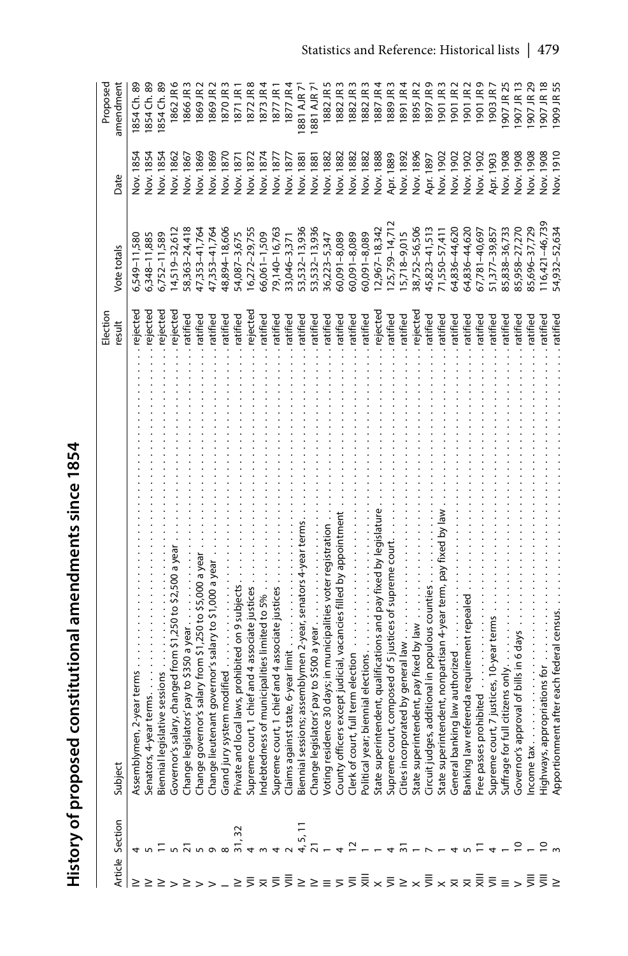| ory of proposed constitutional amendments since 1854 |
|------------------------------------------------------|
|                                                      |
|                                                      |
|                                                      |
|                                                      |
|                                                      |
| i                                                    |

|                     |                  |                                                                                                                                                                                                                                          | Election   |                   |                                                  | Proposed                            |
|---------------------|------------------|------------------------------------------------------------------------------------------------------------------------------------------------------------------------------------------------------------------------------------------|------------|-------------------|--------------------------------------------------|-------------------------------------|
|                     | Article Section  | Subject                                                                                                                                                                                                                                  | result     | Vote totals       | Date                                             | amendment                           |
|                     |                  | Assembl                                                                                                                                                                                                                                  | rejectec   | 6,549-11,580      | Vov. 1854                                        | 854 Ch. 89                          |
|                     |                  | 4-year terms<br>Senators                                                                                                                                                                                                                 | rejectec   | 5,348-11,885      | Nov. 1854                                        | 854 Ch. 89                          |
|                     |                  | Biennia                                                                                                                                                                                                                                  | rejected   | 5,752-11,589      | Nov. 1854                                        | 854 Ch. 89                          |
|                     |                  | Governo                                                                                                                                                                                                                                  | rejectec   | 4,519-32,612      | Vov. 1862                                        | 1862 JR 6                           |
| ≥≥≥⇒≥>              |                  | Change                                                                                                                                                                                                                                   | . ratified | 58,363-24,418     | Nov. 1867                                        | 1866 JR 3                           |
|                     |                  | Change g                                                                                                                                                                                                                                 | ratified   | 47,353-41,764     | Nov. 1869                                        | 1869 JR 2                           |
|                     |                  | is a construction of the set of the set of the set of the set of the set of the set of the set of the set of the set of the set of the set of the set of the set of the set of the set of the set of the set of the set of the<br>Change | ratified   | 47,353-41,764     |                                                  | 1869 JR 2                           |
|                     |                  | ry system modified<br>Grandju                                                                                                                                                                                                            | ratified   | 18,894-18,606     |                                                  | 1870 JR 3                           |
|                     | 31,32            | nd local laws, prohibited on 9 subjects<br>Private a                                                                                                                                                                                     | ratified   | 54,087-3,675      | Nov. 1869<br>Nov. 1870<br>Nov. 1871<br>Nov. 1872 | 1871 JR 1                           |
|                     |                  | Supreme court, 1 chief and 4 associate justices                                                                                                                                                                                          | rejected   | 16,272-29,755     |                                                  |                                     |
|                     |                  | Indebtedness of municipalities limited to 5%                                                                                                                                                                                             | ratified   | 66,061-1,509      | Nov. 1874                                        |                                     |
|                     |                  | Supreme court, 1 chief and 4 associate justices.                                                                                                                                                                                         | ratified   | 79,140-16,763     | Nov. 1877                                        | 1872 JR 8<br>1873 JR 4<br>1877 JR 1 |
|                     |                  | Claims against state, 6-year limit                                                                                                                                                                                                       | ratified   | 33,046-3,371      | Nov. 1877                                        | 1877 JR 4                           |
|                     |                  |                                                                                                                                                                                                                                          | ratified   | 53,532-13,936     | Nov. 1881                                        | 881 AJR 7                           |
|                     | $4, 5, 11$<br>21 | egislators' pay to \$500 a year.<br>Change I <sub>f</sub>                                                                                                                                                                                | . ratified | 53,532-13,936     | Nov. 1881                                        | 1881 AJR 7                          |
|                     |                  |                                                                                                                                                                                                                                          | .ratified  | 36,223-5,347      | Nov. 1882                                        | 1882 JR 5                           |
|                     |                  | County of icers except judicial, vacancies filled by approach of $\cdots$ .                                                                                                                                                              | . ratified | 60,091-8,089      | Nov. 1882                                        | 1882 JR 3                           |
|                     |                  |                                                                                                                                                                                                                                          |            | 60,091-8,089      | Nov. 1882                                        | 1882 JR 3                           |
|                     |                  |                                                                                                                                                                                                                                          |            | 60,091-8,089      | Nov. 1882                                        | 1882 JR 3                           |
|                     |                  |                                                                                                                                                                                                                                          |            | $12,967 - 18,342$ | Nov. 1888                                        | 1887 JR 4                           |
|                     |                  |                                                                                                                                                                                                                                          |            | 25,759-14,712     | Apr. 1889                                        | I889 JR 3                           |
|                     |                  |                                                                                                                                                                                                                                          |            | $15,718-9,015$    | Nov. 1892                                        | 1891 JR 4                           |
|                     |                  | state superintendent, pay fixed by it was a series of the constructed by it was the product of the construction of the constant $\sim$                                                                                                   |            | 38,752-56,506     | Nov. 1896                                        | 1895 JR 2                           |
|                     |                  |                                                                                                                                                                                                                                          |            | 45,823-41,513     | Apr. 1897<br>Nov. 1902                           | 897 JR 9                            |
|                     |                  |                                                                                                                                                                                                                                          |            | 71,550-57,411     |                                                  | 1901 JR 3                           |
|                     |                  |                                                                                                                                                                                                                                          | ratified   | 64,836-44,620     |                                                  | 1901 JR 2                           |
|                     |                  | Banking                                                                                                                                                                                                                                  | ratified   | 64,836-44,620     | Nov. 1902<br>Nov. 1902                           |                                     |
|                     |                  | Free passes prohibited                                                                                                                                                                                                                   | ratified   | 67,781-40,697     | Nov. 1902                                        |                                     |
|                     |                  |                                                                                                                                                                                                                                          | ratified   | 51,377-39,857     | Apr. 1903                                        | 1901 JR 2<br>1901 JR 9<br>1903 JR 7 |
|                     |                  | for full citizens only.<br>Suffrage                                                                                                                                                                                                      | ratified   | 85,838-36,733     | Nov. 1908                                        | 907 JR 25                           |
|                     |                  | Governo                                                                                                                                                                                                                                  | ratified   | 85,958-27,270     | Nov. 1908                                        | 907 JR 13                           |
|                     |                  | Income tax.                                                                                                                                                                                                                              | ratified   | 85,696-37,729     | <b>Nov. 1908</b>                                 | 907 JR 29                           |
| ⋝≧≦⋝⋝⋾⋍⋗⋧⋍⋖⋍⋍⋖⋍⋖⋖⋍⋖ | $-2 - 2 m$       | ナイト・ファイト アイ・アイティー アイ・アイ・アイ・アイ・アイ・アイ・アイ<br>s, appropriations for<br><b>Highway</b>                                                                                                                                                        | ratified   | 16,421-46,739     | Nov. 1908                                        | 1907 JR 18<br>1909 JR 55            |
|                     |                  | contract a determine the determination of the contract of the contract of the contract of the contract of the contract of the contract of the contract of the contract of the contract of the contract of the contract of the            | . ratified | 54,932-52,634     | Nov. 1910                                        |                                     |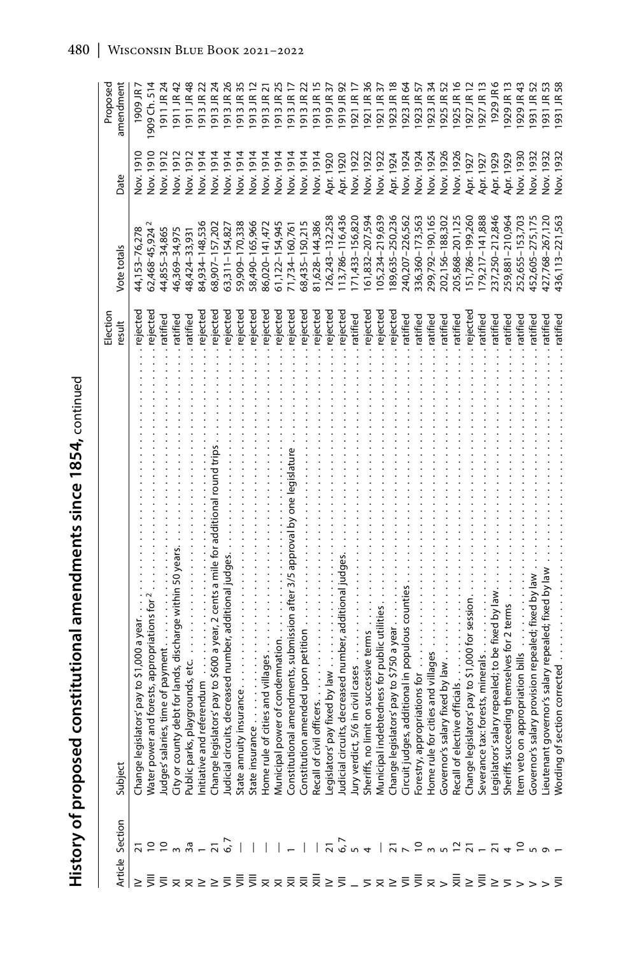|                                                          |                                                                           |                                                                                                                                                                                                                                            | Election   |                   |                                     | Proposed    |
|----------------------------------------------------------|---------------------------------------------------------------------------|--------------------------------------------------------------------------------------------------------------------------------------------------------------------------------------------------------------------------------------------|------------|-------------------|-------------------------------------|-------------|
|                                                          | Article Section                                                           | Subject                                                                                                                                                                                                                                    | result     | Vote totals       | Date                                | amendment   |
|                                                          |                                                                           | legislators' pay to \$1,000 a year<br>Change                                                                                                                                                                                               | rejectec   | 44,153-76,278     | Nov. 1910                           | 1909 JR     |
|                                                          |                                                                           | Water power and forests, appropriations for <sup>2</sup> .                                                                                                                                                                                 | rejectec   | 62,468-45,924     | Nov. 1910                           | 909 Ch. 514 |
|                                                          |                                                                           |                                                                                                                                                                                                                                            | ratified   | 44,855-34,865     | Nov. 1912                           |             |
|                                                          |                                                                           | Judges'<br>City or c                                                                                                                                                                                                                       | ratified   | 46,369-34,975     | Nov. 1912                           | 1911 JR 42  |
|                                                          |                                                                           | 医血管中枢 医血管中枢 医血管中枢 医血管中枢 医血管中枢 医血管中枢 医血管                                                                                                                                                                                                    | ratified   | 48,424-33,931     | Nov. 1912                           | 911 JR 48   |
|                                                          |                                                                           | Public parks, playgrounds, etc.<br>Initiative and referendum                                                                                                                                                                               | rejected   | 84,934-148,536    | Nov. 1914                           | 913 JR 22   |
|                                                          |                                                                           | legislators' pay to \$600 a year, 2 cents a mile for additional round trips                                                                                                                                                                | rejected   | 68,907-157,202    | Nov. 1914                           | 913 JR 24   |
|                                                          |                                                                           | circuits, decreased number, additional judges.<br>Change<br>Judicial                                                                                                                                                                       | rejected   | 63,311-154,827    | Nov. 1914                           | 913 JR 26   |
|                                                          |                                                                           | inuity insurance                                                                                                                                                                                                                           | rejected   | 59,909-170,338    | Nov. 1914                           | 913 JR 35   |
|                                                          |                                                                           | surance<br>State an                                                                                                                                                                                                                        | rejected   | 58,490-165,966    | 1914<br>Nov. 1                      | 1913 JR 12  |
|                                                          |                                                                           |                                                                                                                                                                                                                                            | . rejected | 86,020-141,472    | 1914<br>Nov.1                       | 1913 JR 21  |
|                                                          |                                                                           |                                                                                                                                                                                                                                            | . rejected | 61,122-154,945    | 1914<br>Nov.1                       | 1913 JR 25  |
|                                                          |                                                                           |                                                                                                                                                                                                                                            | . rejected | 71,734-160,761    | Nov. 1914                           | 1913 JR 17  |
|                                                          |                                                                           |                                                                                                                                                                                                                                            | .rejected  | 68,435-150,215    | Nov. 1914                           | 1913 JR 22  |
|                                                          |                                                                           | Recall of civil officers.                                                                                                                                                                                                                  |            | 81,628-144,386    | Nov. 1914                           | 1913 JR 15  |
|                                                          |                                                                           |                                                                                                                                                                                                                                            |            | 26,243-132,258    |                                     | 1919 JR 37  |
|                                                          |                                                                           |                                                                                                                                                                                                                                            |            | 13,786-116,436    | Apr. 1920<br>Apr. 1920              | 1919 JR 92  |
|                                                          |                                                                           |                                                                                                                                                                                                                                            |            | 71,433-156,820    | Nov. 1922                           | 1921 JR 17  |
|                                                          |                                                                           |                                                                                                                                                                                                                                            |            | 61,832-207,594    | Nov. 1922                           | 1921 JR 36  |
|                                                          |                                                                           |                                                                                                                                                                                                                                            |            | 05,234-219,639    | Nov. 1922                           | 1921 JR 37  |
|                                                          |                                                                           |                                                                                                                                                                                                                                            |            | 89,635-250,236    |                                     | 1923 JR 18  |
|                                                          |                                                                           |                                                                                                                                                                                                                                            |            | 240,207-226,562   | Apr. 1924<br>Nov. 1924<br>Nov. 1924 | 1923 JR 64  |
|                                                          |                                                                           |                                                                                                                                                                                                                                            | ratified   | 336,360-173,563   |                                     | 923 JR 57   |
|                                                          |                                                                           |                                                                                                                                                                                                                                            | ratified   | 299,792-190,165   | Nov. 1924                           | 923 JR 34   |
|                                                          |                                                                           |                                                                                                                                                                                                                                            | ratified   | 202, 156-188, 302 | Nov. 1926                           | 925 JR 52   |
|                                                          |                                                                           | elective officials<br>Recall of                                                                                                                                                                                                            | ratified   | 205,868-201,125   | Nov. 1926                           | 1925 JR 16  |
|                                                          |                                                                           |                                                                                                                                                                                                                                            | rejected   | 151,786-199,260   | Apr. 1927<br>Apr. 1927              | 927 JR 12   |
|                                                          |                                                                           | ce tax: forests, minerals<br>Severan                                                                                                                                                                                                       | ratified   | 179,217-141,888   |                                     | 927 JR 13   |
|                                                          |                                                                           | ors' salary repealed; to be fixed by law.<br>Legislat                                                                                                                                                                                      | ratified   | 237,250-212,846   | Apr. 1929                           | 1929 JR 6   |
|                                                          |                                                                           | ratified the more therms is a correct of the construction of the correct of the correct of the correct of the correct of the correct of the correct of the correct of the correct of the correct of the correct of the correct<br>Sheriffs |            | 259,881-210,964   | Apr. 1929                           | 1929 JR 13  |
|                                                          |                                                                           | Item veto on appropriation bills                                                                                                                                                                                                           |            | 252,655-153,703   | <b>Nov. 1930</b>                    | 1929 JR 43  |
|                                                          |                                                                           |                                                                                                                                                                                                                                            |            | 452,605-275,175   | Vov. 1932                           | 931 JR 52   |
| ≥⋚⋚⋇⋇≥≥⋚⋚⋚⋇⋇ <del>⋧</del> ⋧⋛≥⋚ <i>∊</i> ⋝⋇≥⋚⋚⋇⋋⋛≥⋚≥⋝⋋⋋⋋⋚ | 2 2 2 2 3 2 4 5 6 1 1 1 1 - 1 1 2 6 9 4 1 2 7 2 9 9 9 7 2 - 2 4 2 9 9 9 - | $\blacksquare$ identified on $\blacksquare$ is a larger $\blacksquare$ and $\blacksquare$ if $\blacksquare$ is a larger $\blacksquare$ is a larger $\blacksquare$ .                                                                        |            | 427,768-267,120   | Nov. 1932                           | 931 JR 53   |
|                                                          |                                                                           | of section corrected<br>Wording                                                                                                                                                                                                            |            | 436,113-221,563   | Nov. 1932                           | 931 JR 58   |

History of proposed constitutional amendments since 1854, continued **History of proposed constitutional amendments since 1854,** continued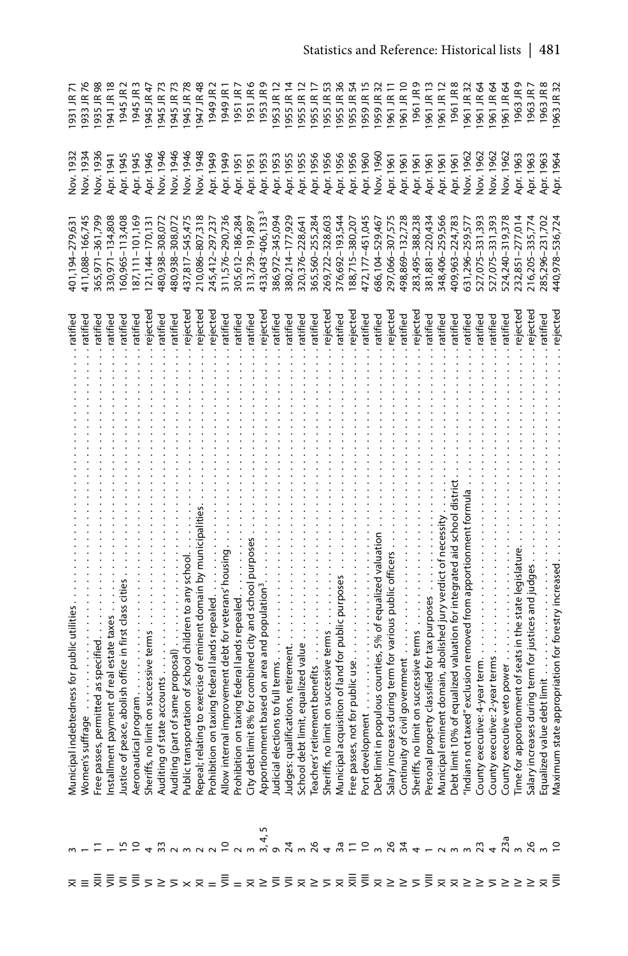|                                                                                                                                                                                                                                | ratified<br>Municipal indebtedness for public utilities                                                                                                                                                                                    | 401,194-279,63       | Nov. 1932                                                                                                                                   | $\widetilde{=}$<br>1931                                            |
|--------------------------------------------------------------------------------------------------------------------------------------------------------------------------------------------------------------------------------|--------------------------------------------------------------------------------------------------------------------------------------------------------------------------------------------------------------------------------------------|----------------------|---------------------------------------------------------------------------------------------------------------------------------------------|--------------------------------------------------------------------|
|                                                                                                                                                                                                                                | Women's suffrage                                                                                                                                                                                                                           | 411,088-166,745      | 193                                                                                                                                         | 933 JR 76                                                          |
|                                                                                                                                                                                                                                | atified<br>sses, permitted as specified.<br>Free pas                                                                                                                                                                                       | 365,971-361,799      | 1936<br>yov.                                                                                                                                | 935 JR 98                                                          |
|                                                                                                                                                                                                                                | ratified<br>Installment payment of real estate taxes                                                                                                                                                                                       | 330,971-134,808      | 541<br>Apr.                                                                                                                                 | 941 JR 18                                                          |
|                                                                                                                                                                                                                                | ratified<br>Justice of peace, abolish office in first class citi                                                                                                                                                                           | 160,965-113,408      | 1945                                                                                                                                        | 1945 JR 2<br>1945 JR 3                                             |
|                                                                                                                                                                                                                                | ratified                                                                                                                                                                                                                                   | 187, 111 - 101, 169  | 1945<br>نق ق                                                                                                                                |                                                                    |
|                                                                                                                                                                                                                                | ejectec                                                                                                                                                                                                                                    | $121, 144 - 170, 13$ |                                                                                                                                             |                                                                    |
|                                                                                                                                                                                                                                | ratified                                                                                                                                                                                                                                   | 480,938-308,072      | Apr. 1946<br>Nov. 1946<br>Nov. 1946                                                                                                         |                                                                    |
|                                                                                                                                                                                                                                | ratified                                                                                                                                                                                                                                   | 480,938-308,072      |                                                                                                                                             | 1945 JR 47<br>1945 JR 73<br>1945 JR 73<br>1945 JR 78               |
|                                                                                                                                                                                                                                | rejectec                                                                                                                                                                                                                                   | 437,817-545,475      | Vov. 1946                                                                                                                                   |                                                                    |
|                                                                                                                                                                                                                                | rejectec<br>relating to exercise of eminent domain by municipalities                                                                                                                                                                       | 210,086-807,318      | Nov. 1948                                                                                                                                   | 947 JR 48                                                          |
|                                                                                                                                                                                                                                | ejectec                                                                                                                                                                                                                                    | 245,412-297,237      |                                                                                                                                             |                                                                    |
|                                                                                                                                                                                                                                | ratified                                                                                                                                                                                                                                   | 311,576-290,736      |                                                                                                                                             | 1949 JR 2<br>1949 JR 1<br>1951 JR 7                                |
|                                                                                                                                                                                                                                | atified                                                                                                                                                                                                                                    | 305,612-186,284      |                                                                                                                                             |                                                                    |
|                                                                                                                                                                                                                                | ratified                                                                                                                                                                                                                                   | 313,739-191,897      |                                                                                                                                             | 1951 JR6                                                           |
|                                                                                                                                                                                                                                | rejectec                                                                                                                                                                                                                                   | 433,043-406,133      |                                                                                                                                             | 1953 JR 9                                                          |
|                                                                                                                                                                                                                                | ratified                                                                                                                                                                                                                                   | 386,972-345,094      |                                                                                                                                             | 1953 JR 12<br>1955 JR 14<br>1955 JR 12<br>1955 JR 53<br>1955 JR 53 |
|                                                                                                                                                                                                                                | ratified                                                                                                                                                                                                                                   | 380,214-177,929      |                                                                                                                                             |                                                                    |
|                                                                                                                                                                                                                                | ratified                                                                                                                                                                                                                                   | 320,376-228,64       |                                                                                                                                             |                                                                    |
|                                                                                                                                                                                                                                | ratified                                                                                                                                                                                                                                   | 365,560-255,284      |                                                                                                                                             |                                                                    |
|                                                                                                                                                                                                                                | rejectec                                                                                                                                                                                                                                   | 269,722-328,603      |                                                                                                                                             |                                                                    |
|                                                                                                                                                                                                                                | ratified                                                                                                                                                                                                                                   | 376,692-193,544      | 4pr. 1949<br>Apr. 1951<br>Apr. 1951<br>Apr. 1953<br>Apr. 1955<br>Apr. 1956<br>Apr. 1956<br>Apr. 1966<br>Apr. 1966<br>Apr. 1966<br>Apr. 1966 | 1955 JR 36<br>1955 JR 54<br>1959 JR 15<br>1959 JR 32               |
|                                                                                                                                                                                                                                | rejectec                                                                                                                                                                                                                                   | 88,715-380,207       |                                                                                                                                             |                                                                    |
|                                                                                                                                                                                                                                | atified                                                                                                                                                                                                                                    | 472, 177-451, 045    |                                                                                                                                             |                                                                    |
|                                                                                                                                                                                                                                | ratified                                                                                                                                                                                                                                   | 686, 104-529, 467    |                                                                                                                                             |                                                                    |
|                                                                                                                                                                                                                                | rejectec                                                                                                                                                                                                                                   | 297,066-307,575      | 1961<br>֦֧֦֝֝<br>׆֥֥׆֥׆֥׆֥׆֥֦֥                                                                                                              | 1961 JR 11<br>1961 JR 10                                           |
|                                                                                                                                                                                                                                | ratified                                                                                                                                                                                                                                   | 498,869-132,728      | 1961                                                                                                                                        |                                                                    |
|                                                                                                                                                                                                                                | rejectec<br>no limit on successive terms<br>Sheriffs,                                                                                                                                                                                      | 283,495-388,238      | 1961                                                                                                                                        | 1961 JR 9                                                          |
|                                                                                                                                                                                                                                | ratified<br>Personal property classified for tax purposes                                                                                                                                                                                  | 381,881-220,434      | 1961                                                                                                                                        | 1961 JR 13<br>1961 JR 12                                           |
|                                                                                                                                                                                                                                | ratified<br>Municipal eminent domain, abolished jury verdict of necessity<br>Debt limit 10% of equalized valuation for integrated aid school district<br>"Indians not taxed" exclusion removed from apportionment formula<br>County exe    | 348,406-259,566      | 1961                                                                                                                                        |                                                                    |
|                                                                                                                                                                                                                                | ratified                                                                                                                                                                                                                                   | 409,963-224,783      | Apr. 1961<br>Nov. 1962<br>Nov. 1962<br>Nov. 1962                                                                                            | 1961 JR8                                                           |
|                                                                                                                                                                                                                                | ratified                                                                                                                                                                                                                                   | 631,296-259,577      |                                                                                                                                             | 961 JR 32                                                          |
|                                                                                                                                                                                                                                | ratified                                                                                                                                                                                                                                   | 527,075-331,393      |                                                                                                                                             | 1961 JR 64<br>1961 JR 64                                           |
|                                                                                                                                                                                                                                | ratified                                                                                                                                                                                                                                   | 527,075-331,393      |                                                                                                                                             |                                                                    |
|                                                                                                                                                                                                                                | ratified<br>executive veto power<br>County                                                                                                                                                                                                 | 524,240-319,378      | Vov. 1962                                                                                                                                   | 961 JR 64                                                          |
|                                                                                                                                                                                                                                | rejectec<br>apportionment of seats in the state legislature.                                                                                                                                                                               | 232,851-277,014      |                                                                                                                                             | 1963 JR 9                                                          |
|                                                                                                                                                                                                                                | rejectec                                                                                                                                                                                                                                   | 216,205-335,774      |                                                                                                                                             | 1963 JR                                                            |
| 31 「「「「いれま」 2322 1 2 1 5 1 5 1 5 5 1 5 5 1 1 3 3 1 2 5 1 5 1 1 5 1 1 5 1 1 5 1 1 5 1 1 1 5 1 1 5 1 1 1 5 1 1 5 1 1 5 1 1 5 1 1 1 5 1 1 5 1 1 5 1 1 5 1 1 5 1 1 5 1 1 5 1 1 5 1 1 5 1 1 5 1 1 1 5 1 1 5 1 1 5 1 1 1 5 1 1 1 5 1 | ratified<br>Time for apportionment of seats in the state legislation for a state legislation for particle and judges scaling term for justices and judges for the state legislation for the state appropriation for forestry increased Max | 285,296-231,702      | Apr. 1963<br>Apr. 1963<br>Apr. 1963<br>Apr. 1964                                                                                            | 1963 JR 8                                                          |
|                                                                                                                                                                                                                                | rejectec                                                                                                                                                                                                                                   | 440,978–536,724      |                                                                                                                                             | 963 JR 32                                                          |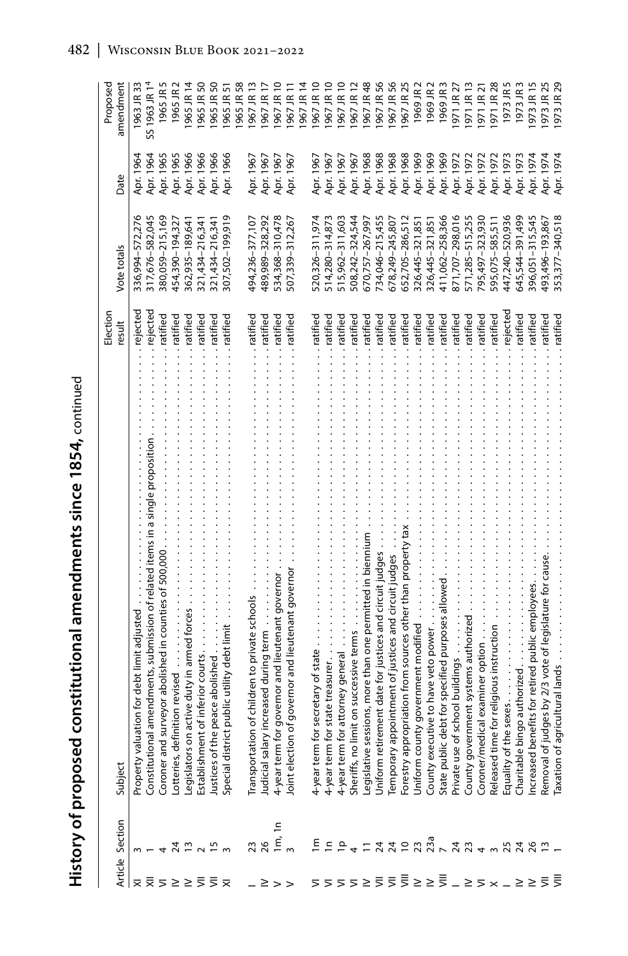| $\frac{1}{2}$                                 |
|-----------------------------------------------|
|                                               |
|                                               |
|                                               |
|                                               |
|                                               |
|                                               |
|                                               |
|                                               |
|                                               |
|                                               |
| ֚֓                                            |
|                                               |
|                                               |
| うとごう りょうりょう するり そうし こうりょう しょうしょう ちょうしょう こうしょう |
|                                               |
|                                               |
|                                               |
|                                               |

|                          |                         |                                                                                                                                                                                                                                                                                                                                              | Election   |                 |                                                                                                      | Proposed                  |
|--------------------------|-------------------------|----------------------------------------------------------------------------------------------------------------------------------------------------------------------------------------------------------------------------------------------------------------------------------------------------------------------------------------------|------------|-----------------|------------------------------------------------------------------------------------------------------|---------------------------|
|                          | Article Section         | Subject                                                                                                                                                                                                                                                                                                                                      | result     | Vote totals     | Date                                                                                                 | amendment                 |
|                          |                         | valuation for debt limit adjusted<br>Property                                                                                                                                                                                                                                                                                                | rejectec   | 336,994-572,276 | Apr. 1964                                                                                            | 1963 JR 33                |
|                          |                         | ional amendments, submission of related items in a single proposition<br>Constitut                                                                                                                                                                                                                                                           | rejected   | 317,676-582,045 | Apr. 1964                                                                                            | SS 1963 JR 1 <sup>4</sup> |
|                          |                         | Coroner and surveyor abolished in counties of 500,000                                                                                                                                                                                                                                                                                        | ratified   | 380,059-215,169 |                                                                                                      | 1965 JR 5                 |
|                          |                         | definition revised<br>Lotteries,                                                                                                                                                                                                                                                                                                             | ratified   | 454,390-194,327 |                                                                                                      | 1965 JR 2                 |
|                          |                         |                                                                                                                                                                                                                                                                                                                                              | ratified   | 362,935-189,641 |                                                                                                      | 965 JR 14                 |
|                          |                         | Le saissance de la construction de la construction de la construction de la construction de la construction de<br>Le présentation de la construction de la construction de la construction de la construction de la construction                                                                                                             | ratified   | 321,434-216,341 | Apr. 1965<br>Apr. 1965<br>Apr. 1966<br>Apr. 1966<br>Apr. 1966<br>Apr. 1966                           | 965 JR 50                 |
|                          |                         | Justices of the peace abolished                                                                                                                                                                                                                                                                                                              | ratified   | 321,434-216,341 |                                                                                                      | 965 JR 50                 |
|                          |                         | $\cdots$ $\cdots$ $\cdots$ $\cdots$ $\cdots$ $\cdots$ $\cdots$ $\cdots$ $\cdots$ $\cdots$ $\cdots$ $\cdots$ $\cdots$ $\cdots$ $\cdots$ $\cdots$ $\cdots$ $\cdots$ $\cdots$ $\cdots$ $\cdots$ $\cdots$ $\cdots$ $\cdots$ $\cdots$ $\cdots$ $\cdots$ $\cdots$ $\cdots$ $\cdots$ $\cdots$ $\cdots$ $\cdots$ $\cdots$ $\cdots$ $\cdots$ $\cdots$ | ratified   | 307,502-199,919 |                                                                                                      | 965 JR 51                 |
|                          |                         |                                                                                                                                                                                                                                                                                                                                              |            |                 |                                                                                                      | 965 JR 58                 |
|                          |                         | Transportation of children to private schools                                                                                                                                                                                                                                                                                                | ratified   | 494,236-377,107 | Apr. 1967                                                                                            | 967 JR 13                 |
|                          |                         | Judicial salary increased during term                                                                                                                                                                                                                                                                                                        | ratified   | 489,989-328,292 | Apr. 1967                                                                                            | 967 JR 17                 |
|                          | 1m, 1n                  | m for governor and lieutenant governor<br>4-year ter                                                                                                                                                                                                                                                                                         | ratified   | 534,368-310,478 | Apr. 1967                                                                                            | 967 JR 10                 |
|                          |                         |                                                                                                                                                                                                                                                                                                                                              | ratified   | 507,339-312,267 | Apr. 1967                                                                                            | 967 JR 11                 |
|                          |                         |                                                                                                                                                                                                                                                                                                                                              |            |                 |                                                                                                      | 967 JR 14                 |
|                          | Έ                       |                                                                                                                                                                                                                                                                                                                                              | ratified   | 520,326-311,974 | Apr. 1967                                                                                            | 967 JR 10                 |
|                          |                         |                                                                                                                                                                                                                                                                                                                                              | ratified   | 514,280-314,873 | 1967<br>Apr. 1                                                                                       | 1967 JR 10                |
|                          | $rac{c}{c}$ $rac{a}{c}$ |                                                                                                                                                                                                                                                                                                                                              | ratified   | 515,962-311,603 | 1967<br>Apr.                                                                                         | 967 JR 10                 |
| $5 \geq \overline{5}$    |                         |                                                                                                                                                                                                                                                                                                                                              | ratified   | 508,242-324,544 | 1967<br>Apr.                                                                                         | 967 JR 12                 |
|                          | $\overline{a}$          | Legislative sessions, more than one permitted in biennium                                                                                                                                                                                                                                                                                    | ratified   | 670,757-267,997 | 1968<br>Apr.                                                                                         | 967 JR 48                 |
|                          |                         | Uniform retirement date for justices and circuit justices on the continuent continuent of the continuent of the continuent of the continuent of the continuent of the continuent of the continuent of the continuent of the co                                                                                                               | ratified   | 734,046-215,455 | 1968<br>Apr. 1                                                                                       | 1967 JR 56                |
|                          |                         | comportances and direct of a continuit of justices and circuit of justices and content of justices and circuit of justices and content of pure in $\cdots$                                                                                                                                                                                   | ratified   | 678,249-245,807 |                                                                                                      | 1967 JR 56                |
| $\overline{5}$           | 772728                  | Forestry approximation from sources other than property tax                                                                                                                                                                                                                                                                                  | ratified   | 652,705-286,512 | Apr. 1968<br>Apr. 1968<br>Apr. 1969<br>Apr. 1969<br>Apr. 1972<br>Apr. 1972<br>Apr. 1972<br>Apr. 1972 | 967 JR 25                 |
| $\geq \geq \overline{5}$ |                         |                                                                                                                                                                                                                                                                                                                                              | ratified   | 326,445-321,851 |                                                                                                      | 1969 JR 2                 |
|                          |                         |                                                                                                                                                                                                                                                                                                                                              | ratified   | 326,445-321,85  |                                                                                                      | 1969 JR 2                 |
|                          |                         |                                                                                                                                                                                                                                                                                                                                              | ratified   | 411,062-258,366 |                                                                                                      | 1969 JR 3                 |
|                          |                         | 医单位异常 医单位医单位 医单位医单位 医单位医单位 医单位 医单位医单位 医中枢<br>Private use of school buildings                                                                                                                                                                                                                                                                 | ratified   | 871,707-298,016 |                                                                                                      | 971 JR 27                 |
| $\geq$ $\leq$ $\times$   |                         |                                                                                                                                                                                                                                                                                                                                              | ratified   | 571,285-515,255 |                                                                                                      | 971 JR 13                 |
|                          |                         | Coroner/medical examiner option                                                                                                                                                                                                                                                                                                              | ratified   | 795,497-323,930 |                                                                                                      | 971 JR 21                 |
|                          |                         | time for religious instruction.<br>Released                                                                                                                                                                                                                                                                                                  | ratified   | 595,075-585,511 |                                                                                                      | 971 JR 28                 |
|                          |                         | Equality of the sexes                                                                                                                                                                                                                                                                                                                        | rejected   | 447,240-520,936 | Apr. 1973                                                                                            | 1973 JR 5                 |
|                          |                         | e bingo authorized<br>Charitabl                                                                                                                                                                                                                                                                                                              | ratified   | 645,544-391,499 | Apr. 1973                                                                                            | 1973 JR 3                 |
|                          | 7 2 3 4 m 2 2 2 2 2     | Increased                                                                                                                                                                                                                                                                                                                                    | ratified   | 396,051-315,545 | Apr. 1974                                                                                            | 973 JR 15                 |
|                          |                         | Removal                                                                                                                                                                                                                                                                                                                                      | ratified   | 493,496-193,867 | Apr. 1974                                                                                            | 973 JR 25                 |
|                          |                         | Taxation of agricultural lands                                                                                                                                                                                                                                                                                                               | . ratified | 353,377-340,518 | Apr. 1974                                                                                            | 973 JR 29                 |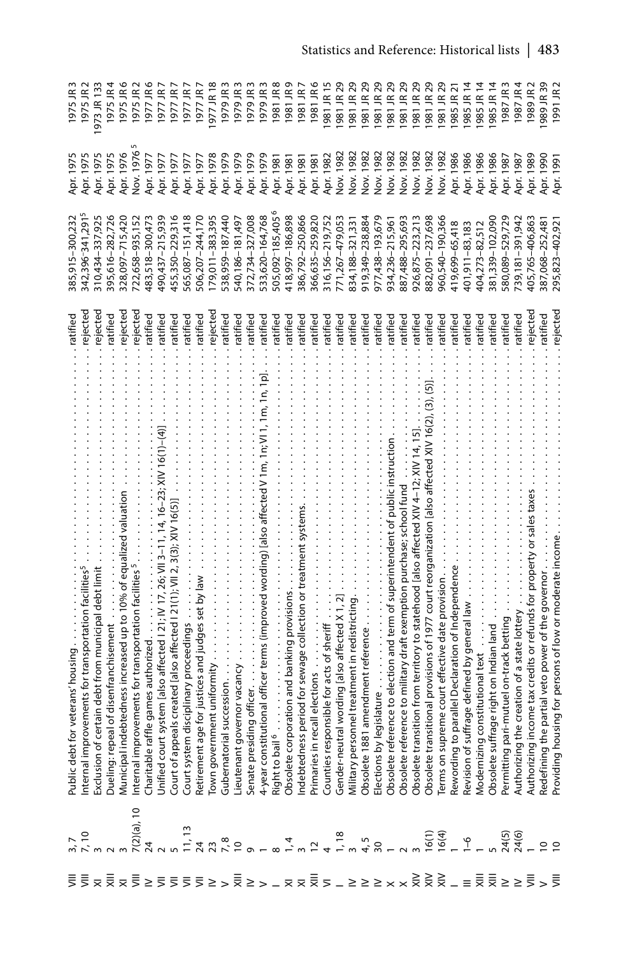|                                                      |                              | ratified<br>lebt for veterans' housing<br>Publicd                                                             | 385,915-300,232   | Apr. 1975                                                                  | 1975 JR                                                                       |
|------------------------------------------------------|------------------------------|---------------------------------------------------------------------------------------------------------------|-------------------|----------------------------------------------------------------------------|-------------------------------------------------------------------------------|
|                                                      | $\frac{7}{3}$ $\frac{10}{3}$ | ejectec<br>improvements for transportation facilities <sup>5</sup><br>nterna                                  | 342,396-341,291   | 1975<br>Apr.                                                               | 1975 JR                                                                       |
|                                                      |                              | rejecteo<br>Exclusion of certain debt from municipal debt limit                                               | 310,434-337,92    | 1975<br>Apr.                                                               | 973 JR 133                                                                    |
|                                                      |                              | atified<br>Dueling: repeal of disenfranch                                                                     | 395,616-282,72    | 1975<br>Apr.                                                               | 1975 JR 4                                                                     |
|                                                      |                              | ejectec<br>Municipal indebtedness increased up to 10% of equalized valuation                                  | 328,097-715,420   | 1976<br>Apr.                                                               |                                                                               |
|                                                      | $\frac{7(2)(a)}{24}$ , 10    | rejected                                                                                                      | 722,658-935,152   | 1976<br>yov.                                                               |                                                                               |
|                                                      |                              | atified                                                                                                       | 483,518-300,473   | 1977                                                                       |                                                                               |
|                                                      |                              | atified<br>court system [also affected   21; IV 17, 26; VII 3-11, 14, 16-23; XIV 16(1)-(4)]                   | 490,437-215,939   | 1977                                                                       |                                                                               |
|                                                      |                              | atified                                                                                                       | 455,350-229,316   | 1977<br>#####                                                              | 1975 JR 6<br>1975 JR 2<br>1977 JR 6<br>1977 JR 7<br>1977 JR 7<br>1977 JR 7    |
|                                                      |                              | atified                                                                                                       | 565,087-151,418   | 1977                                                                       |                                                                               |
|                                                      |                              | ratified                                                                                                      | 506,207-244,170   | 1977                                                                       |                                                                               |
|                                                      |                              | rejectec<br>Town government uniformity<br>Gubernatorial succession.                                           | 79,011-383,395    | 1978                                                                       | 977 JR 18                                                                     |
|                                                      |                              | ratified                                                                                                      | 538,959-187,440   | 1979                                                                       |                                                                               |
|                                                      |                              | ratified<br>Lieutenant governor vacancy                                                                       | 540,186-181,497   | 1979<br>Apr.<br>Apr.                                                       | 1979 JR 3<br>1979 JR 3<br>1979 JR 3<br>1979 JR 3<br>1981 JR 6<br>1981 JR 1981 |
|                                                      |                              | atified<br>presiding officer.<br>Senate                                                                       | 372,734-327,008   |                                                                            |                                                                               |
|                                                      |                              | atified                                                                                                       | 533,620-164,768   | Apr. 1979<br>Apr. 1979<br>Apr. 1981<br>Apr. 1981<br>Apr. 1981<br>Apr. 1982 |                                                                               |
|                                                      |                              | atified                                                                                                       | 505,092 185,405 6 |                                                                            |                                                                               |
|                                                      |                              | atified                                                                                                       | 418,997-186,898   |                                                                            |                                                                               |
|                                                      |                              | atified                                                                                                       | 386,792-250,866   |                                                                            |                                                                               |
|                                                      |                              | atified<br>es in recall elections<br>Primarie                                                                 | 366,635-259,820   |                                                                            |                                                                               |
|                                                      |                              | atified<br>Counties responsible for acts of sheriff                                                           | 316, 156-219, 752 |                                                                            | 981 JR 15                                                                     |
|                                                      |                              | atified<br>Gender-neutral wording [also affected X 1, 2]                                                      | 771,267-479,053   | Vov. 1982                                                                  | 981 JR 29                                                                     |
|                                                      |                              | atified                                                                                                       | 834, 188-321, 33  | Nov. 1982                                                                  | 981 JR 29                                                                     |
|                                                      |                              | atified                                                                                                       | 919,349-238,884   | Vov. 1982                                                                  | 981 JR 29                                                                     |
|                                                      |                              | atified                                                                                                       | 977,438-193,679   | Vov. 1982                                                                  | 981 JR 29                                                                     |
|                                                      |                              | atified<br>e reference to election and term of superintendent of public instruction                           | 934,236-215,961   | Nov. 1982<br>Nov. 1982<br>Nov. 1982                                        | 981 JR 29                                                                     |
|                                                      |                              | atified                                                                                                       | 887,488-295,693   |                                                                            | 981 JR 29                                                                     |
|                                                      |                              | atified<br>e transition from territory to statehood [also affected XIV 4-12; XIV 14, 15]                      | 926,875-223,213   |                                                                            | 981 JR 29                                                                     |
|                                                      |                              | ratified<br>Obsolete transitional provisions of 1977 court reorganization [also affected XIV 16(2), (3), (5)] | 882,091-237,698   | Nov. 1982                                                                  | 981 JR 29                                                                     |
|                                                      |                              | ratified<br>erms on supreme court effective date provision                                                    | 960,540-190,366   | Nov. 1982                                                                  | 981 JR 29                                                                     |
|                                                      |                              | ratified<br>Rewording to parallel Declaration of Independence                                                 | 419,699-65,418    | 1986<br>Apr.                                                               | 985 JR 21                                                                     |
|                                                      |                              | atified<br>Revision of suffrage defined by general law                                                        | 401,911-83,183    | 1986<br>Apr.                                                               | 985 JR 14                                                                     |
|                                                      |                              | atified<br>nizing constitutional text<br>Modern                                                               | 404,273-82,512    | 1986<br>Apr.                                                               | 985 JR 14                                                                     |
|                                                      |                              | ratified<br>Obsolete suffrage right on Indian land                                                            | 381,339-102,090   | 1986<br>Apr.                                                               | 985 JR 14                                                                     |
|                                                      |                              | atified<br>Permitting pari-mutuel on-track betting                                                            | 580,089-529,729   | 1987                                                                       | 1987 JR 3                                                                     |
|                                                      |                              | ratified<br>izing the creation of a state lottery<br>Authori                                                  | 739, 181-391, 942 | 1987                                                                       | 1987 JR 4                                                                     |
|                                                      |                              | rejected<br>izing income tax credits or refunds for property or sales taxes<br>Authori                        | 405,765-406,863   | 1989<br>ត្តិ ក្នុង                                                         | 1989 JR 2                                                                     |
| ⋚⋚⋩⋛⋩⋚≥⋚⋚⋚⋛≥⋋⋛≥⋋ <sub>⋍</sub> ⋧⋩⋛⋝⋷≥≥≥⋇⋇⋩⋩⋩⋷⋹⋛⋛≥≥⋚⋋⋚ |                              | ratified<br>Redefining the partial veto power of the governor                                                 | 87,068-252,48     | 1990                                                                       |                                                                               |
|                                                      |                              | rejectec<br>ng housing for persons of low or moderate income.<br>Providi                                      | 295,823-402,92    | 199<br>φr.                                                                 | 1991 JR.                                                                      |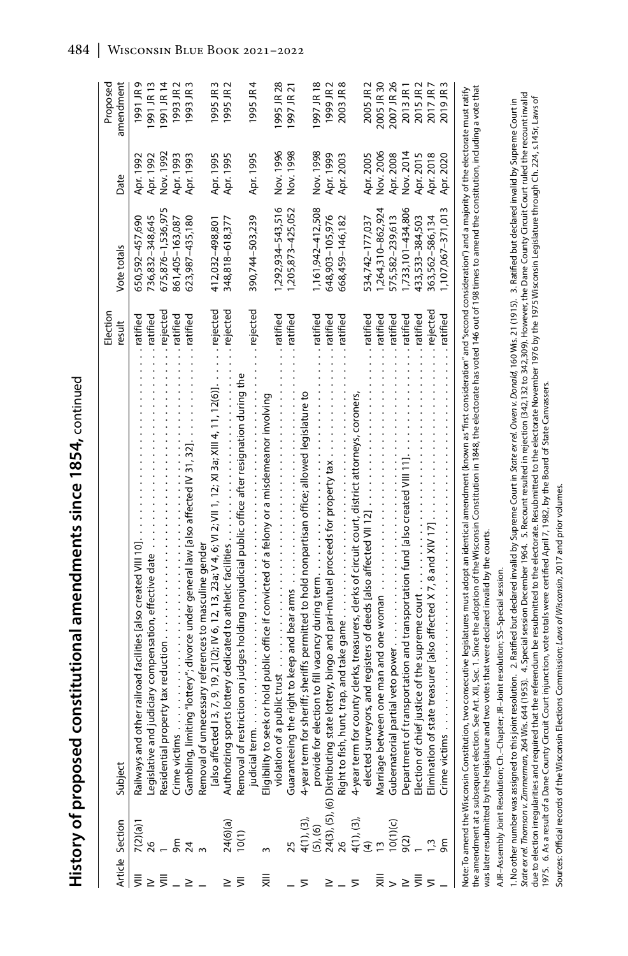| $\sim 1854$ $\sim$                                       |
|----------------------------------------------------------|
|                                                          |
|                                                          |
|                                                          |
|                                                          |
|                                                          |
| .<br>.<br>.<br>.                                         |
|                                                          |
|                                                          |
|                                                          |
|                                                          |
|                                                          |
|                                                          |
|                                                          |
|                                                          |
|                                                          |
|                                                          |
|                                                          |
|                                                          |
|                                                          |
|                                                          |
|                                                          |
|                                                          |
|                                                          |
|                                                          |
|                                                          |
|                                                          |
|                                                          |
|                                                          |
|                                                          |
|                                                          |
|                                                          |
|                                                          |
|                                                          |
|                                                          |
| <br> <br> <br> <br> <br> <br>                            |
|                                                          |
|                                                          |
|                                                          |
|                                                          |
|                                                          |
|                                                          |
| ことらでいる うちょう こうりょうしょう うりょう そうしょう ここりゅう ここり<br>)<br>)<br>) |
|                                                          |
|                                                          |
|                                                          |
|                                                          |
|                                                          |
|                                                          |
|                                                          |
|                                                          |

| Article Section          | Subject                                                                                                                                                                                                                       | Election<br>result | Vote totals       | Date         | amendment<br>Proposed |
|--------------------------|-------------------------------------------------------------------------------------------------------------------------------------------------------------------------------------------------------------------------------|--------------------|-------------------|--------------|-----------------------|
| 7(2)(a)1                 | Railway                                                                                                                                                                                                                       | . ratified         | 650,592-457,690   | Apr. 1992    | 1991 JR 9             |
|                          | Legislati                                                                                                                                                                                                                     | ratified           | 736,832-348,645   | Apr. 1992    | 991 JR 13             |
|                          | residential property tax residence to the control of the control of the control of the control of the control of the control of the control of the control of the control of the control of the control of the control of the | . rejected         | 675,876-1,536,975 | Nov. 1992    | 1991 JR 14            |
|                          |                                                                                                                                                                                                                               | ratified           | 861,405-163,087   | Apr. 1993    | 1993 JR 2             |
|                          | og, limiting "lottery"; divorce under general law [also affected IV 31, 32].<br>Gamblir                                                                                                                                       |                    | 623,987-435,180   | Apr. 1993    | 1993 JR 3             |
|                          | Removal of unnecessary references to masculine gender                                                                                                                                                                         |                    |                   |              |                       |
|                          |                                                                                                                                                                                                                               |                    | 412,032-498,801   | Apr. 1995    | 1995 JR 3             |
| 24(6)(a)                 | Authorizing sports lottery dedicated to athletic facilities                                                                                                                                                                   | . rejected         | 348,818-618,377   | Apr. 1995    | 1995 JR 2             |
|                          | Removal of restriction on judges holding nonjudicial public office after resignation during the                                                                                                                               |                    |                   |              |                       |
|                          | judicial term.                                                                                                                                                                                                                | .rejected          | 390,744-503,239   | Apr. 1995    | 1995 JR4              |
|                          | ty to seek or hold public office if convicted of a felony or a misdemeanor involving<br>Eligibilit                                                                                                                            |                    |                   |              |                       |
|                          | violation of a public trust                                                                                                                                                                                                   | ratified           | 1,292,934-543,516 | Nov. 1996    | 1995 JR 28            |
|                          | Guidening the right to keep and bear arms with the right to keep and bear arms with the right to keep and beam                                                                                                                | ratified           | 1,205,873-425,052 | Nov. 1998    | 1997 JR 21            |
|                          | 4-year term for sheriff; sheriffs permitted to hold nonpartisan office; allowed legislature to                                                                                                                                |                    |                   |              |                       |
| (5), (6)                 |                                                                                                                                                                                                                               | . ratified         | 1,161,942-412,508 | Nov. 1998    | 1997 JR 18            |
| :4(3), (5), (6) Distribu | ting state lottery, bingo and pari-mutuel proceeds for property tax ratified                                                                                                                                                  |                    | 648,903-105,976   | Apr. 1999    | 1999 JR 2             |
|                          |                                                                                                                                                                                                                               | ratified           | 668,459-146,182   | Apr. 2003    | 2003 JR 8             |
|                          | 4-year term for county clerks, treasurers, clerks of circuit court, district attorneys, coroners,                                                                                                                             |                    |                   |              |                       |
|                          | elected surveyors, and registers of deeds [also affected VII 12]                                                                                                                                                              | ratified           | 534,742-177,037   | Apr. 2005    | 2005 JR 2             |
|                          |                                                                                                                                                                                                                               | ratified           | 1,264,310-862,924 | Nov. 2006    | 2005 JR 30            |
|                          | 医皮肤的 医单位的 医单位的 医单位的 医单位的 医单位的 医单位的 医血管<br>Gubernatorial partial veto power                                                                                                                                                    | . ratified         | 575,582-239,613   | Apr. 2008    | 2007 JR 26            |
|                          | ment of transportation and transportation fund [also created VIII 11]. ratified<br>Departr                                                                                                                                    |                    | 1,733,101-434,806 | Nov. 2014    | 2013 JR               |
|                          | of chief justice of the supreme court.<br>Election                                                                                                                                                                            | ratified           | 433,533-384,503   | Apr. 2015    | 2015 JR 2             |
|                          | tion of state treasurer [also affected X 7, 8 and XIV 17] $\ldots$ . $\ldots$ . $\ldots$ . $\ldots$ rejected<br>Eliminat                                                                                                      |                    | 363,562-586,134   | Apr. 2018    | 2017 JR 7             |
|                          | Crime v                                                                                                                                                                                                                       |                    | 1,107,067-371,013 | 2020<br>Apr. | 2019 JR 3             |
|                          | Note: To amend the Wisconsin Constitution, two consecutive legislatures must adopt an identical amendment (known as "first consideration" and "second consideration") and a majority of the electorate must ratify            |                    |                   |              |                       |

the amendment at a subsequent election. See Art. XII, Sec. 1. Since the adoption of the Wisconsin Constitution in 1848, the electorate has voted 146 out of 198 times to amend the constitution, including a vote that the amendment at a subsequent election. See Art. XII, Sec. 1. Since the adoption of the Wisconsin Constitution in 1848, the electorate has voted 146 out of 198 times to amend the constitution, including a vote that was later resubmitted by the legislature and two votes that were declared invalid by the courts. was later resubmitted by the legislature and two votes that were declared invalid by the courts.

AJR-Assembly Joint Resolution; Ch.-Chapter; JR-Joint resolution; SS-Special session. AJR–Assembly Joint Resolution; Ch.–Chapter; JR–Joint resolution; SS–Special session.

Sate ex rel. Thomson v. Zimmeman, 264 Wis. 644 (1953). 4. Special session December 1964. S. Recount resulted in rejection (342,132 to 342,309). However, the Dane County Circuit Court ruled the necount invalid *State ex rel. Thomson v. Zimmerman,* 264 Wis. 644 (1953). 4. Special session December 1964. 5. Recount resulted in rejection (342,132 to 342,309). However, the Dane County Circuit Court ruled the recount invalid due to election irregularites and required that the referendum be resubmitted to the electorate to the electorate November 1976 by the 1975 Wisconsin Legislature through Ch. 224, s.145r, Laws of<br>1975.6. As a result of a Da 1. No other number was assigned to this joint resolution. 2. Ratified but declared invalid by Supreme Court in St*ate ex rel. Owen v. Donald*, 160 Wis. 21 (1915). 3. Ratified but declared invalid by Supreme Court in due to election irregularities and required that the referendum be resubmitted to the electorate electorate. Resubmithed 1976 by the 1975 Wisconsin Legislature through Ch. 224, s.145r, Laws of 1.No other number was assigned to this joint resolution. 2. Ratified but declared invalid by Supreme Court in *State ex rel. Owen v. Donald,* 160 Wis. 21 (1915). 3. Ratified but declared invalid by Supreme Court in 1975. 6. As a result of a Dane County Circuit Court injunction, vote totals were certified April 7, 1982, by the Board of State Canvassers.

Sources: Official records of the Wisconsin Elections Commission; Laws of Wisconsin, 2017 and prior volumes. Sources: Official records of the Wisconsin Elections Commission; *Laws of Wisconsin*, 2017 and prior volumes.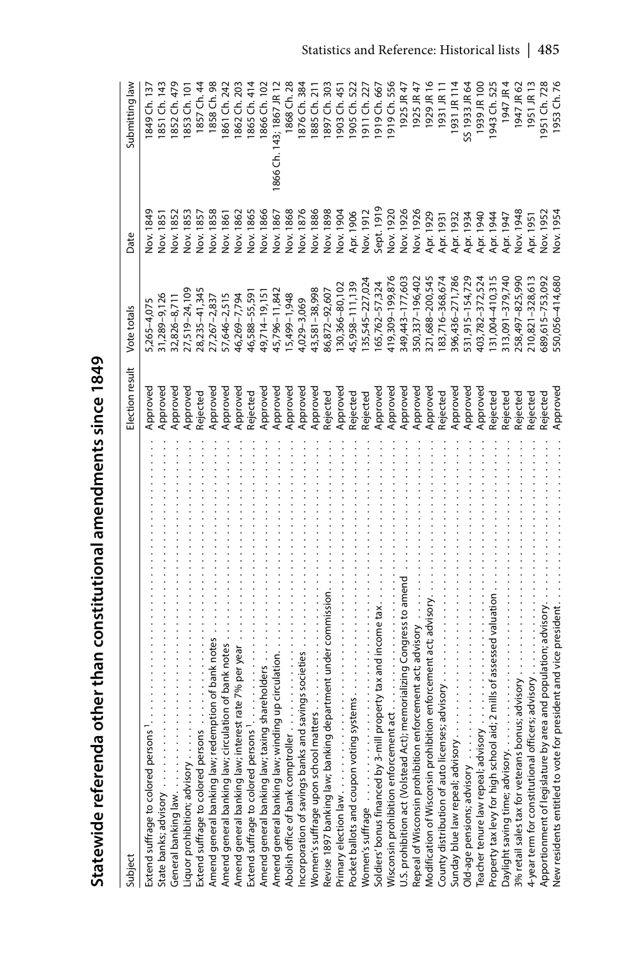| Subject                                                  | Election result | Vote totals         | Date                                | Submitting law               |
|----------------------------------------------------------|-----------------|---------------------|-------------------------------------|------------------------------|
|                                                          | Approvec        | 5,265-4,075         | Nov. 1849                           | 1849 Ch. 137                 |
| State banks; advisory                                    | Approved        | 31,289-9,126        | Nov. 1851                           | 1851 Ch. 143                 |
| 医血管中枢 医血管中枢 医血管中枢 医血管中枢 医血管中枢 医血管中枢 医血管中枢 医血管中枢 医血管中枢 医血 | Approvec        | 32,826-8,711        | Nov. 1852                           | 1852 Ch. 479                 |
|                                                          | Approvec        | 27,519-24,109       | <b>Vov. 1853</b>                    | 1853 Ch. 101                 |
|                                                          | Rejected        | 28,235-41,345       | Vov. 1857                           | 1857 Ch. 44                  |
|                                                          | Approved        | 27,267-2,837        | <b>Vov. 1858</b>                    | 1858 Ch. 98                  |
|                                                          | Approved        | 57,646-2,515        | Vov. 1861                           | 1861 Ch. 242                 |
|                                                          | Approved        | 46,269-7,794        | Vov. 1862                           | 1862 Ch. 203                 |
|                                                          | Rejected        | 46,588-55,59        | Nov. 1865                           | 1865 Ch. 414                 |
|                                                          | Approved        | 49,714-19,151       | Nov. 1866                           | 1866 Ch. 102                 |
|                                                          | Approvec        | 45,796-11,842       | Vov. 1867                           | 1866 Ch. 143; 1867 JR 12     |
|                                                          | Approvec        | 15,499-1,948        | Nov. 1868                           | 1868 Ch. 28                  |
| Incorporation of savings ba                              | Approvec        | $4,029 - 3,069$     | Nov. 1876                           | 1876 Ch. 384                 |
|                                                          | Approved        | 43,581-38,998       | Nov. 1886                           | 1885 Ch. 211                 |
|                                                          | Rejected        | 86,872-92,607       | <b>Nov. 1898</b>                    | 1897 Ch. 303                 |
| Primary election law                                     | Approved        | 30,366-80,102       | Nov. 1904                           | 1903 Ch. 451<br>1905 Ch. 522 |
|                                                          | Rejected        | 45,958-111,139      | Apr. 1906                           |                              |
| Women's suffrage                                         | Rejected        | 135,545-227,024     | Nov. 1912                           | 1911 Ch. 227                 |
| Soldiers' bonus financed by                              | Approvec        | 165,762-57,324      | Sept. 1919                          | 1919 Ch. 667                 |
|                                                          | Approvec        | 419,309-199,876     | Nov. 1920                           | 1919 Ch. 556                 |
|                                                          | Approved        | 349,443-177,603     | <b>Nov. 1926</b>                    | 1925 JR 47                   |
|                                                          | Approved        | 350,337-196,402     | Nov. 1926                           | 1925 JR 47                   |
|                                                          | Approved        | 821,688-200,545     |                                     | 1929 JR 16                   |
|                                                          | Rejected        | 83,716-368,674      | Apr. 1929<br>Apr. 1931<br>Apr. 1932 | 1931 JR 11                   |
|                                                          | Approved        | 396,436-271,786     |                                     | 1931 JR 114                  |
|                                                          | Approved        | 531,915-154,729     | Apr. 1934                           | SS 1933 JR 64                |
|                                                          | Approved        | 403,782-372,524     | Apr. 1940                           | 1939 JR 100                  |
|                                                          | Rejected        | $131,004 - 410,315$ | Apr. 1944                           | 1943 Ch. 525                 |
|                                                          | Rejected        | 313,091-379,740     | Apr. 1947                           | 1947 JR 4                    |
|                                                          | Rejected        | 258,497-825,990     | Nov. 1948                           | 1947 JR 62                   |
|                                                          | Rejected        | 210,821-328,613     | Apr. 1951                           | 1951 JR 13                   |
|                                                          | Rejected        | 589,615-753,092     | Vov. 1952                           | 1951 Ch. 728                 |
|                                                          | Approved        | 550,056-414,680     | Nov. 1954                           | 1953 Ch. 76                  |

Statewide referenda other than constitutional amendments since 1849 **Statewide referenda other than constitutional amendments since 1849**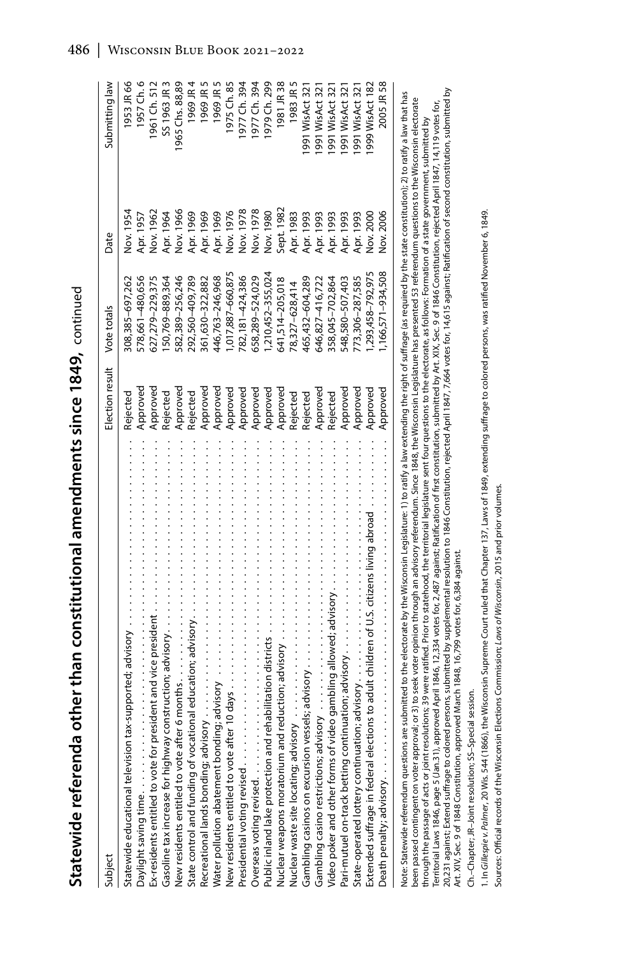| nda other than constitutional amendments since 1849, continued<br>Statewide refere                                                                                                                                                                              |                 |                   |                  |                 |
|-----------------------------------------------------------------------------------------------------------------------------------------------------------------------------------------------------------------------------------------------------------------|-----------------|-------------------|------------------|-----------------|
| Subject                                                                                                                                                                                                                                                         | Election result | Vote totals       | Date             | Submitting law  |
| Statewide educational television tax-supported; advisory                                                                                                                                                                                                        | Rejected        | 308,385-697,262   | Nov. 1954        | 1953 JR 66      |
| .<br>Daylight saving time                                                                                                                                                                                                                                       | Approved        | 578,661-480,656   | Apr. 1957        | 1957 Ch. 6      |
| .<br>Ex-residents entitled to vote for president and vice president.                                                                                                                                                                                            | Approved        | 627,279-229,375   | Nov. 1962        | 1961 Ch. 512    |
|                                                                                                                                                                                                                                                                 | Rejected        | 50,769-889,364    | Apr. 1964        | SS 1963 JR 3    |
|                                                                                                                                                                                                                                                                 | Approved        | 582,389-256,246   | Nov. 1966        | 1965 Chs. 88,89 |
| State control and funding of vocation; advisory                                                                                                                                                                                                                 | Rejected        | 292,560-409,789   | Apr. 1969        | 1969 JR 4       |
|                                                                                                                                                                                                                                                                 | Approved        | 361,630-322,882   | Apr. 1969        | 1969 JR 5       |
| Water pollution abatement                                                                                                                                                                                                                                       | Approved        | 446,763-246,968   | Apr. 1969        | 1969 JR 5       |
|                                                                                                                                                                                                                                                                 | Approved        | ,017,887-660,875  | Nov. 1976        | 1975 Ch. 85     |
| Presidential voting revised                                                                                                                                                                                                                                     | Approved        | 782,181-424,386   | Nov. 1978        | 977 Ch. 394     |
| Overseas voting revised.                                                                                                                                                                                                                                        | Approved        | 558,289-524,029   | Nov. 1978        | 977 Ch. 394     |
| relation districts of the contract of the contract of the contract of the contract of the contract of the contract of the contract of the contract of the contract of the contract of the contract of the contract of the cont<br>Public inland lake protection | Approved        | ,210,452-355,024  | Nov. 1980        | 1979 Ch. 299    |
| udear weapons moratorium and reduction; advisory                                                                                                                                                                                                                | Approved        | 641,514-205,018   | Sept. 1982       | 1981 JR 38      |
| advisory<br>Nuclear waste site locating;                                                                                                                                                                                                                        | Rejected        | 78,327-628,414    | Apr. 1983        | 1983 JR 5       |
|                                                                                                                                                                                                                                                                 | Rejected        | 465,432-604,289   | Apr. 1993        | 1991 WisAct 321 |
| .<br>Gambling casino restrictions; advisory .                                                                                                                                                                                                                   | Approved        | 646,827-416,722   | Apr. 1993        | 1991 WisAct 321 |
|                                                                                                                                                                                                                                                                 | Rejected        | 358,045-702,864   | Apr. 1993        | 1991 WisAct 321 |
|                                                                                                                                                                                                                                                                 | Approved        | 548,580-507,403   | Apr. 1993        | 1991 WisAct 321 |
| 医单位的 医单位的 医单位的 医单位的 医单位的 医单位的 医单位<br>inuation; advisory<br>State-operated lottery conti                                                                                                                                                                         | Approved        | 73,306-287,585    | Apr. 1993        | 1991 WisAct 321 |
| elections to adult children of U.S. citizens living abroad<br>Extended suffrage in federal                                                                                                                                                                      | Approved        | ,293,458-792,975  | <b>Vov. 2000</b> | 1999 WisAct 182 |
| 医前列腺 医单位 医单位 医单位 医单位 医单位 医血清性 医血清性 医血清性 医血清性 医血清性 医血清性<br>Death penalty; advisory.                                                                                                                                                                              | Approved        | 1,166,571-934,508 | Nov. 2006        | 2005 JR 58      |
|                                                                                                                                                                                                                                                                 |                 |                   |                  |                 |

20,231 against; Extend suffrage to colored persons, submitted by supplemental resolution to 1846 Constitution, rejected April 1847, 7,664 votes for, 14,615 against; Ratification of second constitution, submitted by 20,231 against; Extend suffrage to colored persons, submitted by supplemental resolution to 1846 Constitution, rejected April 1847, 7,664 votes for, 14,615 against; Ratification of second constitution, submitted by Note: Statewide referendum questions are submitted to the electorate by the Wisconsin Legislature: 1) to ratify a law extending the right of suffinage (as required by the state constitution): 2) to ratify a law that has Note: Statewide referendum questions are submitted to the electorate by the Wisconsin Legislature: 1) to ratify a law extending the right of suffrage (as required by the state constitution); 2) to ratify a law that has been passed contingent on voter approval; or 3) to seek voter opinion through an advisory referendum. Since 1848, the Wisconsin Legislature has presented 53 referendum questions to the Wisconsin electorate been passed contingent on voter approval; or 3) to seek voter opinion through an advisory referendum. Since 1848, the Wisconsin Legislature has presented 53 referendum questions to the Wisconsin electorate Territorial Laws 1846, page 5 (Jan.31), approved April 1846, 12,334 votes for, 2,487 against; Ratification of first constitution, submitted by Art. XIX, Sec. 9 of 1846 Constitution, rejected April 1847, 14,119 votes for, Territorial Laws 1846, page 5 (Jan.31), approved April 1846, 12,334 votes for 2,487 against; Ratification of first constitution, submitted by Art. XIX, Sec. 9 of 1846 Constitution, rejected April 1847, 14,119 votes for, through the passage of acts or joint resolutions; 39 were ratified. Prior to statehood, the territorial legislature sent four questions to the electorate, as follows: Formation of a state government, submitted by through the passage of acts or joint resolutions; 39 were ratified. Prior to statehood, the territorial legislature sent four questions to the electorate, as follows: Formation of a state government, submitted by Art. XIV, Sec. 9 of 1848 Constitution, approved March 1848, 16,799 votes for, 6,384 against. Art. XIV, Sec. 9 of 1848 Constitution, approved March 1848, 16,799 votes for, 6,384 against.

Ch-Chapter; JR-Joint resolution; SS-Special session. Ch.–Chapter; JR–Joint resolution; SS–Special session. 1. In Gillespie v. Palmer, 20 Wis. 544 (1866), the Wisconsin Supreme Court ruled that Chapter 137, Laws of 1849, extending suffrage to colored persons, was ratified November 6, 1849. 1. In *Gillespie v. Palmer*, 20 Wis. 544 (1866), the Wisconsin Supreme Court ruled that Chapter 137, Laws of 1849, extending suffrage to colored persons, was ratified November 6, 1849.

Sources: Official records of the Wisconsin Elections Commission; Laws of Wisconsin, 2015 and prior volumes. Sources: Official records of the Wisconsin Elections Commission; *Laws of Wisconsin*, 2015 and prior volumes.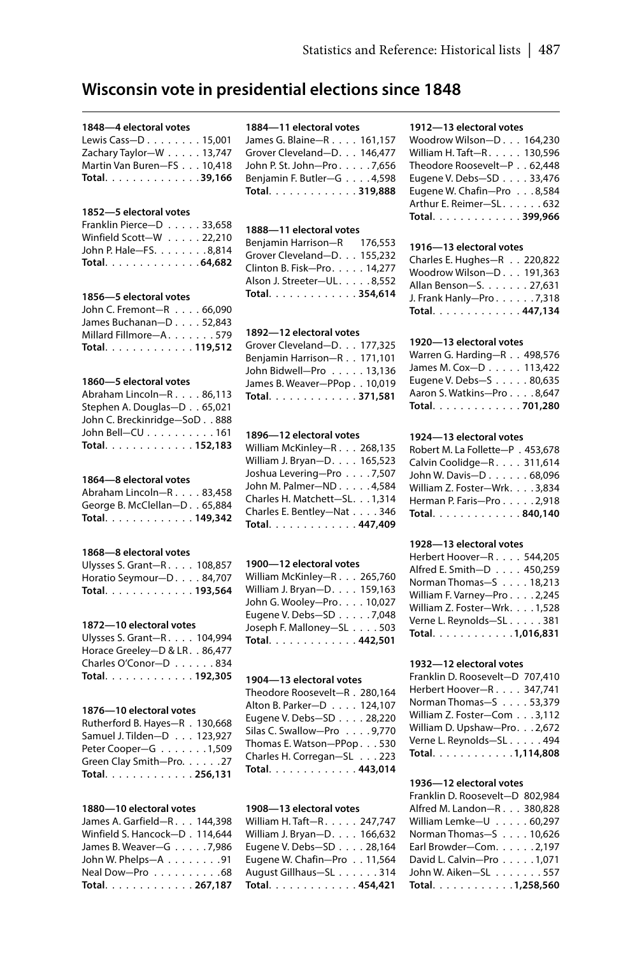### **Wisconsin vote in presidential elections since 1848**

#### **1848—4 electoral votes**

| Lewis Cass-D. 15,001       |  |
|----------------------------|--|
| Zachary Taylor-W 13,747    |  |
| Martin Van Buren-FS 10.418 |  |
| Total. 39,166              |  |

### **1852—5 electoral votes**

| Franklin Pierce-D 33,658 |  |  |  |
|--------------------------|--|--|--|
| Winfield Scott-W 22,210  |  |  |  |
| John P. Hale-FS. 8,814   |  |  |  |
| Total. 64,682            |  |  |  |

#### **1856—5 electoral votes**

| John C. Fremont-R 66,090 |  |
|--------------------------|--|
| James Buchanan-D52.843   |  |
| Millard Fillmore-A. 579  |  |
| Total. 119,512           |  |

### **1860—5 electoral votes**

| Abraham Lincoln-R. 86,113       |
|---------------------------------|
| Stephen A. Douglas-D. . 65,021  |
| John C. Breckinridge-SoD. . 888 |
| John Bell-CU 161                |
| Total. 152,183                  |

### **1864—8 electoral votes**

| Abraham Lincoln-R. 83,458       |  |
|---------------------------------|--|
| George B. McClellan-D. . 65,884 |  |
| Total. 149,342                  |  |

### **1868—8 electoral votes**

| Ulysses S. Grant-R. 108,857 |  |
|-----------------------------|--|
| Horatio Seymour-D. 84,707   |  |
| Total. 193,564              |  |

### **1872—10 electoral votes**

| Ulysses S. Grant-R. 104,994     |  |
|---------------------------------|--|
| Horace Greeley-D & LR. . 86,477 |  |
| Charles O'Conor-D834            |  |
| Total. 192,305                  |  |

#### **1876—10 electoral votes**

| Rutherford B. Hayes-R . 130,668 |  |
|---------------------------------|--|
| Samuel J. Tilden-D 123,927      |  |
| Peter Cooper-G 1,509            |  |
| Green Clay Smith-Pro. 27        |  |
| Total. 256,131                  |  |

#### **1880—10 electoral votes 1908—13 electoral votes**

| James A. Garfield-R. 144,398   |
|--------------------------------|
| Winfield S. Hancock-D. 114.644 |
| James B. Weaver-G 7,986        |
| John W. Phelps-A 91            |
| Neal Dow-Pro 68                |
| Total. 267,187                 |

### **1884—11 electoral votes**

| James G. Blaine-R. 161,157  |  |
|-----------------------------|--|
| Grover Cleveland-D. 146.477 |  |
| John P. St. John-Pro 7,656  |  |
| Benjamin F. Butler-G 4,598  |  |
| Total. 319,888              |  |

### **1888—11 electoral votes**

| Benjamin Harrison-R 176,553 |  |
|-----------------------------|--|
| Grover Cleveland-D. 155,232 |  |
| Clinton B. Fisk-Pro. 14,277 |  |
| Alson J. Streeter-UL. 8,552 |  |
| Total354,614                |  |

### **1892—12 electoral votes**

| Grover Cleveland-D. 177.325    |
|--------------------------------|
| Benjamin Harrison-R., 171,101  |
| John Bidwell-Pro 13,136        |
| James B. Weaver-PPop. . 10,019 |
| Total. 371,581                 |

### **1896—12 electoral votes**

| William McKinley-R 268,135    |  |
|-------------------------------|--|
| William J. Bryan-D. 165,523   |  |
| Joshua Levering-Pro 7,507     |  |
| John M. Palmer-ND. 4,584      |  |
| Charles H. Matchett-SL. 1,314 |  |
| Charles E. Bentley-Nat 346    |  |
| Total. 447,409                |  |

### **1900—12 electoral votes**

| William McKinley-R 265,760  |
|-----------------------------|
| William J. Bryan-D. 159,163 |
| John G. Wooley-Pro. 10,027  |
| Eugene V. Debs-SD 7,048     |
| Joseph F. Malloney-SL 503   |
| Total. 442,501              |
|                             |

### **1904—13 electoral votes**

| Theodore Roosevelt-R. 280,164 |
|-------------------------------|
| Alton B. Parker-D 124,107     |
| Eugene V. Debs-SD 28,220      |
| Silas C. Swallow-Pro 9,770    |
| Thomas E. Watson-PPop530      |
| Charles H. Corregan-SL 223    |
| Total. 443,014                |

| William H. Taft-R. 247,747  |  |
|-----------------------------|--|
| William J. Bryan-D. 166,632 |  |
| Eugene V. Debs-SD 28,164    |  |
| Eugene W. Chafin-Pro 11,564 |  |
| August Gillhaus-SL 314      |  |
| Total. 454,421              |  |

### **1912—13 electoral votes**

| Woodrow Wilson-D. 164,230   |
|-----------------------------|
| William H. Taft-R. 130,596  |
| Theodore Roosevelt-P 62,448 |
| Eugene V. Debs-SD 33,476    |
| Eugene W. Chafin-Pro 8,584  |
| Arthur E. Reimer-SL. 632    |
| Total. 399,966              |

#### **1916—13 electoral votes**

| Charles E. Hughes-R 220,822 |  |
|-----------------------------|--|
| Woodrow Wilson-D. 191,363   |  |
| Allan Benson-S. 27,631      |  |
| J. Frank Hanly-Pro. 7,318   |  |
| Total. 447,134              |  |

#### **1920—13 electoral votes**

| Total. 701,280              |
|-----------------------------|
| Aaron S. Watkins-Pro 8,647  |
| Eugene V. Debs-S 80,635     |
| James M. Cox-D 113,422      |
| Warren G. Harding-R 498,576 |

#### **1924—13 electoral votes**

| Robert M. La Follette-P . 453,678 |
|-----------------------------------|
| Calvin Coolidge-R. 311,614        |
| John W. Davis-D. 68,096           |
| William Z. Foster-Wrk. 3,834      |
| Herman P. Faris-Pro 2,918         |
| Total. 840,140                    |

#### **1928—13 electoral votes**

| Herbert Hoover-R. 544,205    |
|------------------------------|
| Alfred E. Smith-D 450.259    |
| Norman Thomas-S 18,213       |
| William F. Varney-Pro. 2,245 |
| William Z. Foster-Wrk. 1,528 |
| Verne L. Reynolds-SL 381     |
| Total. 1,016,831             |

### **1932—12 electoral votes**

| Franklin D. Roosevelt-D 707,410 |  |
|---------------------------------|--|
| Herbert Hoover-R. 347,741       |  |
| Norman Thomas-S 53,379          |  |
| William Z. Foster-Com 3,112     |  |
| William D. Upshaw-Pro. 2,672    |  |
| Verne L. Reynolds-SL 494        |  |
| Total. 1,114,808                |  |

### **1936—12 electoral votes**

| Franklin D. Roosevelt-D 802,984     |  |
|-------------------------------------|--|
| Alfred M. Landon-R. 380,828         |  |
| William Lemke-U 60,297              |  |
| Norman Thomas—S10,626               |  |
| Earl Browder- $Com. \ldots$ . 2.197 |  |
| David L. Calvin-Pro 1,071           |  |
| John W. Aiken-SL 557                |  |
| Total. 1,258,560                    |  |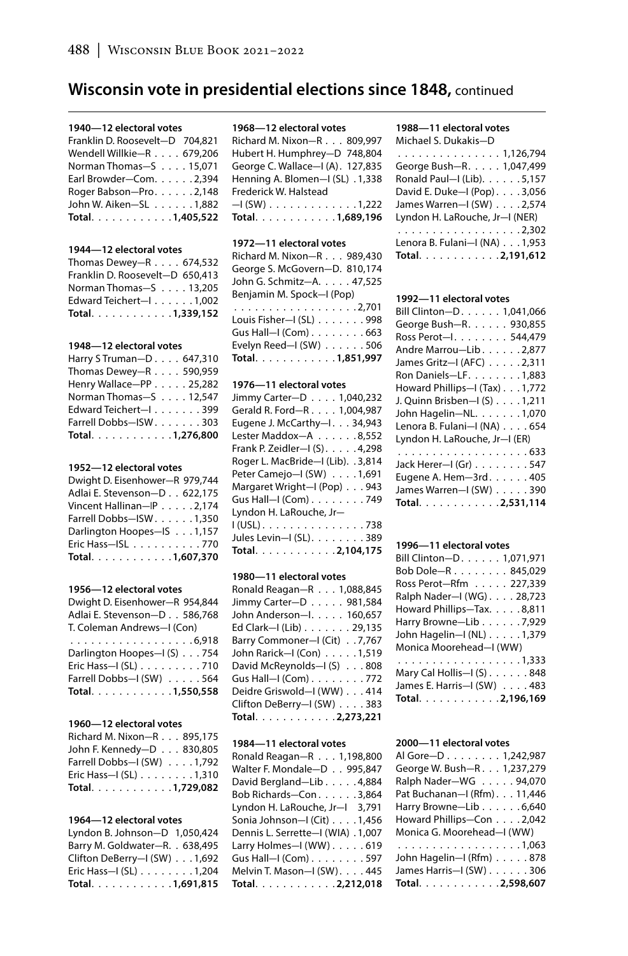## **Wisconsin vote in presidential elections since 1848,** continued

### **1940—12 electoral votes**

| Franklin D. Roosevelt-D 704,821 |  |
|---------------------------------|--|
| Wendell Willkie-R 679,206       |  |
| Norman Thomas-S 15,071          |  |
| Earl Browder-Com. 2,394         |  |
| Roger Babson-Pro. 2,148         |  |
| John W. Aiken-SL 1,882          |  |
| Total. 1,405,522                |  |

### **1944—12 electoral votes**

| Thomas Dewey-R 674,532          |  |
|---------------------------------|--|
| Franklin D. Roosevelt-D 650,413 |  |
| Norman Thomas-S 13,205          |  |
| Edward Teichert-I1,002          |  |
| Total. 1,339,152                |  |

### **1948—12 electoral votes**

| Harry S Truman-D. 647,310 |  |
|---------------------------|--|
| Thomas Dewey-R 590,959    |  |
| Henry Wallace-PP 25,282   |  |
| Norman Thomas-S 12,547    |  |
| Edward Teichert-I. 399    |  |
| Farrell Dobbs-ISW. 303    |  |
| Total. 1,276,800          |  |

#### **1952—12 electoral votes**

| Dwight D. Eisenhower-R 979,744  |
|---------------------------------|
| Adlai E. Stevenson-D. . 622,175 |
| Vincent Hallinan-IP 2,174       |
| Farrell Dobbs-ISW. 1,350        |
| Darlington Hoopes-IS 1,157      |
| Eric Hass-ISL 770               |
| Total. 1,607,370                |

#### **1956—12 electoral votes**

| Dwight D. Eisenhower-R 954,844  |
|---------------------------------|
| Adlai E. Stevenson-D. . 586,768 |
| T. Coleman Andrews-I (Con)      |
| . 6,918                         |
| Darlington Hoopes-I(S) 754      |
| Eric Hass-I (SL) 710            |
| Farrell Dobbs-I (SW) 564        |
| Total. 1,550,558                |

### **1960—12 electoral votes**

| Total. 1,729,082           |  |
|----------------------------|--|
| Eric Hass-I (SL) 1,310     |  |
| Farrell Dobbs-I (SW) 1,792 |  |
| John F. Kennedy-D 830,805  |  |
| Richard M. Nixon-R 895,175 |  |

### **1964—12 electoral votes**

| Lyndon B. Johnson-D 1,050,424                 |  |
|-----------------------------------------------|--|
| Barry M. Goldwater-R. . 638,495               |  |
| Clifton DeBerry-I (SW) 1,692                  |  |
| Eric Hass-I (SL) $\ldots \ldots \ldots 1,204$ |  |
| Total. 1,691,815                              |  |

#### **1968—12 electoral votes**

| Richard M. Nixon-R 809,997       |
|----------------------------------|
| Hubert H. Humphrey-D 748,804     |
| George C. Wallace-I (A). 127,835 |
| Henning A. Blomen-I (SL) . 1,338 |
| Frederick W. Halstead            |
| $-1$ (SW) 1,222                  |
| Total. 1,689,196                 |

### **1972—11 electoral votes**

| Richard M. Nixon-R 989,430             |
|----------------------------------------|
| George S. McGovern-D. 810,174          |
| John G. Schmitz-A. 47,525              |
| Benjamin M. Spock-I (Pop)              |
| . 2,701                                |
| Louis Fisher-I (SL) 998                |
| Gus Hall-I (Com) 663                   |
| Evelyn Reed-I (SW) $\ldots \ldots$ 506 |
| Total. 1,851,997                       |
|                                        |

### **1976—11 electoral votes**

| Jimmy Carter-D 1,040,232           |
|------------------------------------|
| Gerald R. Ford-R. 1,004,987        |
| Eugene J. McCarthy-I. 34,943       |
| Lester Maddox-A 8,552              |
| Frank P. Zeidler-I (S). 4,298      |
| Roger L. MacBride-I (Lib). . 3,814 |
| Peter Camejo-I (SW) 1,691          |
| Margaret Wright-I (Pop) 943        |
| Gus Hall-I (Com) 749               |
| Lyndon H. LaRouche, Jr-            |
| I (USL) 738                        |
| Jules Levin-I (SL). 389            |
| Total. 2,104,175                   |

### **1980—11 electoral votes**

| Ronald Reagan-R 1,088,845    |
|------------------------------|
| Jimmy Carter-D 981,584       |
| John Anderson-I. 160,657     |
| Ed Clark-I (Lib) 29,135      |
| Barry Commoner-I (Cit) 7,767 |
| John Rarick-I (Con) 1,519    |
| David McReynolds-I (S) 808   |
| Gus Hall-I (Com) 772         |
| Deidre Griswold-I (WW) 414   |
| Clifton DeBerry-I (SW) 383   |
| Total. 2,273,221             |

### **1984—11 electoral votes**

| Ronald Reagan-R 1,198,800          |
|------------------------------------|
| Walter F. Mondale-D 995,847        |
| David Bergland-Lib. 4,884          |
| Bob Richards-Con. 3.864            |
| Lyndon H. LaRouche, Jr-1 3,791     |
| Sonia Johnson-I (Cit) 1,456        |
| Dennis L. Serrette-I (WIA) . 1.007 |
| Larry Holmes-I (WW) 619            |
| Gus Hall-I (Com) 597               |
| Melvin T. Mason-I (SW). 445        |
| Total. 2,212,018                   |

### **1988—11 electoral votes** Michael S. Dukakis—D

| . 1,126,794<br>George Bush-R. 1,047,499<br>Ronald Paul-I (Lib). 5,157<br>David E. Duke-I (Pop). 3,056<br>James Warren-I (SW) 2,574<br>Lyndon H. LaRouche, Jr-I (NER) |
|----------------------------------------------------------------------------------------------------------------------------------------------------------------------|
| . 2,302<br>Lenora B. Fulani-I (NA) 1,953<br>Total. 2,191,612                                                                                                         |

### **1992—11 electoral votes**

### **1996—11 electoral votes**

| Bill Clinton-D. 1,071,971  |
|----------------------------|
| Bob Dole-R 845,029         |
| Ross Perot-Rfm 227,339     |
| Ralph Nader-I (WG) 28,723  |
| Howard Phillips-Tax. 8,811 |
| Harry Browne-Lib 7,929     |
| John Hagelin-I (NL) 1,379  |
| Monica Moorehead-I (WW)    |
| . 1,333                    |
| Mary Cal Hollis-I(S). 848  |
| James E. Harris-I (SW) 483 |
| Total. 2,196,169           |
|                            |

#### **2000—11 electoral votes**

| Al Gore-D 1,242,987          |
|------------------------------|
| George W. Bush-R. 1,237,279  |
| Ralph Nader-WG 94,070        |
| Pat Buchanan-I (Rfm). 11,446 |
| Harry Browne-Lib. 6,640      |
| Howard Phillips-Con 2,042    |
| Monica G. Moorehead-I (WW)   |
| . 1,063                      |
| John Hagelin-I (Rfm) 878     |
| James Harris-I (SW) 306      |
| Total. 2,598,607             |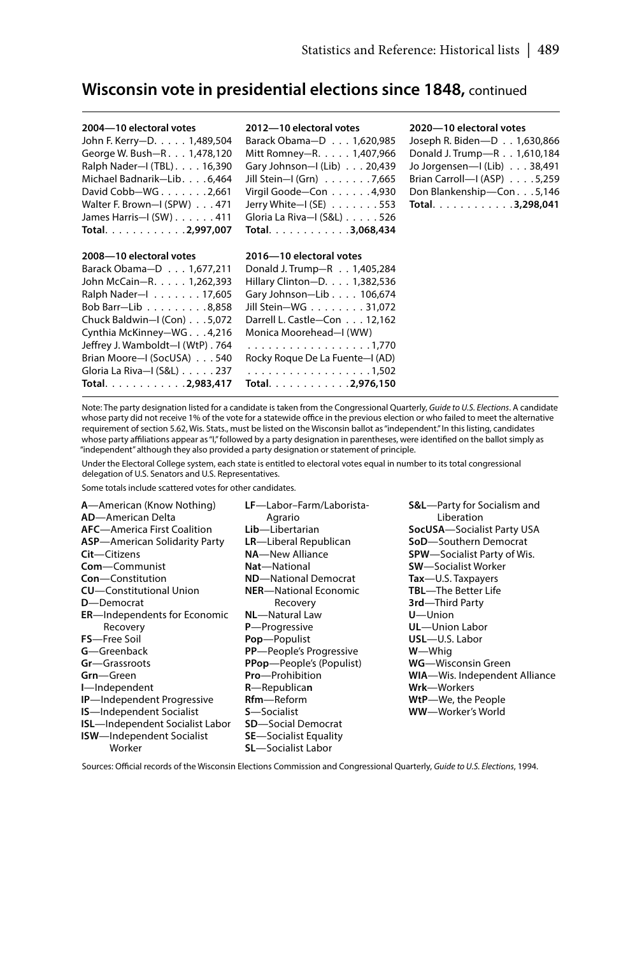### **Wisconsin vote in presidential elections since 1848,** continued

### **2004—10 electoral votes**

| John F. Kerry-D. 1,489,504  |
|-----------------------------|
| George W. Bush-R. 1,478,120 |
| Ralph Nader-I (TBL). 16,390 |
| Michael Badnarik-Lib. 6,464 |
| David Cobb-WG. 2,661        |
| Walter F. Brown-I (SPW) 471 |
| James Harris-I (SW) 411     |
| Total 2.997.007             |

### **2012—10 electoral votes**

**2016—10 electoral votes**

| Barack Obama-D 1,620,985    |
|-----------------------------|
| Mitt Romney—R. 1,407,966    |
| Gary Johnson-I (Lib) 20,439 |
| Jill Stein-I (Grn) 7,665    |
| Virgil Goode—Con 4,930      |
| Jerry White-I (SE) 553      |
| Gloria La Riva-I (S&L) 526  |
| Total. 3,068,434            |

### **2020—10 electoral votes**

| Joseph R. Biden-D 1,630,866 |  |
|-----------------------------|--|
| Donald J. Trump-R 1,610,184 |  |
| Jo Jorgensen-I (Lib) 38,491 |  |
| Brian Carroll-I (ASP) 5,259 |  |
| Don Blankenship-Con. 5,146  |  |
| Total. 3,298,041            |  |

#### **2008—10 electoral votes**

| zu i o— i u electoral votes     |
|---------------------------------|
| Donald J. Trump-R 1,405,284     |
| Hillary Clinton-D. 1,382,536    |
| Gary Johnson-Lib 106,674        |
| Jill Stein-WG 31,072            |
| Darrell L. Castle-Con 12,162    |
| Monica Moorehead-I (WW)         |
| . 1,770                         |
| Rocky Roque De La Fuente-I (AD) |
| . 1,502                         |
| Total. 2,976,150                |
|                                 |

Note: The party designation listed for a candidate is taken from the Congressional Quarterly, *Guide to U.S. Elections*. A candidate whose party did not receive 1% of the vote for a statewide office in the previous election or who failed to meet the alternative requirement of section 5.62, Wis. Stats., must be listed on the Wisconsin ballot as "independent." In this listing, candidates whose party affiliations appear as "I," followed by a party designation in parentheses, were identified on the ballot simply as "independent" although they also provided a party designation or statement of principle.

Under the Electoral College system, each state is entitled to electoral votes equal in number to its total congressional delegation of U.S. Senators and U.S. Representatives.

Some totals include scattered votes for other candidates.

| A—American (Know Nothing)              | LF   |
|----------------------------------------|------|
| <b>AD-American Delta</b>               |      |
| <b>AFC</b> —America First Coalition    | Lil  |
| <b>ASP</b> —American Solidarity Party  | LR   |
| Cit-Citizens                           | N    |
| Com-Communist                          | Na   |
| Con-Constitution                       | ND   |
| <b>CU-Constitutional Union</b>         | NE   |
| D-Democrat                             |      |
| ER-Independents for Economic           | NL   |
| Recovery                               | Р-   |
| <b>FS-Free Soil</b>                    | Po   |
| G—Greenback                            | РP   |
| Gr-Grassroots                          | РP   |
| Grn-Green                              | Pr   |
| I-Independent                          | $R-$ |
| IP-Independent Progressive             | Rf   |
| <b>IS</b> -Independent Socialist       | s-   |
| <b>ISL-Independent Socialist Labor</b> | SC   |
| <b>ISW-Independent Socialist</b>       | SE   |
| Worker                                 | SL   |

**LF**—Labor–Farm/Laborista-Agrario **Lib**—Libertarian **LR**—Liberal Republican **NA**—New Alliance **Nat**—National **ND**—National Democrat **NER**—National Economic Recovery -Natural Law **P**—Progressive **Pop**—Populist **PP**—People's Progressive **Propice**'s (Populist) **Pro**—Prohibition **R**—Republica**n m**—Reform **S**—Socialist **SD**—Social Democrat **Socialist Equality SL**—Socialist Labor

**S&L**—Party for Socialism and Liberation **SocUSA**—Socialist Party USA **SoD**—Southern Democrat **SPW**—Socialist Party of Wis. **SW**—Socialist Worker **Tax**—U.S. Taxpayers **TBL**—The Better Life **3rd**—Third Party **U**—Union **UL**—Union Labor **USL**—U.S. Labor **W**—Whig **WG**—Wisconsin Green **WIA**—Wis. Independent Alliance **Wrk**—Workers **WtP**—We, the People **WW**—Worker's World

Sources: Official records of the Wisconsin Elections Commission and Congressional Quarterly, *Guide to U.S. Elections*, 1994.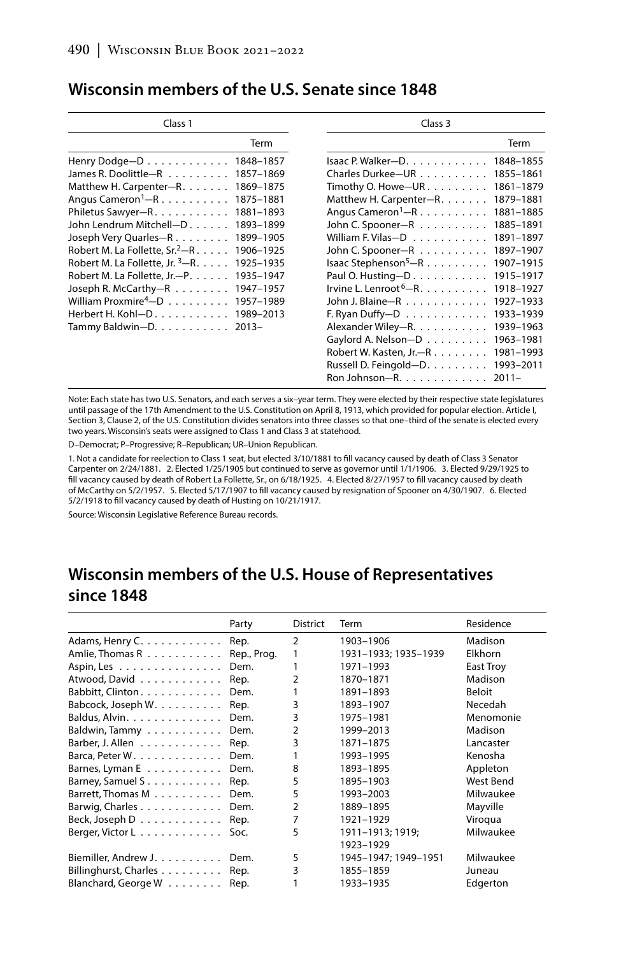### **Wisconsin members of the U.S. Senate since 1848**

| Class 1                                                                                                                                                                                                                                                                                                               |                                                                                                                   | Class 3                                                                                                                                                                                                                                                                         |                                                                                                                                |
|-----------------------------------------------------------------------------------------------------------------------------------------------------------------------------------------------------------------------------------------------------------------------------------------------------------------------|-------------------------------------------------------------------------------------------------------------------|---------------------------------------------------------------------------------------------------------------------------------------------------------------------------------------------------------------------------------------------------------------------------------|--------------------------------------------------------------------------------------------------------------------------------|
|                                                                                                                                                                                                                                                                                                                       | Term                                                                                                              |                                                                                                                                                                                                                                                                                 | Term                                                                                                                           |
| Henry Dodge-D 1848-1857<br>James R. Doolittle-R $\ldots$ ,<br>Matthew H. Carpenter-R.<br>Angus Cameron <sup>1</sup> -R<br>Philetus Sawyer-R.<br>John Lendrum Mitchell-D<br>Joseph Very Quarles-R<br>Robert M. La Follette, Sr. <sup>2</sup> -R<br>Robert M. La Follette, Jr. $3 - R$<br>Robert M. La Follette, Jr.-P. | 1857-1869<br>1869-1875<br>1875-1881<br>1881-1893<br>1893-1899<br>1899-1905<br>1906-1925<br>1925-1935<br>1935-1947 | Isaac P. Walker-D. $\ldots$ ,<br>Charles Durkee-UR<br>Timothy O. Howe-UR.<br>Matthew H. Carpenter-R.<br>Angus Cameron <sup>1</sup> -R<br>John C. Spooner-R $\ldots$<br>William F. Vilas- $D$<br>John C. Spooner- $-R$<br>Isaac Stephenson <sup>5</sup> -R<br>Paul O. Husting-D. | 1848-1855<br>1855-1861<br>1861-1879<br>1879-1881<br>1881-1885<br>1885-1891<br>1891-1897<br>1897-1907<br>1907-1915<br>1915-1917 |
| Joseph R. McCarthy-R $\dots \dots$<br>William Proxmire <sup>4</sup> -D<br>Herbert H. Kohl-D<br>Tammy Baldwin—D. 2013–                                                                                                                                                                                                 | 1947-1957<br>1957-1989<br>1989-2013                                                                               | Irvine L. Lenroot <sup>6</sup> -R.<br>John J. Blaine—R<br>F. Ryan Duffy-D<br>Alexander Wiley-R.<br>Gaylord A. Nelson-D<br>Robert W. Kasten, Jr.-R.<br>Russell D. Feingold-D.<br>Ron Johnson-R. $\dots$ .                                                                        | 1918-1927<br>1927-1933<br>1933-1939<br>1939-1963<br>1963-1981<br>1981-1993<br>1993-2011<br>$2011 -$                            |

Note: Each state has two U.S. Senators, and each serves a six–year term. They were elected by their respective state legislatures until passage of the 17th Amendment to the U.S. Constitution on April 8, 1913, which provided for popular election. Article I, Section 3, Clause 2, of the U.S. Constitution divides senators into three classes so that one–third of the senate is elected every two years. Wisconsin's seats were assigned to Class 1 and Class 3 at statehood.

D–Democrat; P–Progressive; R–Republican; UR–Union Republican.

1. Not a candidate for reelection to Class 1 seat, but elected 3/10/1881 to fill vacancy caused by death of Class 3 Senator Carpenter on 2/24/1881. 2. Elected 1/25/1905 but continued to serve as governor until 1/1/1906. 3. Elected 9/29/1925 to fill vacancy caused by death of Robert La Follette, Sr., on 6/18/1925. 4. Elected 8/27/1957 to fill vacancy caused by death of McCarthy on 5/2/1957. 5. Elected 5/17/1907 to fill vacancy caused by resignation of Spooner on 4/30/1907. 6. Elected 5/2/1918 to fill vacancy caused by death of Husting on 10/21/1917.

Source: Wisconsin Legislative Reference Bureau records.

|                             | Party | District       | Term                 | Residence        |
|-----------------------------|-------|----------------|----------------------|------------------|
| Adams, Henry C. Rep.        |       | $\overline{2}$ | 1903-1906            | Madison          |
| Amlie, Thomas R Rep., Prog. |       | 1              | 1931-1933; 1935-1939 | Elkhorn          |
| Aspin, Les Dem.             |       |                | 1971-1993            | <b>East Troy</b> |
| Atwood, David Rep.          |       | 2              | 1870-1871            | Madison          |
| Babbitt, Clinton Dem.       |       |                | 1891-1893            | Beloit           |
| Babcock, Joseph W. Rep.     |       | 3              | 1893-1907            | Necedah          |
| Baldus, Alvin. Dem.         |       | 3              | 1975-1981            | Menomonie        |
| Baldwin, Tammy Dem.         |       | $\overline{2}$ | 1999-2013            | Madison          |
| Barber, J. Allen Rep.       |       | 3              | 1871-1875            | Lancaster        |
| Barca, Peter W. Dem.        |       |                | 1993-1995            | Kenosha          |
| Barnes, Lyman E Dem.        |       | 8              | 1893-1895            | Appleton         |
| Barney, Samuel S Rep.       |       | 5              | 1895-1903            | West Bend        |
| Barrett, Thomas M Dem.      |       | 5              | 1993-2003            | Milwaukee        |
| Barwig, Charles Dem.        |       | 2              | 1889-1895            | Mayville         |
| Beck, Joseph D Rep.         |       | 7              | 1921-1929            | Viroqua          |
| Berger, Victor L Soc.       |       | 5              | 1911-1913; 1919;     | Milwaukee        |
|                             |       |                | 1923-1929            |                  |
| Biemiller, Andrew J         | Dem.  | 5              | 1945-1947; 1949-1951 | Milwaukee        |
| Billinghurst, Charles Rep.  |       | 3              | 1855-1859            | Juneau           |
| Blanchard, George W Rep.    |       |                | 1933-1935            | Edgerton         |

### **Wisconsin members of the U.S. House of Representatives since 1848**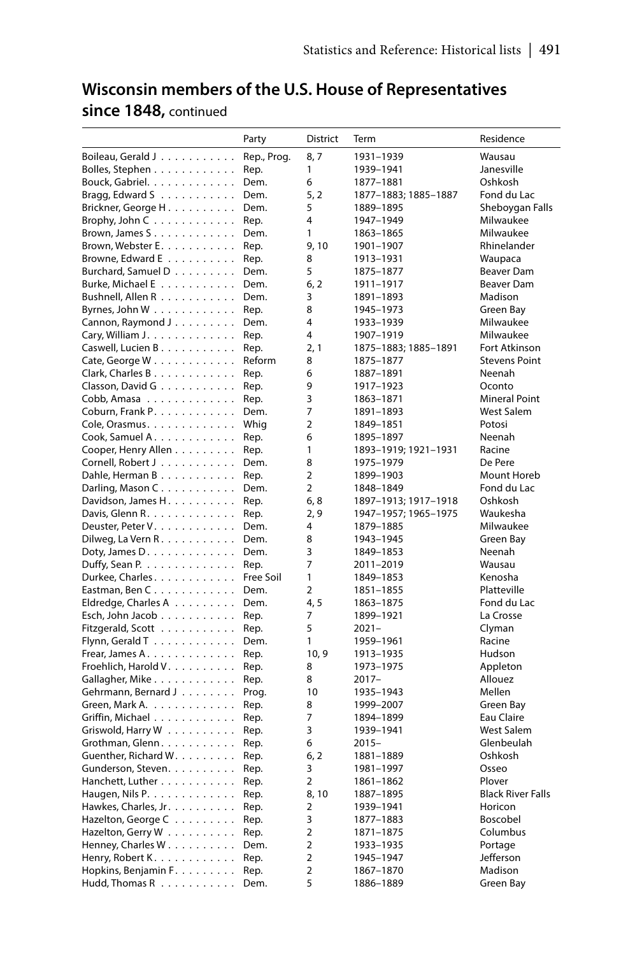# **Wisconsin members of the U.S. House of Representatives**

### **since 1848,** continued

|                                             | Party       | District       | Term                 | Residence                |
|---------------------------------------------|-------------|----------------|----------------------|--------------------------|
| Boileau, Gerald J                           | Rep., Prog. | 8,7            | 1931-1939            | Wausau                   |
| Bolles, Stephen                             | Rep.        | 1              | 1939-1941            | Janesville               |
| Bouck, Gabriel.                             | Dem.        | 6              | 1877-1881            | Oshkosh                  |
| Bragg, Edward S                             | Dem.        | 5, 2           | 1877-1883; 1885-1887 | Fond du Lac              |
| Brickner, George H.                         | Dem.        | 5              | 1889-1895            | Sheboygan Falls          |
| Brophy, John C                              | Rep.        | 4              | 1947-1949            | Milwaukee                |
| Brown, James S                              | Dem.        | 1              | 1863-1865            | Milwaukee                |
| Brown, Webster E.                           | Rep.        | 9,10           | 1901-1907            | Rhinelander              |
| Browne, Edward E                            | Rep.        | 8              | 1913-1931            | Waupaca                  |
| Burchard, Samuel D                          | Dem.        | 5              | 1875-1877            | <b>Beaver Dam</b>        |
| Burke, Michael E                            | Dem.        | 6, 2           | 1911-1917            | <b>Beaver Dam</b>        |
| Bushnell, Allen R                           | Dem.        | 3              | 1891-1893            | Madison                  |
| Byrnes, John W                              | Rep.        | 8              | 1945-1973            | Green Bay                |
| Cannon, Raymond J                           | Dem.        | 4              | 1933-1939            | Milwaukee                |
| Cary, William J.                            | Rep.        | 4              | 1907-1919            | Milwaukee                |
| Caswell, Lucien B.                          | Rep.        | 2,1            | 1875-1883; 1885-1891 | Fort Atkinson            |
| Cate, George W                              | Reform      | 8              | 1875-1877            | <b>Stevens Point</b>     |
| Clark, Charles B.                           | Rep.        | 6              | 1887-1891            | Neenah                   |
| Classon, David G                            | Rep.        | 9              | 1917-1923            | Oconto                   |
| Cobb, Amasa                                 | Rep.        | 3              | 1863-1871            | <b>Mineral Point</b>     |
| Coburn, Frank P.                            | Dem.        | 7              | 1891-1893            | <b>West Salem</b>        |
| Cole, Orasmus.                              | Whig        | $\overline{2}$ | 1849-1851            | Potosi                   |
| Cook, Samuel A.                             | Rep.        | 6              | 1895-1897            | Neenah                   |
| Cooper, Henry Allen                         | Rep.        | 1              | 1893-1919; 1921-1931 | Racine                   |
| Cornell, Robert J                           | Dem.        | 8              | 1975-1979            | De Pere                  |
| Dahle, Herman B                             | Rep.        | $\overline{2}$ | 1899-1903            | Mount Horeb              |
| Darling, Mason C.                           | Dem.        | $\overline{2}$ | 1848-1849            | Fond du Lac              |
| Davidson, James H.                          | Rep.        | 6,8            | 1897-1913; 1917-1918 | Oshkosh                  |
| Davis, Glenn R.                             | Rep.        | 2.9            | 1947-1957; 1965-1975 | Waukesha                 |
| Deuster, Peter V.                           | Dem.        | 4              | 1879-1885            | Milwaukee                |
| Dilweg, La Vern R.                          | Dem.        | 8              | 1943-1945            | Green Bay                |
| Doty, James $D \ldots \ldots \ldots \ldots$ | Dem.        | 3              | 1849-1853            | Neenah                   |
| Duffy, Sean P. $\dots \dots \dots$          | Rep.        | 7              | 2011-2019            | Wausau                   |
| Durkee, Charles.                            | Free Soil   | 1              | 1849-1853            | Kenosha                  |
| Eastman, Ben C.                             | Dem.        | $\overline{2}$ | 1851-1855            | Platteville              |
| Eldredge, Charles A $\dots\dots\dots$       | Dem.        | 4,5            | 1863-1875            | Fond du Lac              |
| Esch, John Jacob                            | Rep.        | 7              | 1899-1921            | La Crosse                |
| Fitzgerald, Scott                           | Rep.        | 5              | $2021 -$             | Clyman                   |
| Flynn, Gerald T                             | Dem.        | 1              | 1959-1961            | Racine                   |
| Frear, James A.                             | Rep.        | 10, 9          | 1913-1935            | Hudson                   |
| Froehlich, Harold V.                        | Rep.        | 8              | 1973-1975            | Appleton                 |
| Gallagher, Mike                             | Rep.        | 8              | $2017 -$             | Allouez                  |
| Gehrmann, Bernard J                         | Prog.       | 10             | 1935-1943            | Mellen                   |
| Green, Mark A.                              | Rep.        | 8              | 1999-2007            | Green Bay                |
| Griffin, Michael                            | Rep.        | 7              | 1894-1899            | Eau Claire               |
| Griswold, Harry W                           | Rep.        | 3              | 1939-1941            | <b>West Salem</b>        |
| Grothman, Glenn.                            | Rep.        | 6              | $2015 -$             | Glenbeulah               |
| Guenther, Richard W.                        | Rep.        | 6, 2           | 1881-1889            | Oshkosh                  |
| Gunderson, Steven.                          | Rep.        | 3              | 1981-1997            | Osseo                    |
| Hanchett, Luther                            | Rep.        | $\overline{2}$ | 1861-1862            | Plover                   |
| Haugen, Nils P.                             | Rep.        | 8,10           | 1887-1895            | <b>Black River Falls</b> |
| Hawkes, Charles, Jr                         | Rep.        | $\overline{2}$ | 1939-1941            | Horicon                  |
| Hazelton, George C                          | Rep.        | 3              | 1877-1883            | Boscobel                 |
| Hazelton, Gerry W                           | Rep.        | $\overline{2}$ | 1871-1875            | Columbus                 |
| Henney, Charles W                           | Dem.        | $\overline{2}$ | 1933-1935            | Portage                  |
| Henry, Robert K                             | Rep.        | $\overline{2}$ | 1945-1947            | Jefferson                |
| Hopkins, Benjamin F.                        | Rep.        | $\overline{2}$ | 1867-1870            | Madison                  |
| Hudd, Thomas R                              | Dem.        | 5              | 1886-1889            | Green Bay                |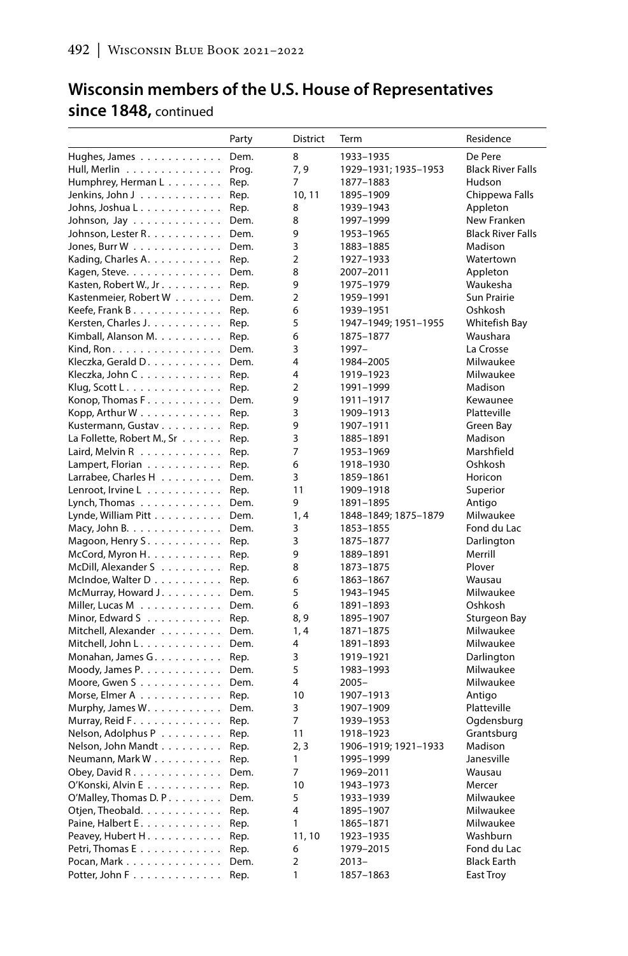# **Wisconsin members of the U.S. House of Representatives**

### **since 1848,** continued

|                                          | Party | District       | Term                 | Residence                |
|------------------------------------------|-------|----------------|----------------------|--------------------------|
| Hughes, James                            | Dem.  | 8              | 1933-1935            | De Pere                  |
| Hull, Merlin                             | Prog. | 7,9            | 1929-1931; 1935-1953 | <b>Black River Falls</b> |
| Humphrey, Herman L                       | Rep.  | 7              | 1877-1883            | Hudson                   |
| Jenkins, John J                          | Rep.  | 10, 11         | 1895-1909            | Chippewa Falls           |
| Johns, Joshua L                          | Rep.  | 8              | 1939-1943            | Appleton                 |
| Johnson, Jay $\ldots \ldots \ldots$      | Dem.  | 8              | 1997-1999            | New Franken              |
| Johnson, Lester R.                       | Dem.  | 9              | 1953-1965            | <b>Black River Falls</b> |
| Jones, Burr $W$                          | Dem.  | 3              | 1883-1885            | Madison                  |
| Kading, Charles A.                       | Rep.  | $\overline{2}$ | 1927-1933            | Watertown                |
| Kagen, Steve.                            | Dem.  | 8              | 2007-2011            | Appleton                 |
| Kasten, Robert W., Jr.                   | Rep.  | 9              | 1975-1979            | Waukesha                 |
| Kastenmeier, Robert W                    | Dem.  | $\overline{2}$ | 1959-1991            | <b>Sun Prairie</b>       |
| Keefe, Frank B.                          | Rep.  | 6              | 1939-1951            | Oshkosh                  |
| Kersten, Charles J.                      | Rep.  | 5              | 1947-1949; 1951-1955 | Whitefish Bay            |
| Kimball, Alanson M.                      | Rep.  | 6              | 1875-1877            | Waushara                 |
| Kind, Ron.                               | Dem.  | 3              | 1997-                | La Crosse                |
| Kleczka, Gerald D                        | Dem.  | 4              | 1984-2005            | Milwaukee                |
| Kleczka, John C.                         | Rep.  | 4              | 1919-1923            | Milwaukee                |
| Klug, Scott L.                           | Rep.  | $\overline{2}$ | 1991-1999            | Madison                  |
| Konop, Thomas F.                         | Dem.  | 9              | 1911-1917            | Kewaunee                 |
| Kopp, Arthur $W$                         | Rep.  | 3              | 1909-1913            | Platteville              |
| Kustermann, Gustav                       | Rep.  | 9              | 1907-1911            | Green Bay                |
| La Follette, Robert M., Sr               | Rep.  | 3              | 1885-1891            | Madison                  |
| Laird, Melvin R                          | Rep.  | 7              | 1953-1969            | Marshfield               |
| Lampert, Florian                         | Rep.  | 6              | 1918-1930            | Oshkosh                  |
| Larrabee, Charles $H$                    | Dem.  | 3              | 1859-1861            | Horicon                  |
| Lenroot, Irvine $L \ldots \ldots \ldots$ | Rep.  | 11             | 1909-1918            | Superior                 |
| Lynch, Thomas $\ldots \ldots \ldots$     | Dem.  | 9              | 1891-1895            | Antigo                   |
| Lynde, William Pitt                      | Dem.  | 1.4            | 1848-1849; 1875-1879 | Milwaukee                |
| Macy, John B.                            | Dem.  | 3              | 1853-1855            | Fond du Lac              |
| Magoon, Henry S.                         | Rep.  | 3              | 1875-1877            | Darlington               |
| McCord, Myron H.                         | Rep.  | 9              | 1889-1891            | Merrill                  |
| McDill, Alexander S                      | Rep.  | 8              | 1873-1875            | Plover                   |
| McIndoe, Walter D                        | Rep.  | 6              | 1863-1867            | Wausau                   |
| McMurray, Howard J                       | Dem.  | 5              | 1943-1945            | Milwaukee                |
| Miller, Lucas M                          | Dem.  | 6              | 1891-1893            | Oshkosh                  |
| Minor, Edward S                          | Rep.  | 8.9            | 1895-1907            | Sturgeon Bay             |
| Mitchell, Alexander                      | Dem.  | 1.4            | 1871-1875            | Milwaukee                |
| Mitchell, John L.                        | Dem.  | 4              | 1891-1893            | Milwaukee                |
| Monahan, James G.                        | Rep.  | 3              | 1919-1921            | Darlington               |
| Moody, James P. $\dots$ .                | Dem.  | 5              | 1983-1993            | Milwaukee                |
| Moore, Gwen S                            | Dem.  | 4              | $2005 -$             | Milwaukee                |
| Morse, Elmer A                           | Rep.  | 10             | 1907-1913            | Antigo                   |
| Murphy, James W.                         | Dem.  | 3              | 1907-1909            | Platteville              |
| Murray, Reid F.                          | Rep.  | 7              | 1939-1953            | Ogdensburg               |
| Nelson, Adolphus P                       | Rep.  | 11             | 1918-1923            | Grantsburg               |
| Nelson, John Mandt                       | Rep.  | 2, 3           | 1906-1919; 1921-1933 | Madison                  |
| Neumann, Mark W                          | Rep.  | 1              | 1995-1999            | Janesville               |
| Obey, David $R$                          | Dem.  | 7              | 1969-2011            | Wausau                   |
| O'Konski, Alvin E                        | Rep.  | 10             | 1943-1973            | Mercer                   |
| $O'M$ alley, Thomas D. P. $\ldots$       | Dem.  | 5              | 1933-1939            | Milwaukee                |
| Otien, Theobald.                         | Rep.  | 4              | 1895-1907            | Milwaukee                |
| Paine, Halbert E.                        | Rep.  | 1              | 1865-1871            | Milwaukee                |
| Peavey, Hubert H.                        | Rep.  | 11, 10         | 1923-1935            | Washburn                 |
| Petri, Thomas E                          | Rep.  | 6              | 1979-2015            | Fond du Lac              |
| Pocan, Mark                              | Dem.  | $\overline{2}$ | 2013-                | <b>Black Earth</b>       |
| Potter, John F.                          | Rep.  | 1              | 1857-1863            | <b>East Troy</b>         |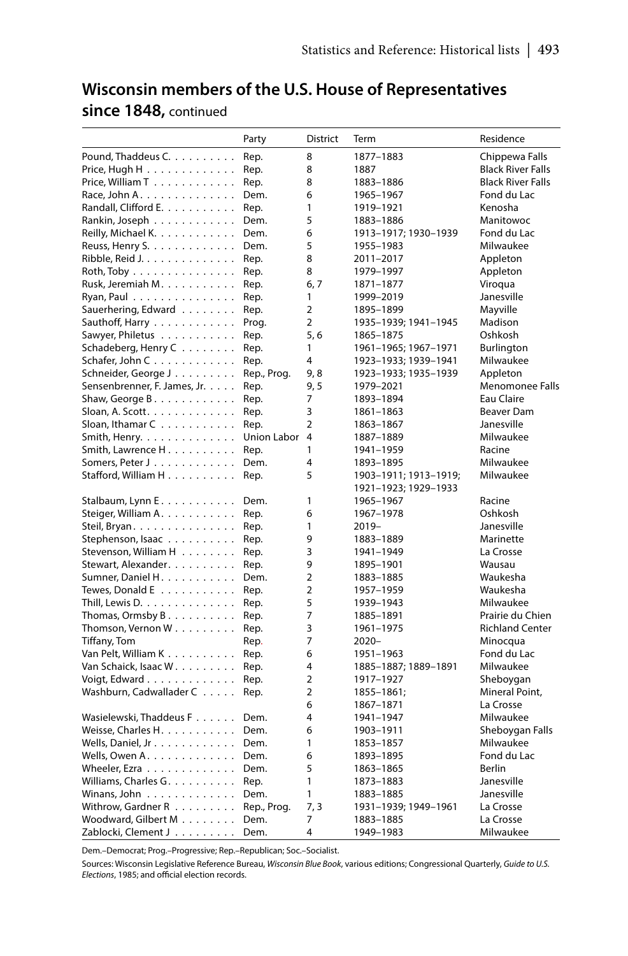# **Wisconsin members of the U.S. House of Representatives**

### **since 1848,** continued

|                                              | Party       | District       | Term                  | Residence                |
|----------------------------------------------|-------------|----------------|-----------------------|--------------------------|
| Pound, Thaddeus C.                           | Rep.        | 8              | 1877-1883             | Chippewa Falls           |
| Price, Hugh H                                | Rep.        | 8              | 1887                  | <b>Black River Falls</b> |
| Price, William T                             | Rep.        | 8              | 1883-1886             | <b>Black River Falls</b> |
| Race, John A.                                | Dem.        | 6              | 1965-1967             | Fond du Lac              |
| Randall, Clifford E.                         | Rep.        | 1              | 1919-1921             | Kenosha                  |
| Rankin, Joseph                               | Dem.        | 5              | 1883-1886             | Manitowoc                |
| Reilly, Michael K.                           | Dem.        | 6              | 1913-1917; 1930-1939  | Fond du Lac              |
| Reuss, Henry S.                              | Dem.        | 5              | 1955-1983             | Milwaukee                |
| Ribble, Reid J.                              | Rep.        | 8              | 2011-2017             | Appleton                 |
| Roth, Toby                                   | Rep.        | 8              | 1979-1997             | Appleton                 |
| Rusk, Jeremiah M.                            | Rep.        | 6.7            | 1871-1877             | Viroqua                  |
| Ryan, Paul                                   | Rep.        | 1              | 1999-2019             | Janesville               |
| Sauerhering, Edward                          | Rep.        | $\overline{2}$ | 1895-1899             | Mayville                 |
| Sauthoff, Harry                              | Prog.       | $\overline{2}$ | 1935-1939; 1941-1945  | Madison                  |
| Sawyer, Philetus                             | Rep.        | 5,6            | 1865-1875             | Oshkosh                  |
| Schadeberg, Henry C                          | Rep.        | 1              | 1961-1965; 1967-1971  | Burlington               |
| Schafer, John C                              | Rep.        | $\overline{4}$ | 1923-1933; 1939-1941  | Milwaukee                |
| Schneider, George J                          | Rep., Prog. | 9.8            | 1923-1933; 1935-1939  | Appleton                 |
| Sensenbrenner, F. James, Jr.                 | Rep.        | 9.5            | 1979-2021             | <b>Menomonee Falls</b>   |
| Shaw, George $B \ldots \ldots \ldots \ldots$ | Rep.        | 7              | 1893-1894             | Eau Claire               |
| Sloan, A. Scott.                             | Rep.        | 3              | 1861-1863             | Beaver Dam               |
| Sloan, Ithamar C                             | Rep.        | $\overline{2}$ | 1863-1867             | Janesville               |
| Smith, Henry.                                | Union Labor | $\overline{4}$ | 1887-1889             | Milwaukee                |
| Smith, Lawrence H.                           | Rep.        | 1              | 1941-1959             | Racine                   |
| Somers, Peter J                              | Dem.        | 4              | 1893-1895             | Milwaukee                |
| Stafford, William H                          | Rep.        | 5              | 1903-1911; 1913-1919; | Milwaukee                |
|                                              |             |                | 1921-1923; 1929-1933  |                          |
| Stalbaum, Lynn E.                            | Dem.        | 1              | 1965-1967             | Racine                   |
| Steiger, William A.                          | Rep.        | 6              | 1967-1978             | Oshkosh                  |
| Steil, Bryan.                                | Rep.        | 1              | $2019-$               | Janesville               |
| Stephenson, Isaac                            | Rep.        | 9              | 1883-1889             | Marinette                |
| Stevenson, William H                         | Rep.        | 3              | 1941-1949             | La Crosse                |
| Stewart, Alexander.                          | Rep.        | 9              | 1895-1901             | Wausau                   |
| Sumner, Daniel H.                            | Dem.        | $\overline{2}$ | 1883-1885             | Waukesha                 |
| Tewes, Donald E                              | Rep.        | $\overline{2}$ | 1957-1959             | Waukesha                 |
| Thill, Lewis D.                              | Rep.        | 5              | 1939-1943             | Milwaukee                |
| Thomas, Ormsby B.                            | Rep.        | 7              | 1885-1891             | Prairie du Chien         |
| Thomson, Vernon W                            | Rep.        | 3              | 1961-1975             | <b>Richland Center</b>   |
| Tiffany, Tom                                 | Rep.        | 7              | $2020 -$              | Minocqua                 |
| Van Pelt, William K                          | Rep.        | 6              | 1951-1963             | Fond du Lac              |
| Van Schaick, Isaac W.                        | Rep.        | 4              | 1885-1887; 1889-1891  | Milwaukee                |
| Voigt, Edward                                | Rep.        | $\overline{2}$ | 1917-1927             | Sheboygan                |
| Washburn, Cadwallader C                      | Rep.        | $\overline{2}$ | 1855-1861;            | Mineral Point,           |
|                                              |             | 6              | 1867-1871             | La Crosse                |
| Wasielewski, Thaddeus F                      | Dem.        | 4              | 1941-1947             | Milwaukee                |
| Weisse, Charles H.                           | Dem.        | 6              | 1903-1911             | Sheboygan Falls          |
| Wells, Daniel, Jr                            | Dem.        | 1              | 1853-1857             | Milwaukee                |
| Wells, Owen A                                | Dem.        | 6              | 1893-1895             | Fond du Lac              |
| Wheeler, Ezra                                | Dem.        | 5              | 1863-1865             | <b>Berlin</b>            |
| Williams, Charles G.                         | Rep.        | 1              | 1873-1883             | Janesville               |
| Winans, John                                 | Dem.        | 1              | 1883-1885             | Janesville               |
| Withrow, Gardner R                           | Rep., Prog. | 7,3            | 1931-1939; 1949-1961  | La Crosse                |
| Woodward, Gilbert M                          | Dem.        | 7              | 1883-1885             | La Crosse                |
| Zablocki, Clement J                          | Dem.        | 4              | 1949-1983             | Milwaukee                |

Dem.–Democrat; Prog.–Progressive; Rep.–Republican; Soc.–Socialist.

Sources: Wisconsin Legislative Reference Bureau, *Wisconsin Blue Book*, various editions; Congressional Quarterly, *Guide to U.S. Elections*, 1985; and official election records.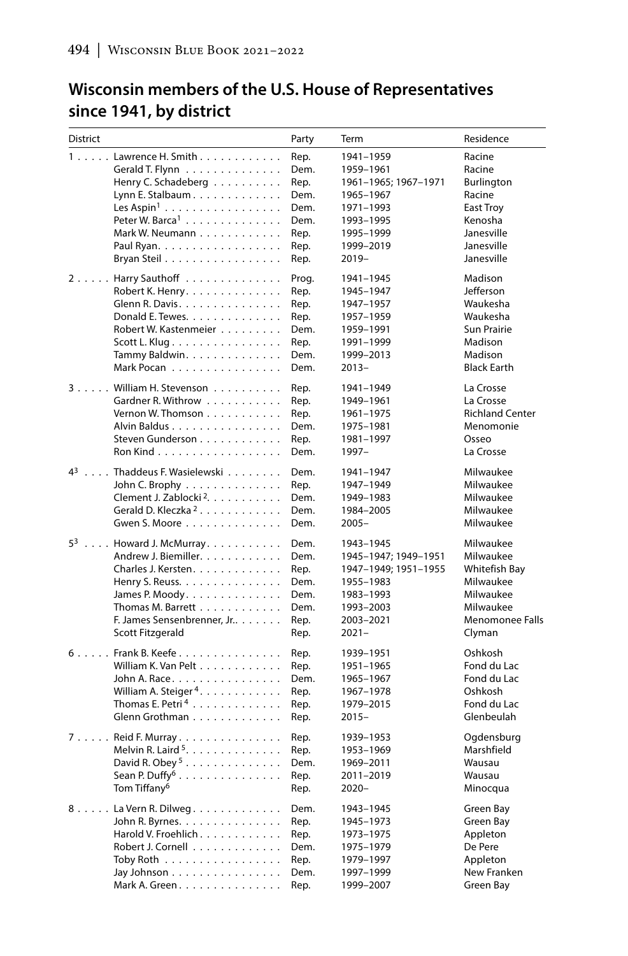# **Wisconsin members of the U.S. House of Representatives since 1941, by district**

| District |                                               | Party | Term                 | Residence              |
|----------|-----------------------------------------------|-------|----------------------|------------------------|
|          | 1Lawrence H. Smith                            | Rep.  | 1941-1959            | Racine                 |
|          | Gerald T. Flynn                               | Dem.  | 1959-1961            | Racine                 |
|          | Henry C. Schadeberg                           | Rep.  | 1961-1965; 1967-1971 | Burlington             |
|          | Lynn E. Stalbaum. $\ldots$ .                  | Dem.  | 1965-1967            | Racine                 |
|          | Les Aspin $1, \ldots, \ldots, \ldots, \ldots$ | Dem.  | 1971-1993            | East Troy              |
|          | Peter W. Barca <sup>1</sup>                   | Dem.  | 1993-1995            | Kenosha                |
|          | Mark W. Neumann                               | Rep.  | 1995-1999            | Janesville             |
|          | Paul Ryan.                                    | Rep.  | 1999-2019            | Janesville             |
|          | Bryan Steil                                   | Rep.  | 2019-                | Janesville             |
|          |                                               |       |                      |                        |
|          | 2. Harry Sauthoff                             | Prog. | 1941-1945            | Madison                |
|          | Robert K. Henry.                              | Rep.  | 1945-1947            | Jefferson              |
|          | Glenn R. Davis.                               | Rep.  | 1947-1957            | Waukesha               |
|          | Donald E. Tewes.                              | Rep.  | 1957-1959            | Waukesha               |
|          | Robert W. Kastenmeier                         | Dem.  | 1959-1991            | Sun Prairie            |
|          | Scott L. Klug. $\dots$ .                      | Rep.  | 1991-1999            | Madison                |
|          | Tammy Baldwin.                                | Dem.  | 1999-2013            | Madison                |
|          | Mark Pocan                                    | Dem.  | $2013 -$             | <b>Black Earth</b>     |
|          | 3 William H. Stevenson                        | Rep.  | 1941-1949            | La Crosse              |
|          | Gardner R. Withrow                            | Rep.  | 1949-1961            | La Crosse              |
|          | Vernon W. Thomson                             | Rep.  | 1961-1975            | <b>Richland Center</b> |
|          | Alvin Baldus                                  | Dem.  | 1975-1981            | Menomonie              |
|          | Steven Gunderson                              | Rep.  | 1981-1997            | Osseo                  |
|          | Ron Kind                                      | Dem.  | 1997-                | La Crosse              |
|          |                                               |       |                      |                        |
|          | 4 <sup>3</sup> Thaddeus F. Wasielewski        | Dem.  | 1941-1947            | Milwaukee              |
|          | John C. Brophy                                | Rep.  | 1947-1949            | Milwaukee              |
|          | Clement J. Zablocki <sup>2</sup> .            | Dem.  | 1949-1983            | Milwaukee              |
|          | Gerald D. Kleczka <sup>2</sup>                | Dem.  | 1984-2005            | Milwaukee              |
|          | Gwen S. Moore                                 | Dem.  | $2005 -$             | Milwaukee              |
|          | $5^3$ Howard J. McMurray                      | Dem.  | 1943-1945            | Milwaukee              |
|          | Andrew J. Biemiller.                          | Dem.  | 1945-1947; 1949-1951 | Milwaukee              |
|          | Charles J. Kersten.                           | Rep.  | 1947-1949; 1951-1955 | Whitefish Bay          |
|          | Henry S. Reuss.                               | Dem.  | 1955-1983            | Milwaukee              |
|          | James P. Moody.                               | Dem.  | 1983-1993            | Milwaukee              |
|          | Thomas M. Barrett                             | Dem.  | 1993-2003            | Milwaukee              |
|          | F. James Sensenbrenner, Jr                    | Rep.  | 2003-2021            | Menomonee Falls        |
|          | Scott Fitzgerald                              | Rep.  | $2021 -$             | Clyman                 |
|          |                                               |       |                      |                        |
|          | $6$ . Frank B. Keefe                          | Rep.  | 1939-1951            | Oshkosh                |
|          | William K. Van Pelt                           | Rep.  | 1951-1965            | Fond du Lac            |
|          | John A. Race.                                 | Dem.  | 1965-1967            | Fond du Lac            |
|          | William A. Steiger <sup>4</sup> .             | Rep.  | 1967-1978            | Oshkosh                |
|          | Thomas E. Petri <sup>4</sup>                  | Rep.  | 1979-2015            | Fond du Lac            |
|          | Glenn Grothman                                | Rep.  | $2015 -$             | Glenbeulah             |
|          | 7. Reid F. Murray                             | Rep.  | 1939-1953            | Ogdensburg             |
|          | Melvin R. Laird <sup>5</sup> . $\dots$ .      | Rep.  | 1953-1969            | Marshfield             |
|          | David R. Obey <sup>5</sup>                    | Dem.  | 1969-2011            | Wausau                 |
|          | Sean P. Duffy $^6$                            | Rep.  | 2011-2019            | Wausau                 |
|          | Tom Tiffany <sup>6</sup>                      | Rep.  | $2020 -$             | Minocqua               |
|          | 8 La Vern R. Dilweg                           | Dem.  | 1943-1945            | Green Bay              |
|          | John R. Byrnes.                               | Rep.  | 1945-1973            | Green Bay              |
|          | Harold V. Froehlich                           | Rep.  | 1973-1975            | Appleton               |
|          | Robert J. Cornell                             | Dem.  | 1975-1979            | De Pere                |
|          | Toby Roth $\ldots \ldots \ldots \ldots$       | Rep.  | 1979-1997            | Appleton               |
|          | Jay Johnson                                   | Dem.  | 1997-1999            | New Franken            |
|          | Mark A. Green                                 | Rep.  | 1999-2007            | Green Bay              |
|          |                                               |       |                      |                        |